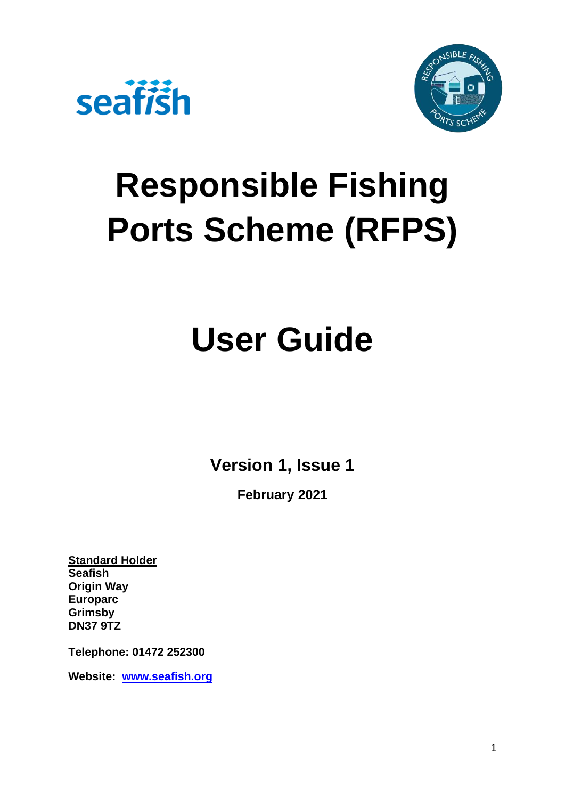



# **Responsible Fishing Ports Scheme (RFPS)**

# **User Guide**

**Version 1, Issue 1**

**February 2021**

**Standard Holder Seafish Origin Way Europarc Grimsby DN37 9TZ**

**Telephone: 01472 252300**

**Website: [www.seafish.org](https://www.seafish.org/)**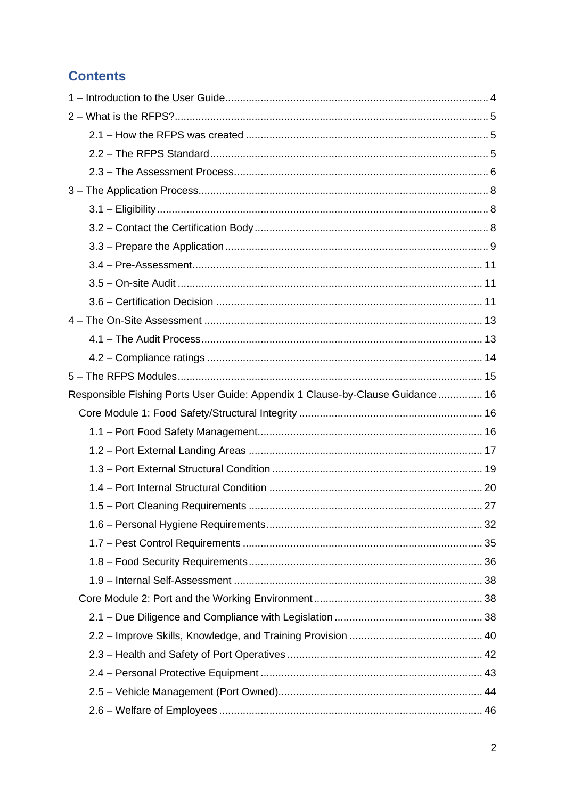# **Contents**

| Responsible Fishing Ports User Guide: Appendix 1 Clause-by-Clause Guidance 16 |  |
|-------------------------------------------------------------------------------|--|
|                                                                               |  |
|                                                                               |  |
|                                                                               |  |
|                                                                               |  |
|                                                                               |  |
|                                                                               |  |
|                                                                               |  |
|                                                                               |  |
|                                                                               |  |
|                                                                               |  |
|                                                                               |  |
|                                                                               |  |
|                                                                               |  |
|                                                                               |  |
|                                                                               |  |
|                                                                               |  |
|                                                                               |  |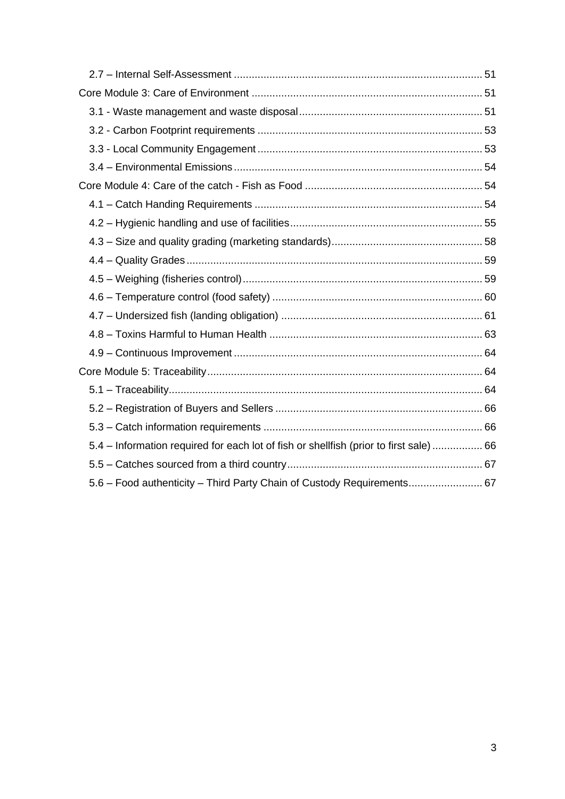<span id="page-2-0"></span>

| 5.4 – Information required for each lot of fish or shellfish (prior to first sale)  66 |  |
|----------------------------------------------------------------------------------------|--|
|                                                                                        |  |
| 5.6 - Food authenticity - Third Party Chain of Custody Requirements 67                 |  |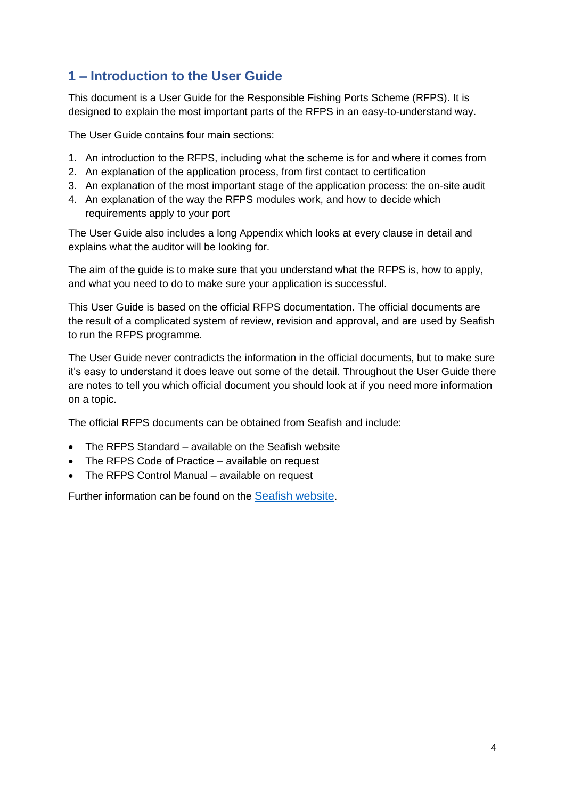# **1 – Introduction to the User Guide**

This document is a User Guide for the Responsible Fishing Ports Scheme (RFPS). It is designed to explain the most important parts of the RFPS in an easy-to-understand way.

The User Guide contains four main sections:

- 1. An introduction to the RFPS, including what the scheme is for and where it comes from
- 2. An explanation of the application process, from first contact to certification
- 3. An explanation of the most important stage of the application process: the on-site audit
- 4. An explanation of the way the RFPS modules work, and how to decide which requirements apply to your port

The User Guide also includes a long Appendix which looks at every clause in detail and explains what the auditor will be looking for.

The aim of the guide is to make sure that you understand what the RFPS is, how to apply, and what you need to do to make sure your application is successful.

This User Guide is based on the official RFPS documentation. The official documents are the result of a complicated system of review, revision and approval, and are used by Seafish to run the RFPS programme.

The User Guide never contradicts the information in the official documents, but to make sure it's easy to understand it does leave out some of the detail. Throughout the User Guide there are notes to tell you which official document you should look at if you need more information on a topic.

The official RFPS documents can be obtained from Seafish and include:

- The RFPS Standard available on the Seafish website
- The RFPS Code of Practice available on request
- The RFPS Control Manual available on request

Further information can be found on the [Seafish website](https://www.seafish.org/responsible-sourcing/responsible-fishing-ports-scheme/).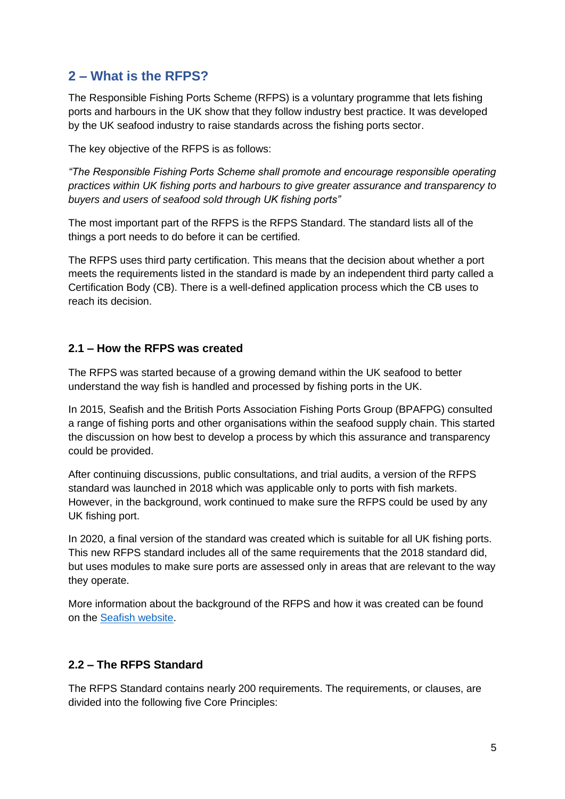## <span id="page-4-0"></span>**2 – What is the RFPS?**

The Responsible Fishing Ports Scheme (RFPS) is a voluntary programme that lets fishing ports and harbours in the UK show that they follow industry best practice. It was developed by the UK seafood industry to raise standards across the fishing ports sector.

The key objective of the RFPS is as follows:

*"The Responsible Fishing Ports Scheme shall promote and encourage responsible operating practices within UK fishing ports and harbours to give greater assurance and transparency to buyers and users of seafood sold through UK fishing ports"*

The most important part of the RFPS is the RFPS Standard. The standard lists all of the things a port needs to do before it can be certified.

The RFPS uses third party certification. This means that the decision about whether a port meets the requirements listed in the standard is made by an independent third party called a Certification Body (CB). There is a well-defined application process which the CB uses to reach its decision.

#### <span id="page-4-1"></span>**2.1 – How the RFPS was created**

The RFPS was started because of a growing demand within the UK seafood to better understand the way fish is handled and processed by fishing ports in the UK.

In 2015, Seafish and the British Ports Association Fishing Ports Group (BPAFPG) consulted a range of fishing ports and other organisations within the seafood supply chain. This started the discussion on how best to develop a process by which this assurance and transparency could be provided.

After continuing discussions, public consultations, and trial audits, a version of the RFPS standard was launched in 2018 which was applicable only to ports with fish markets. However, in the background, work continued to make sure the RFPS could be used by any UK fishing port.

In 2020, a final version of the standard was created which is suitable for all UK fishing ports. This new RFPS standard includes all of the same requirements that the 2018 standard did, but uses modules to make sure ports are assessed only in areas that are relevant to the way they operate.

More information about the background of the RFPS and how it was created can be found on the [Seafish](https://www.seafish.org/responsible-sourcing/responsible-fishing-ports-scheme/) website.

## <span id="page-4-2"></span>**2.2 – The RFPS Standard**

The RFPS Standard contains nearly 200 requirements. The requirements, or clauses, are divided into the following five Core Principles: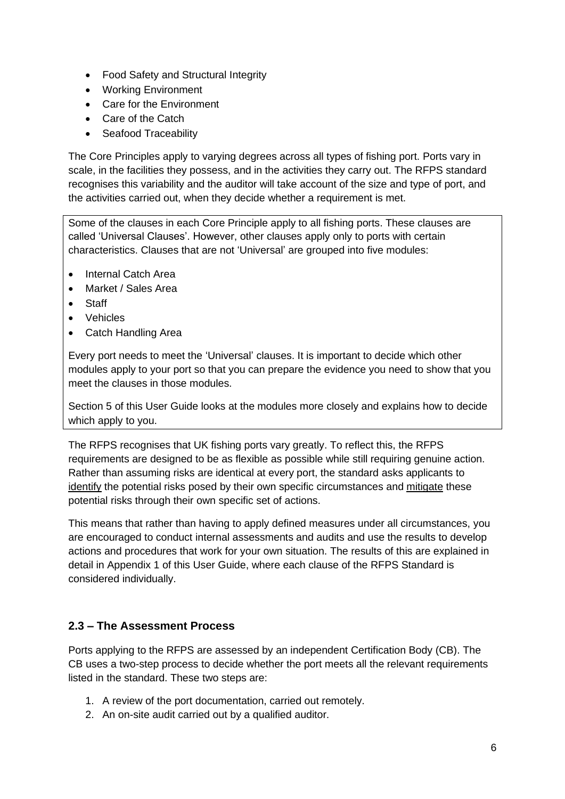- Food Safety and Structural Integrity
- Working Environment
- Care for the Environment
- Care of the Catch
- Seafood Traceability

The Core Principles apply to varying degrees across all types of fishing port. Ports vary in scale, in the facilities they possess, and in the activities they carry out. The RFPS standard recognises this variability and the auditor will take account of the size and type of port, and the activities carried out, when they decide whether a requirement is met.

Some of the clauses in each Core Principle apply to all fishing ports. These clauses are called 'Universal Clauses'. However, other clauses apply only to ports with certain characteristics. Clauses that are not 'Universal' are grouped into five modules:

- Internal Catch Area
- Market / Sales Area
- Staff
- Vehicles
- Catch Handling Area

Every port needs to meet the 'Universal' clauses. It is important to decide which other modules apply to your port so that you can prepare the evidence you need to show that you meet the clauses in those modules.

Section 5 of this User Guide looks at the modules more closely and explains how to decide which apply to you.

The RFPS recognises that UK fishing ports vary greatly. To reflect this, the RFPS requirements are designed to be as flexible as possible while still requiring genuine action. Rather than assuming risks are identical at every port, the standard asks applicants to identify the potential risks posed by their own specific circumstances and mitigate these potential risks through their own specific set of actions.

This means that rather than having to apply defined measures under all circumstances, you are encouraged to conduct internal assessments and audits and use the results to develop actions and procedures that work for your own situation. The results of this are explained in detail in Appendix 1 of this User Guide, where each clause of the RFPS Standard is considered individually.

## <span id="page-5-0"></span>**2.3 – The Assessment Process**

Ports applying to the RFPS are assessed by an independent Certification Body (CB). The CB uses a two-step process to decide whether the port meets all the relevant requirements listed in the standard. These two steps are:

- 1. A review of the port documentation, carried out remotely.
- 2. An on-site audit carried out by a qualified auditor.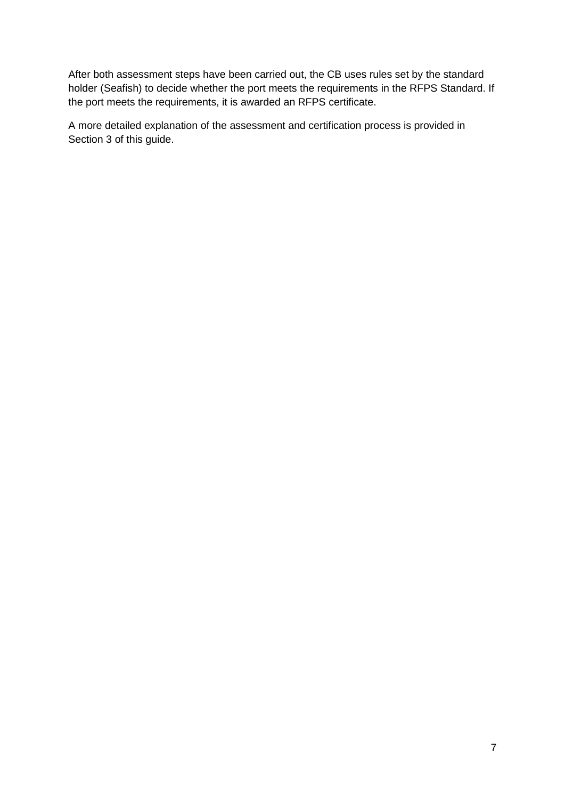After both assessment steps have been carried out, the CB uses rules set by the standard holder (Seafish) to decide whether the port meets the requirements in the RFPS Standard. If the port meets the requirements, it is awarded an RFPS certificate.

A more detailed explanation of the assessment and certification process is provided in Section 3 of this guide.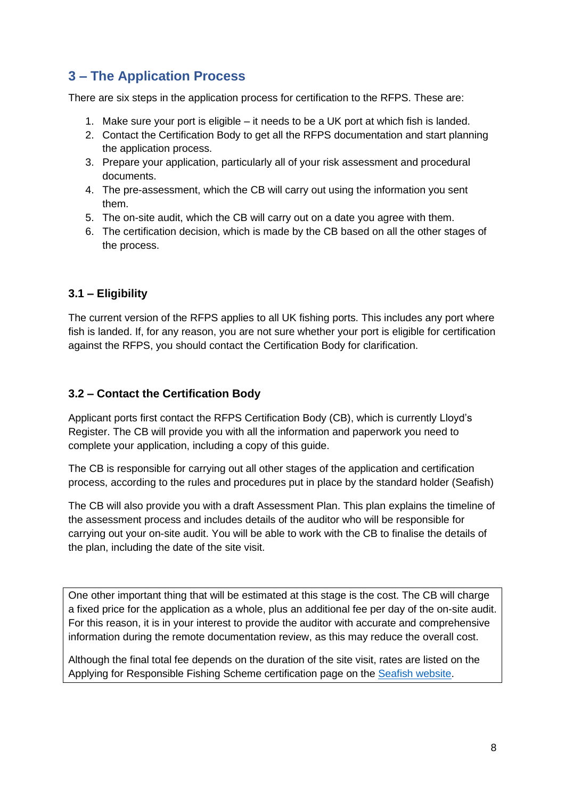# <span id="page-7-0"></span>**3 – The Application Process**

There are six steps in the application process for certification to the RFPS. These are:

- 1. Make sure your port is eligible it needs to be a UK port at which fish is landed.
- 2. Contact the Certification Body to get all the RFPS documentation and start planning the application process.
- 3. Prepare your application, particularly all of your risk assessment and procedural documents.
- 4. The pre-assessment, which the CB will carry out using the information you sent them.
- 5. The on-site audit, which the CB will carry out on a date you agree with them.
- 6. The certification decision, which is made by the CB based on all the other stages of the process.

## <span id="page-7-1"></span>**3.1 – Eligibility**

The current version of the RFPS applies to all UK fishing ports. This includes any port where fish is landed. If, for any reason, you are not sure whether your port is eligible for certification against the RFPS, you should contact the Certification Body for clarification.

#### <span id="page-7-2"></span>**3.2 – Contact the Certification Body**

Applicant ports first contact the RFPS Certification Body (CB), which is currently Lloyd's Register. The CB will provide you with all the information and paperwork you need to complete your application, including a copy of this guide.

The CB is responsible for carrying out all other stages of the application and certification process, according to the rules and procedures put in place by the standard holder (Seafish)

The CB will also provide you with a draft Assessment Plan. This plan explains the timeline of the assessment process and includes details of the auditor who will be responsible for carrying out your on-site audit. You will be able to work with the CB to finalise the details of the plan, including the date of the site visit.

One other important thing that will be estimated at this stage is the cost. The CB will charge a fixed price for the application as a whole, plus an additional fee per day of the on-site audit. For this reason, it is in your interest to provide the auditor with accurate and comprehensive information during the remote documentation review, as this may reduce the overall cost.

Although the final total fee depends on the duration of the site visit, rates are listed on the Applying for Responsible Fishing Scheme certification page on the [Seafish website.](https://www.seafish.org/responsible-sourcing/responsible-fishing-ports-scheme/applying-for-responsible-fishing-ports-scheme-certification/)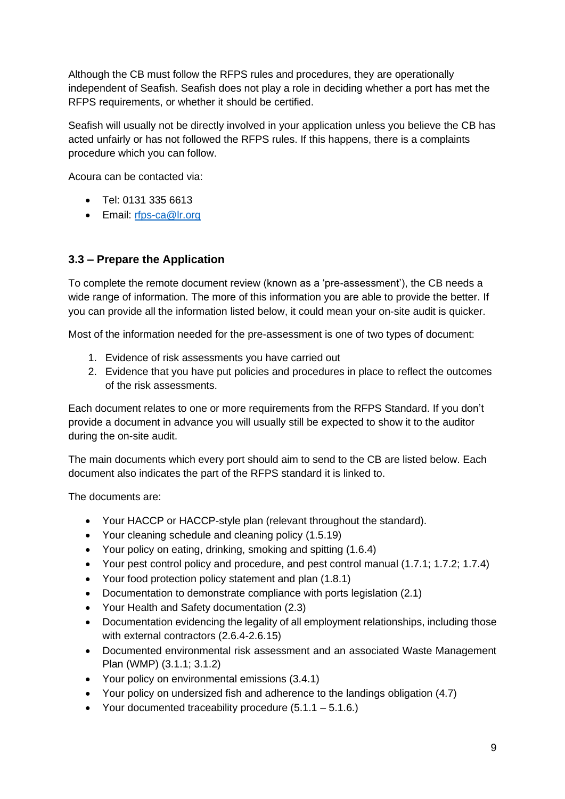Although the CB must follow the RFPS rules and procedures, they are operationally independent of Seafish. Seafish does not play a role in deciding whether a port has met the RFPS requirements, or whether it should be certified.

Seafish will usually not be directly involved in your application unless you believe the CB has acted unfairly or has not followed the RFPS rules. If this happens, there is a complaints procedure which you can follow.

Acoura can be contacted via:

- Tel: 0131 335 6613
- Email: [rfps-ca@lr.org](mailto:rfps-ca@lr.org)

## <span id="page-8-0"></span>**3.3 – Prepare the Application**

To complete the remote document review (known as a 'pre-assessment'), the CB needs a wide range of information. The more of this information you are able to provide the better. If you can provide all the information listed below, it could mean your on-site audit is quicker.

Most of the information needed for the pre-assessment is one of two types of document:

- 1. Evidence of risk assessments you have carried out
- 2. Evidence that you have put policies and procedures in place to reflect the outcomes of the risk assessments.

Each document relates to one or more requirements from the RFPS Standard. If you don't provide a document in advance you will usually still be expected to show it to the auditor during the on-site audit.

The main documents which every port should aim to send to the CB are listed below. Each document also indicates the part of the RFPS standard it is linked to.

The documents are:

- Your HACCP or HACCP-style plan (relevant throughout the standard).
- Your cleaning schedule and cleaning policy (1.5.19)
- Your policy on eating, drinking, smoking and spitting (1.6.4)
- Your pest control policy and procedure, and pest control manual (1.7.1; 1.7.2; 1.7.4)
- Your food protection policy statement and plan (1.8.1)
- Documentation to demonstrate compliance with ports legislation (2.1)
- Your Health and Safety documentation (2.3)
- Documentation evidencing the legality of all employment relationships, including those with external contractors (2.6.4-2.6.15)
- Documented environmental risk assessment and an associated Waste Management Plan (WMP) (3.1.1; 3.1.2)
- Your policy on environmental emissions (3.4.1)
- Your policy on undersized fish and adherence to the landings obligation (4.7)
- Your documented traceability procedure  $(5.1.1 5.1.6.)$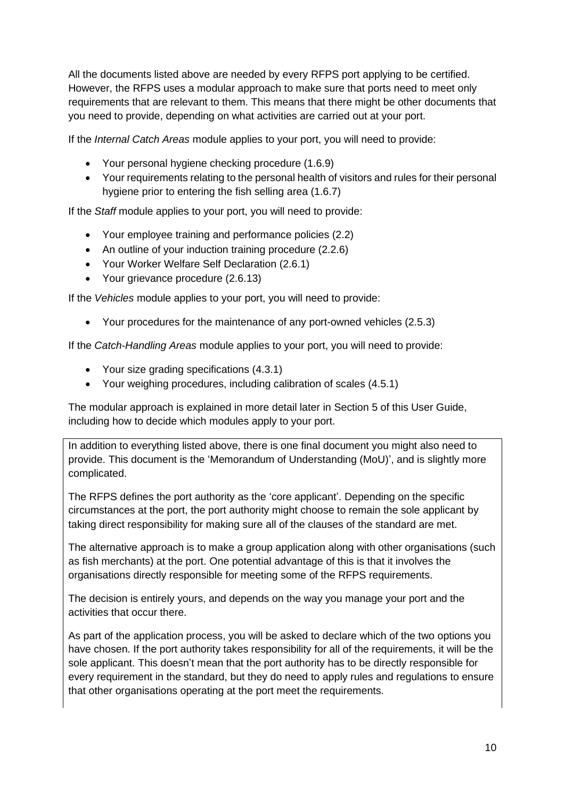All the documents listed above are needed by every RFPS port applying to be certified. However, the RFPS uses a modular approach to make sure that ports need to meet only requirements that are relevant to them. This means that there might be other documents that you need to provide, depending on what activities are carried out at your port.

If the *Internal Catch Areas* module applies to your port, you will need to provide:

- Your personal hygiene checking procedure (1.6.9)
- Your requirements relating to the personal health of visitors and rules for their personal hygiene prior to entering the fish selling area (1.6.7)

If the *Staff* module applies to your port, you will need to provide:

- Your employee training and performance policies (2.2)
- An outline of your induction training procedure (2.2.6)
- Your Worker Welfare Self Declaration (2.6.1)
- Your grievance procedure (2.6.13)

If the *Vehicles* module applies to your port, you will need to provide:

• Your procedures for the maintenance of any port-owned vehicles (2.5.3)

If the *Catch-Handling Areas* module applies to your port, you will need to provide:

- Your size grading specifications (4.3.1)
- Your weighing procedures, including calibration of scales (4.5.1)

The modular approach is explained in more detail later in Section 5 of this User Guide, including how to decide which modules apply to your port.

In addition to everything listed above, there is one final document you might also need to provide. This document is the 'Memorandum of Understanding (MoU)', and is slightly more complicated.

The RFPS defines the port authority as the 'core applicant'. Depending on the specific circumstances at the port, the port authority might choose to remain the sole applicant by taking direct responsibility for making sure all of the clauses of the standard are met.

The alternative approach is to make a group application along with other organisations (such as fish merchants) at the port. One potential advantage of this is that it involves the organisations directly responsible for meeting some of the RFPS requirements.

The decision is entirely yours, and depends on the way you manage your port and the activities that occur there.

As part of the application process, you will be asked to declare which of the two options you have chosen. If the port authority takes responsibility for all of the requirements, it will be the sole applicant. This doesn't mean that the port authority has to be directly responsible for every requirement in the standard, but they do need to apply rules and regulations to ensure that other organisations operating at the port meet the requirements.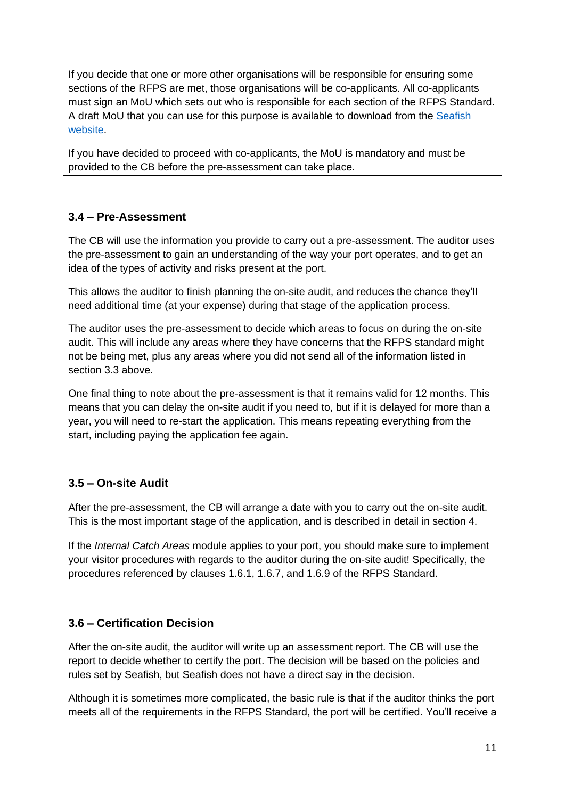If you decide that one or more other organisations will be responsible for ensuring some sections of the RFPS are met, those organisations will be co-applicants. All co-applicants must sign an MoU which sets out who is responsible for each section of the RFPS Standard. A draft MoU that you can use for this purpose is available to download from the [Seafish](https://www.seafish.org/document?id=36115c83-78a8-463f-b645-4d1bd73730d9)  [website.](https://www.seafish.org/document?id=36115c83-78a8-463f-b645-4d1bd73730d9)

If you have decided to proceed with co-applicants, the MoU is mandatory and must be provided to the CB before the pre-assessment can take place.

## <span id="page-10-0"></span>**3.4 – Pre-Assessment**

The CB will use the information you provide to carry out a pre-assessment. The auditor uses the pre-assessment to gain an understanding of the way your port operates, and to get an idea of the types of activity and risks present at the port.

This allows the auditor to finish planning the on-site audit, and reduces the chance they'll need additional time (at your expense) during that stage of the application process.

The auditor uses the pre-assessment to decide which areas to focus on during the on-site audit. This will include any areas where they have concerns that the RFPS standard might not be being met, plus any areas where you did not send all of the information listed in section 3.3 above.

One final thing to note about the pre-assessment is that it remains valid for 12 months. This means that you can delay the on-site audit if you need to, but if it is delayed for more than a year, you will need to re-start the application. This means repeating everything from the start, including paying the application fee again.

## <span id="page-10-1"></span>**3.5 – On-site Audit**

After the pre-assessment, the CB will arrange a date with you to carry out the on-site audit. This is the most important stage of the application, and is described in detail in section 4.

If the *Internal Catch Areas* module applies to your port, you should make sure to implement your visitor procedures with regards to the auditor during the on-site audit! Specifically, the procedures referenced by clauses 1.6.1, 1.6.7, and 1.6.9 of the RFPS Standard.

## <span id="page-10-2"></span>**3.6 – Certification Decision**

After the on-site audit, the auditor will write up an assessment report. The CB will use the report to decide whether to certify the port. The decision will be based on the policies and rules set by Seafish, but Seafish does not have a direct say in the decision.

Although it is sometimes more complicated, the basic rule is that if the auditor thinks the port meets all of the requirements in the RFPS Standard, the port will be certified. You'll receive a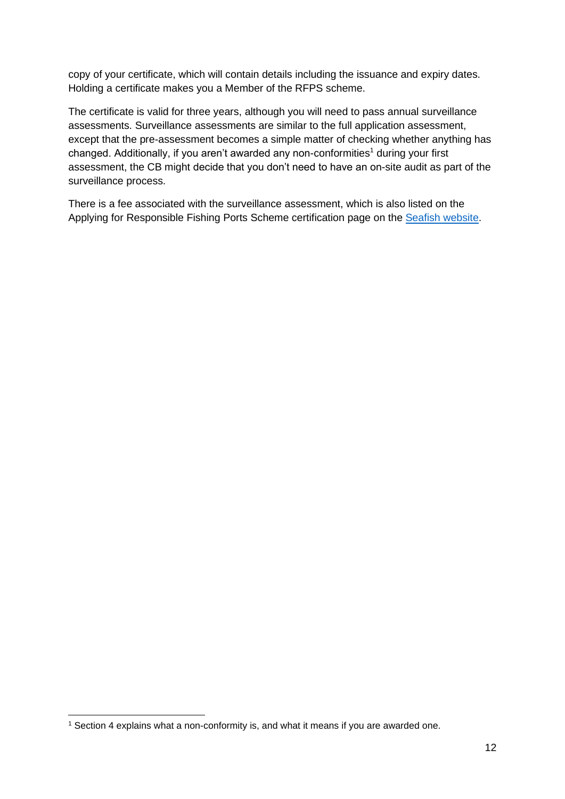copy of your certificate, which will contain details including the issuance and expiry dates. Holding a certificate makes you a Member of the RFPS scheme.

The certificate is valid for three years, although you will need to pass annual surveillance assessments. Surveillance assessments are similar to the full application assessment, except that the pre-assessment becomes a simple matter of checking whether anything has changed. Additionally, if you aren't awarded any non-conformities<sup>1</sup> during your first assessment, the CB might decide that you don't need to have an on-site audit as part of the surveillance process.

There is a fee associated with the surveillance assessment, which is also listed on the Applying for Responsible Fishing Ports Scheme certification page on the [Seafish website.](https://www.seafish.org/responsible-sourcing/responsible-fishing-ports-scheme/applying-for-responsible-fishing-ports-scheme-certification/)

<sup>&</sup>lt;sup>1</sup> Section 4 explains what a non-conformity is, and what it means if you are awarded one.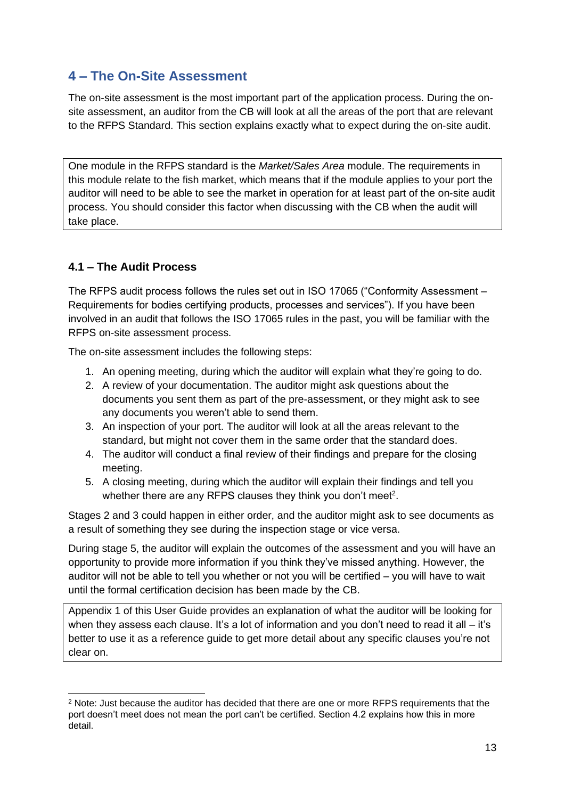# <span id="page-12-0"></span>**4 – The On-Site Assessment**

The on-site assessment is the most important part of the application process. During the onsite assessment, an auditor from the CB will look at all the areas of the port that are relevant to the RFPS Standard. This section explains exactly what to expect during the on-site audit.

One module in the RFPS standard is the *Market/Sales Area* module. The requirements in this module relate to the fish market, which means that if the module applies to your port the auditor will need to be able to see the market in operation for at least part of the on-site audit process. You should consider this factor when discussing with the CB when the audit will take place.

## <span id="page-12-1"></span>**4.1 – The Audit Process**

The RFPS audit process follows the rules set out in ISO 17065 ("Conformity Assessment – Requirements for bodies certifying products, processes and services"). If you have been involved in an audit that follows the ISO 17065 rules in the past, you will be familiar with the RFPS on-site assessment process.

The on-site assessment includes the following steps:

- 1. An opening meeting, during which the auditor will explain what they're going to do.
- 2. A review of your documentation. The auditor might ask questions about the documents you sent them as part of the pre-assessment, or they might ask to see any documents you weren't able to send them.
- 3. An inspection of your port. The auditor will look at all the areas relevant to the standard, but might not cover them in the same order that the standard does.
- 4. The auditor will conduct a final review of their findings and prepare for the closing meeting.
- 5. A closing meeting, during which the auditor will explain their findings and tell you whether there are any RFPS clauses they think you don't meet<sup>2</sup>.

Stages 2 and 3 could happen in either order, and the auditor might ask to see documents as a result of something they see during the inspection stage or vice versa.

During stage 5, the auditor will explain the outcomes of the assessment and you will have an opportunity to provide more information if you think they've missed anything. However, the auditor will not be able to tell you whether or not you will be certified – you will have to wait until the formal certification decision has been made by the CB.

Appendix 1 of this User Guide provides an explanation of what the auditor will be looking for when they assess each clause. It's a lot of information and you don't need to read it all – it's better to use it as a reference guide to get more detail about any specific clauses you're not clear on.

<sup>2</sup> Note: Just because the auditor has decided that there are one or more RFPS requirements that the port doesn't meet does not mean the port can't be certified. Section 4.2 explains how this in more detail.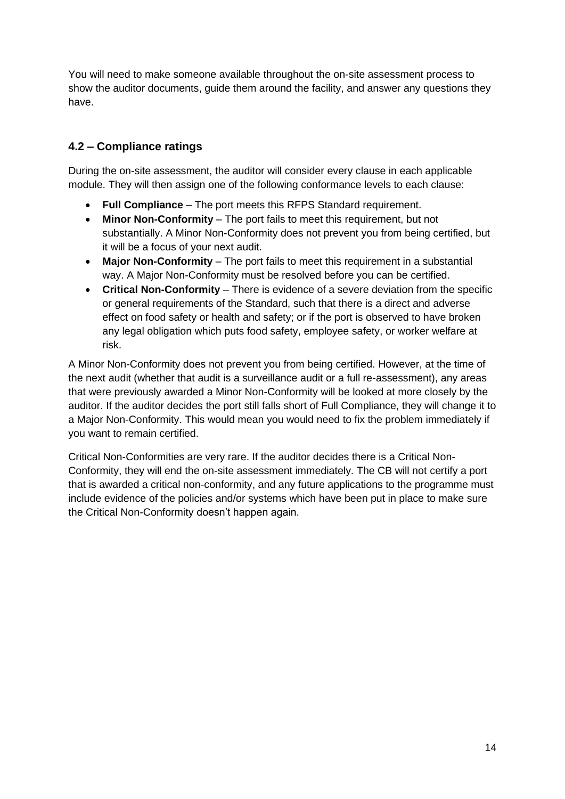You will need to make someone available throughout the on-site assessment process to show the auditor documents, guide them around the facility, and answer any questions they have.

## <span id="page-13-0"></span>**4.2 – Compliance ratings**

During the on-site assessment, the auditor will consider every clause in each applicable module. They will then assign one of the following conformance levels to each clause:

- **Full Compliance** The port meets this RFPS Standard requirement.
- **Minor Non-Conformity** The port fails to meet this requirement, but not substantially. A Minor Non-Conformity does not prevent you from being certified, but it will be a focus of your next audit.
- **Major Non-Conformity**  The port fails to meet this requirement in a substantial way. A Major Non-Conformity must be resolved before you can be certified.
- **Critical Non-Conformity**  There is evidence of a severe deviation from the specific or general requirements of the Standard, such that there is a direct and adverse effect on food safety or health and safety; or if the port is observed to have broken any legal obligation which puts food safety, employee safety, or worker welfare at risk.

A Minor Non-Conformity does not prevent you from being certified. However, at the time of the next audit (whether that audit is a surveillance audit or a full re-assessment), any areas that were previously awarded a Minor Non-Conformity will be looked at more closely by the auditor. If the auditor decides the port still falls short of Full Compliance, they will change it to a Major Non-Conformity. This would mean you would need to fix the problem immediately if you want to remain certified.

Critical Non-Conformities are very rare. If the auditor decides there is a Critical Non-Conformity, they will end the on-site assessment immediately. The CB will not certify a port that is awarded a critical non-conformity, and any future applications to the programme must include evidence of the policies and/or systems which have been put in place to make sure the Critical Non-Conformity doesn't happen again.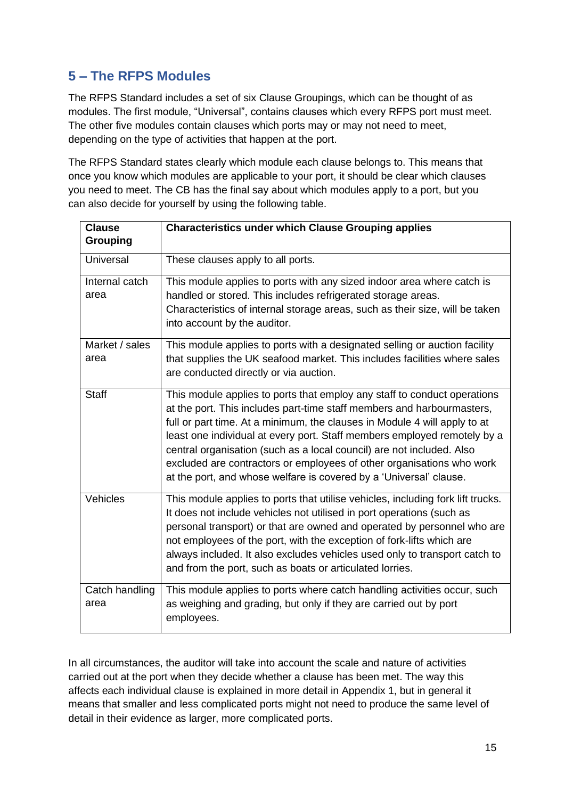# <span id="page-14-0"></span>**5 – The RFPS Modules**

The RFPS Standard includes a set of six Clause Groupings, which can be thought of as modules. The first module, "Universal", contains clauses which every RFPS port must meet. The other five modules contain clauses which ports may or may not need to meet, depending on the type of activities that happen at the port.

The RFPS Standard states clearly which module each clause belongs to. This means that once you know which modules are applicable to your port, it should be clear which clauses you need to meet. The CB has the final say about which modules apply to a port, but you can also decide for yourself by using the following table.

| <b>Clause</b><br><b>Grouping</b> | <b>Characteristics under which Clause Grouping applies</b>                                                                                                                                                                                                                                                                                                                                                                                                                                                                          |
|----------------------------------|-------------------------------------------------------------------------------------------------------------------------------------------------------------------------------------------------------------------------------------------------------------------------------------------------------------------------------------------------------------------------------------------------------------------------------------------------------------------------------------------------------------------------------------|
| Universal                        | These clauses apply to all ports.                                                                                                                                                                                                                                                                                                                                                                                                                                                                                                   |
| Internal catch<br>area           | This module applies to ports with any sized indoor area where catch is<br>handled or stored. This includes refrigerated storage areas.<br>Characteristics of internal storage areas, such as their size, will be taken<br>into account by the auditor.                                                                                                                                                                                                                                                                              |
| Market / sales<br>area           | This module applies to ports with a designated selling or auction facility<br>that supplies the UK seafood market. This includes facilities where sales<br>are conducted directly or via auction.                                                                                                                                                                                                                                                                                                                                   |
| <b>Staff</b>                     | This module applies to ports that employ any staff to conduct operations<br>at the port. This includes part-time staff members and harbourmasters,<br>full or part time. At a minimum, the clauses in Module 4 will apply to at<br>least one individual at every port. Staff members employed remotely by a<br>central organisation (such as a local council) are not included. Also<br>excluded are contractors or employees of other organisations who work<br>at the port, and whose welfare is covered by a 'Universal' clause. |
| Vehicles                         | This module applies to ports that utilise vehicles, including fork lift trucks.<br>It does not include vehicles not utilised in port operations (such as<br>personal transport) or that are owned and operated by personnel who are<br>not employees of the port, with the exception of fork-lifts which are<br>always included. It also excludes vehicles used only to transport catch to<br>and from the port, such as boats or articulated lorries.                                                                              |
| Catch handling<br>area           | This module applies to ports where catch handling activities occur, such<br>as weighing and grading, but only if they are carried out by port<br>employees.                                                                                                                                                                                                                                                                                                                                                                         |

In all circumstances, the auditor will take into account the scale and nature of activities carried out at the port when they decide whether a clause has been met. The way this affects each individual clause is explained in more detail in Appendix 1, but in general it means that smaller and less complicated ports might not need to produce the same level of detail in their evidence as larger, more complicated ports.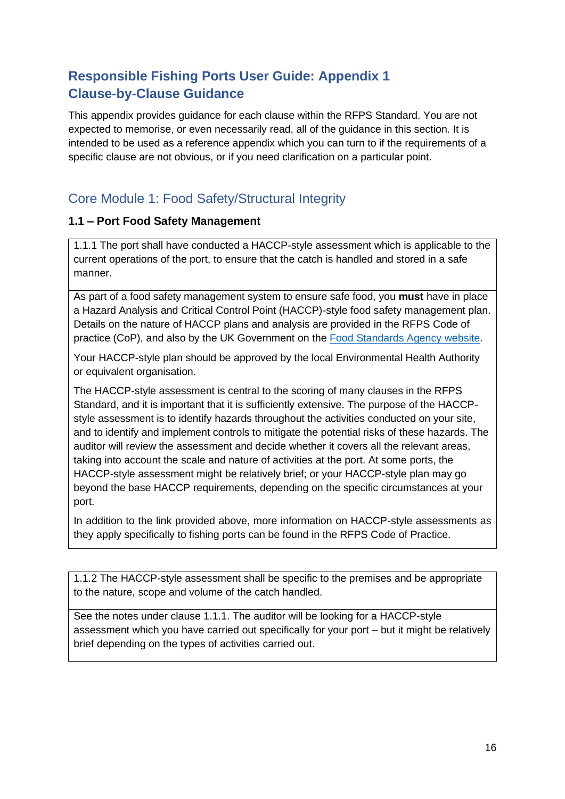# <span id="page-15-0"></span>**Responsible Fishing Ports User Guide: Appendix 1 Clause-by-Clause Guidance**

This appendix provides guidance for each clause within the RFPS Standard. You are not expected to memorise, or even necessarily read, all of the guidance in this section. It is intended to be used as a reference appendix which you can turn to if the requirements of a specific clause are not obvious, or if you need clarification on a particular point.

# <span id="page-15-1"></span>Core Module 1: Food Safety/Structural Integrity

## <span id="page-15-2"></span>**1.1 – Port Food Safety Management**

1.1.1 The port shall have conducted a HACCP-style assessment which is applicable to the current operations of the port, to ensure that the catch is handled and stored in a safe manner.

As part of a food safety management system to ensure safe food, you **must** have in place a Hazard Analysis and Critical Control Point (HACCP)-style food safety management plan. Details on the nature of HACCP plans and analysis are provided in the RFPS Code of practice (CoP), and also by the UK Government on the [Food Standards Agency](https://www.food.gov.uk/business-guidance/hazard-analysis-and-critical-control-point-haccp) website.

Your HACCP-style plan should be approved by the local Environmental Health Authority or equivalent organisation.

The HACCP-style assessment is central to the scoring of many clauses in the RFPS Standard, and it is important that it is sufficiently extensive. The purpose of the HACCPstyle assessment is to identify hazards throughout the activities conducted on your site, and to identify and implement controls to mitigate the potential risks of these hazards. The auditor will review the assessment and decide whether it covers all the relevant areas, taking into account the scale and nature of activities at the port. At some ports, the HACCP-style assessment might be relatively brief; or your HACCP-style plan may go beyond the base HACCP requirements, depending on the specific circumstances at your port.

In addition to the link provided above, more information on HACCP-style assessments as they apply specifically to fishing ports can be found in the RFPS Code of Practice.

1.1.2 The HACCP-style assessment shall be specific to the premises and be appropriate to the nature, scope and volume of the catch handled.

See the notes under clause 1.1.1. The auditor will be looking for a HACCP-style assessment which you have carried out specifically for your port – but it might be relatively brief depending on the types of activities carried out.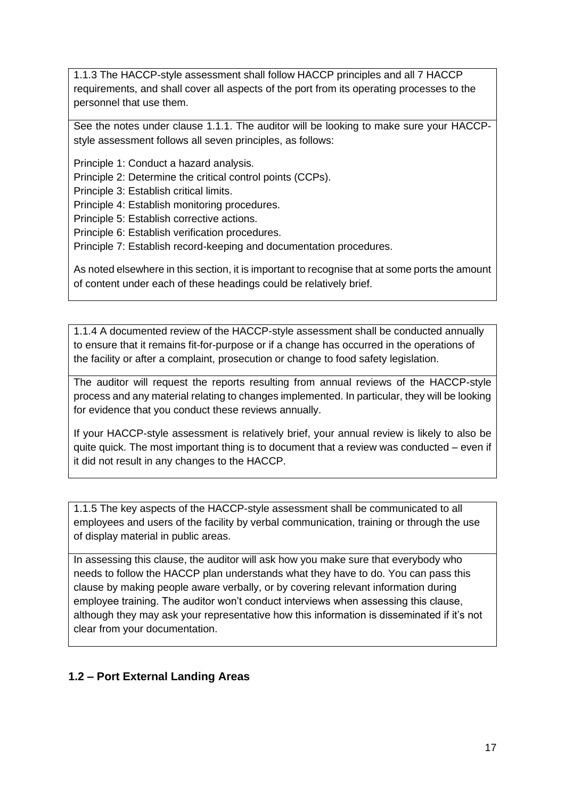1.1.3 The HACCP-style assessment shall follow HACCP principles and all 7 HACCP requirements, and shall cover all aspects of the port from its operating processes to the personnel that use them.

See the notes under clause 1.1.1. The auditor will be looking to make sure your HACCPstyle assessment follows all seven principles, as follows:

Principle 1: Conduct a hazard analysis.

Principle 2: Determine the critical control points (CCPs).

Principle 3: Establish critical limits.

Principle 4: Establish monitoring procedures.

Principle 5: Establish corrective actions.

Principle 6: Establish verification procedures.

Principle 7: Establish record-keeping and documentation procedures.

As noted elsewhere in this section, it is important to recognise that at some ports the amount of content under each of these headings could be relatively brief.

1.1.4 A documented review of the HACCP-style assessment shall be conducted annually to ensure that it remains fit-for-purpose or if a change has occurred in the operations of the facility or after a complaint, prosecution or change to food safety legislation.

The auditor will request the reports resulting from annual reviews of the HACCP-style process and any material relating to changes implemented. In particular, they will be looking for evidence that you conduct these reviews annually.

If your HACCP-style assessment is relatively brief, your annual review is likely to also be quite quick. The most important thing is to document that a review was conducted – even if it did not result in any changes to the HACCP.

1.1.5 The key aspects of the HACCP-style assessment shall be communicated to all employees and users of the facility by verbal communication, training or through the use of display material in public areas.

In assessing this clause, the auditor will ask how you make sure that everybody who needs to follow the HACCP plan understands what they have to do. You can pass this clause by making people aware verbally, or by covering relevant information during employee training. The auditor won't conduct interviews when assessing this clause, although they may ask your representative how this information is disseminated if it's not clear from your documentation.

## <span id="page-16-0"></span>**1.2 – Port External Landing Areas**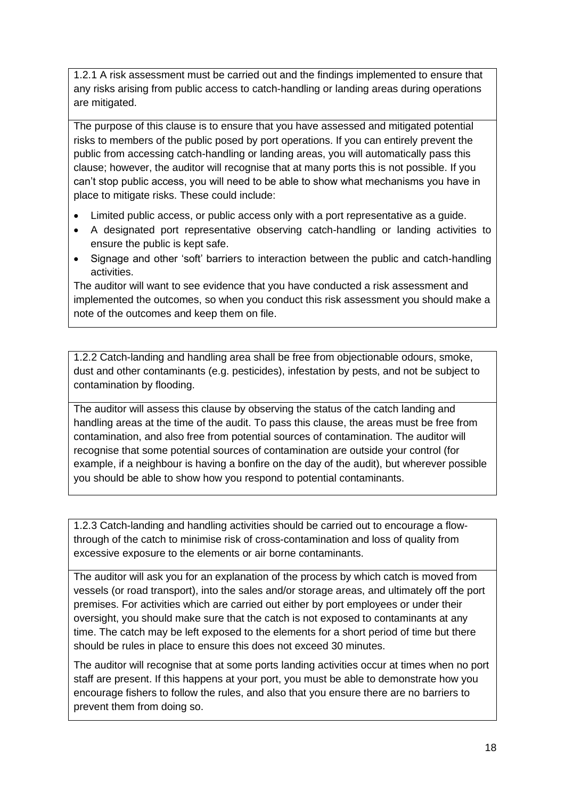1.2.1 A risk assessment must be carried out and the findings implemented to ensure that any risks arising from public access to catch-handling or landing areas during operations are mitigated.

The purpose of this clause is to ensure that you have assessed and mitigated potential risks to members of the public posed by port operations. If you can entirely prevent the public from accessing catch-handling or landing areas, you will automatically pass this clause; however, the auditor will recognise that at many ports this is not possible. If you can't stop public access, you will need to be able to show what mechanisms you have in place to mitigate risks. These could include:

- Limited public access, or public access only with a port representative as a guide.
- A designated port representative observing catch-handling or landing activities to ensure the public is kept safe.
- Signage and other 'soft' barriers to interaction between the public and catch-handling activities.

The auditor will want to see evidence that you have conducted a risk assessment and implemented the outcomes, so when you conduct this risk assessment you should make a note of the outcomes and keep them on file.

1.2.2 Catch-landing and handling area shall be free from objectionable odours, smoke, dust and other contaminants (e.g. pesticides), infestation by pests, and not be subject to contamination by flooding.

The auditor will assess this clause by observing the status of the catch landing and handling areas at the time of the audit. To pass this clause, the areas must be free from contamination, and also free from potential sources of contamination. The auditor will recognise that some potential sources of contamination are outside your control (for example, if a neighbour is having a bonfire on the day of the audit), but wherever possible you should be able to show how you respond to potential contaminants.

1.2.3 Catch-landing and handling activities should be carried out to encourage a flowthrough of the catch to minimise risk of cross-contamination and loss of quality from excessive exposure to the elements or air borne contaminants.

The auditor will ask you for an explanation of the process by which catch is moved from vessels (or road transport), into the sales and/or storage areas, and ultimately off the port premises. For activities which are carried out either by port employees or under their oversight, you should make sure that the catch is not exposed to contaminants at any time. The catch may be left exposed to the elements for a short period of time but there should be rules in place to ensure this does not exceed 30 minutes.

The auditor will recognise that at some ports landing activities occur at times when no port staff are present. If this happens at your port, you must be able to demonstrate how you encourage fishers to follow the rules, and also that you ensure there are no barriers to prevent them from doing so.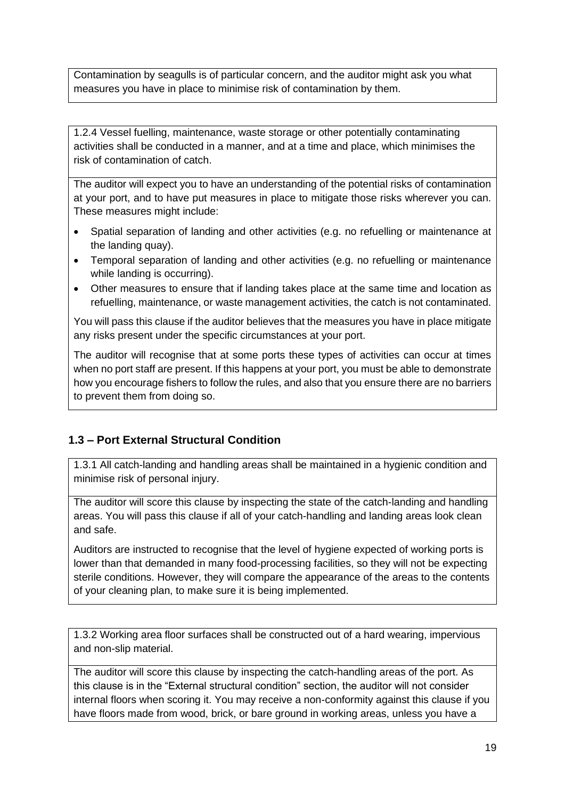Contamination by seagulls is of particular concern, and the auditor might ask you what measures you have in place to minimise risk of contamination by them.

1.2.4 Vessel fuelling, maintenance, waste storage or other potentially contaminating activities shall be conducted in a manner, and at a time and place, which minimises the risk of contamination of catch.

The auditor will expect you to have an understanding of the potential risks of contamination at your port, and to have put measures in place to mitigate those risks wherever you can. These measures might include:

- Spatial separation of landing and other activities (e.g. no refuelling or maintenance at the landing quay).
- Temporal separation of landing and other activities (e.g. no refuelling or maintenance while landing is occurring).
- Other measures to ensure that if landing takes place at the same time and location as refuelling, maintenance, or waste management activities, the catch is not contaminated.

You will pass this clause if the auditor believes that the measures you have in place mitigate any risks present under the specific circumstances at your port.

The auditor will recognise that at some ports these types of activities can occur at times when no port staff are present. If this happens at your port, you must be able to demonstrate how you encourage fishers to follow the rules, and also that you ensure there are no barriers to prevent them from doing so.

## <span id="page-18-0"></span>**1.3 – Port External Structural Condition**

1.3.1 All catch-landing and handling areas shall be maintained in a hygienic condition and minimise risk of personal injury.

The auditor will score this clause by inspecting the state of the catch-landing and handling areas. You will pass this clause if all of your catch-handling and landing areas look clean and safe.

Auditors are instructed to recognise that the level of hygiene expected of working ports is lower than that demanded in many food-processing facilities, so they will not be expecting sterile conditions. However, they will compare the appearance of the areas to the contents of your cleaning plan, to make sure it is being implemented.

1.3.2 Working area floor surfaces shall be constructed out of a hard wearing, impervious and non-slip material.

The auditor will score this clause by inspecting the catch-handling areas of the port. As this clause is in the "External structural condition" section, the auditor will not consider internal floors when scoring it. You may receive a non-conformity against this clause if you have floors made from wood, brick, or bare ground in working areas, unless you have a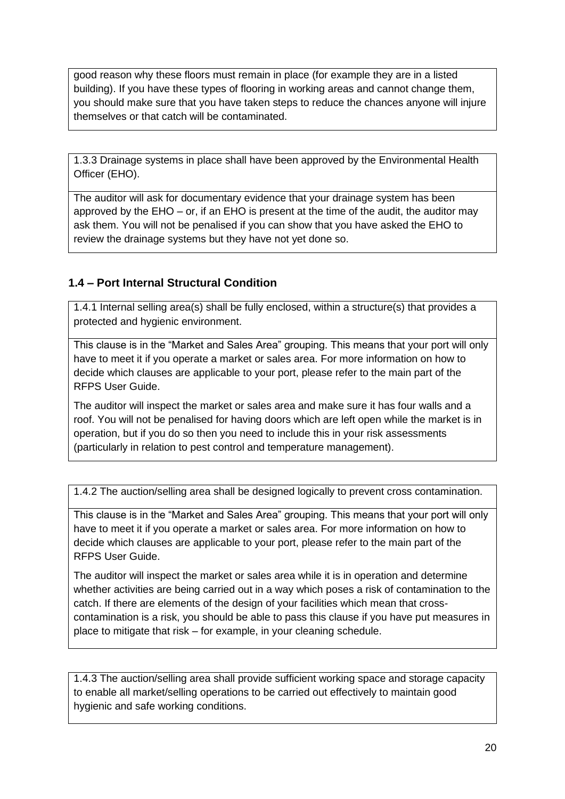good reason why these floors must remain in place (for example they are in a listed building). If you have these types of flooring in working areas and cannot change them, you should make sure that you have taken steps to reduce the chances anyone will injure themselves or that catch will be contaminated.

1.3.3 Drainage systems in place shall have been approved by the Environmental Health Officer (EHO).

The auditor will ask for documentary evidence that your drainage system has been approved by the EHO – or, if an EHO is present at the time of the audit, the auditor may ask them. You will not be penalised if you can show that you have asked the EHO to review the drainage systems but they have not yet done so.

## <span id="page-19-0"></span>**1.4 – Port Internal Structural Condition**

1.4.1 Internal selling area(s) shall be fully enclosed, within a structure(s) that provides a protected and hygienic environment.

This clause is in the "Market and Sales Area" grouping. This means that your port will only have to meet it if you operate a market or sales area. For more information on how to decide which clauses are applicable to your port, please refer to the main part of the RFPS User Guide.

The auditor will inspect the market or sales area and make sure it has four walls and a roof. You will not be penalised for having doors which are left open while the market is in operation, but if you do so then you need to include this in your risk assessments (particularly in relation to pest control and temperature management).

1.4.2 The auction/selling area shall be designed logically to prevent cross contamination.

This clause is in the "Market and Sales Area" grouping. This means that your port will only have to meet it if you operate a market or sales area. For more information on how to decide which clauses are applicable to your port, please refer to the main part of the RFPS User Guide.

The auditor will inspect the market or sales area while it is in operation and determine whether activities are being carried out in a way which poses a risk of contamination to the catch. If there are elements of the design of your facilities which mean that crosscontamination is a risk, you should be able to pass this clause if you have put measures in place to mitigate that risk – for example, in your cleaning schedule.

1.4.3 The auction/selling area shall provide sufficient working space and storage capacity to enable all market/selling operations to be carried out effectively to maintain good hygienic and safe working conditions.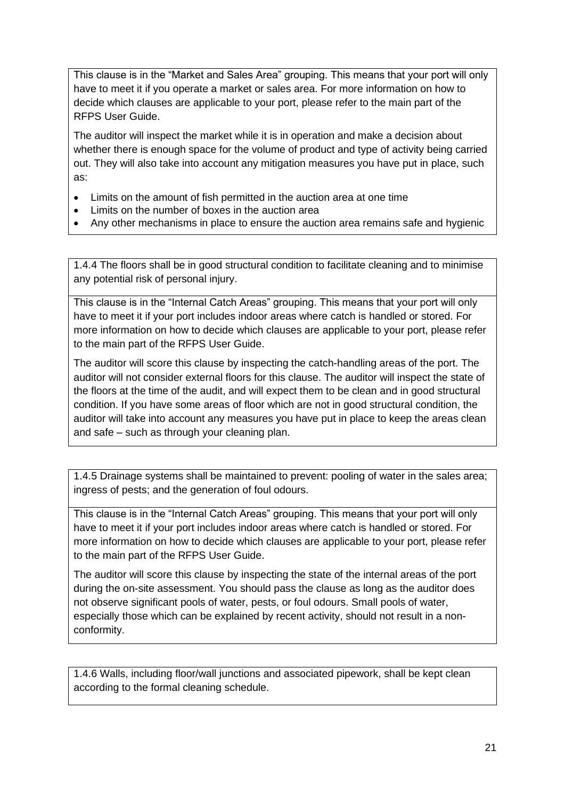This clause is in the "Market and Sales Area" grouping. This means that your port will only have to meet it if you operate a market or sales area. For more information on how to decide which clauses are applicable to your port, please refer to the main part of the RFPS User Guide.

The auditor will inspect the market while it is in operation and make a decision about whether there is enough space for the volume of product and type of activity being carried out. They will also take into account any mitigation measures you have put in place, such as:

- Limits on the amount of fish permitted in the auction area at one time
- Limits on the number of boxes in the auction area
- Any other mechanisms in place to ensure the auction area remains safe and hygienic

1.4.4 The floors shall be in good structural condition to facilitate cleaning and to minimise any potential risk of personal injury.

This clause is in the "Internal Catch Areas" grouping. This means that your port will only have to meet it if your port includes indoor areas where catch is handled or stored. For more information on how to decide which clauses are applicable to your port, please refer to the main part of the RFPS User Guide.

The auditor will score this clause by inspecting the catch-handling areas of the port. The auditor will not consider external floors for this clause. The auditor will inspect the state of the floors at the time of the audit, and will expect them to be clean and in good structural condition. If you have some areas of floor which are not in good structural condition, the auditor will take into account any measures you have put in place to keep the areas clean and safe – such as through your cleaning plan.

1.4.5 Drainage systems shall be maintained to prevent: pooling of water in the sales area; ingress of pests; and the generation of foul odours.

This clause is in the "Internal Catch Areas" grouping. This means that your port will only have to meet it if your port includes indoor areas where catch is handled or stored. For more information on how to decide which clauses are applicable to your port, please refer to the main part of the RFPS User Guide.

The auditor will score this clause by inspecting the state of the internal areas of the port during the on-site assessment. You should pass the clause as long as the auditor does not observe significant pools of water, pests, or foul odours. Small pools of water, especially those which can be explained by recent activity, should not result in a nonconformity.

1.4.6 Walls, including floor/wall junctions and associated pipework, shall be kept clean according to the formal cleaning schedule.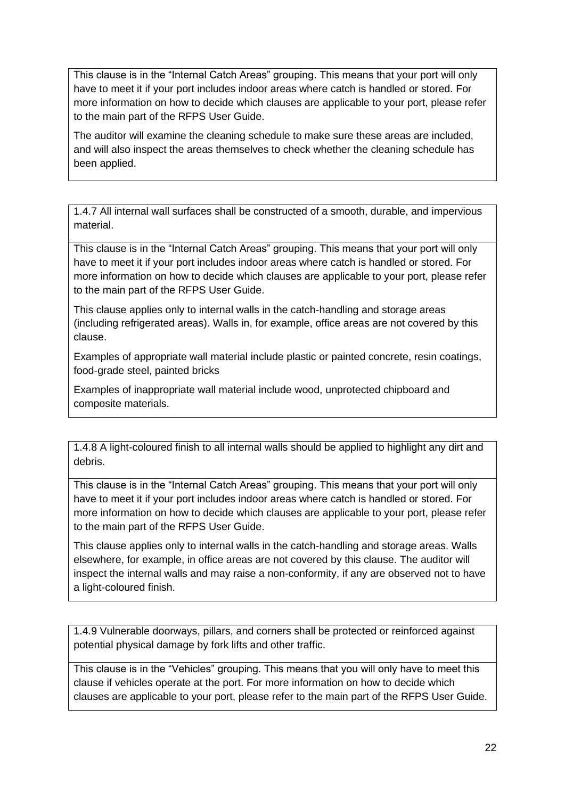This clause is in the "Internal Catch Areas" grouping. This means that your port will only have to meet it if your port includes indoor areas where catch is handled or stored. For more information on how to decide which clauses are applicable to your port, please refer to the main part of the RFPS User Guide.

The auditor will examine the cleaning schedule to make sure these areas are included, and will also inspect the areas themselves to check whether the cleaning schedule has been applied.

1.4.7 All internal wall surfaces shall be constructed of a smooth, durable, and impervious material.

This clause is in the "Internal Catch Areas" grouping. This means that your port will only have to meet it if your port includes indoor areas where catch is handled or stored. For more information on how to decide which clauses are applicable to your port, please refer to the main part of the RFPS User Guide.

This clause applies only to internal walls in the catch-handling and storage areas (including refrigerated areas). Walls in, for example, office areas are not covered by this clause.

Examples of appropriate wall material include plastic or painted concrete, resin coatings, food-grade steel, painted bricks

Examples of inappropriate wall material include wood, unprotected chipboard and composite materials.

1.4.8 A light-coloured finish to all internal walls should be applied to highlight any dirt and debris.

This clause is in the "Internal Catch Areas" grouping. This means that your port will only have to meet it if your port includes indoor areas where catch is handled or stored. For more information on how to decide which clauses are applicable to your port, please refer to the main part of the RFPS User Guide.

This clause applies only to internal walls in the catch-handling and storage areas. Walls elsewhere, for example, in office areas are not covered by this clause. The auditor will inspect the internal walls and may raise a non-conformity, if any are observed not to have a light-coloured finish.

1.4.9 Vulnerable doorways, pillars, and corners shall be protected or reinforced against potential physical damage by fork lifts and other traffic.

This clause is in the "Vehicles" grouping. This means that you will only have to meet this clause if vehicles operate at the port. For more information on how to decide which clauses are applicable to your port, please refer to the main part of the RFPS User Guide.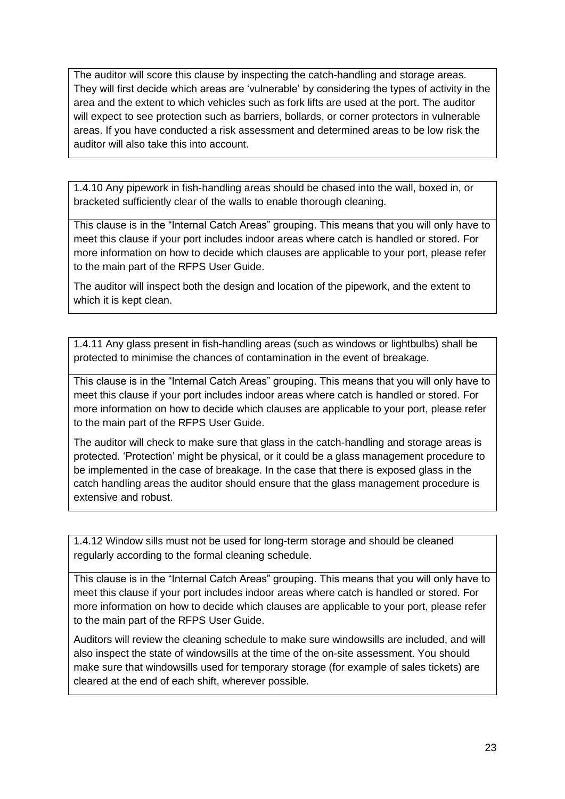The auditor will score this clause by inspecting the catch-handling and storage areas. They will first decide which areas are 'vulnerable' by considering the types of activity in the area and the extent to which vehicles such as fork lifts are used at the port. The auditor will expect to see protection such as barriers, bollards, or corner protectors in vulnerable areas. If you have conducted a risk assessment and determined areas to be low risk the auditor will also take this into account.

1.4.10 Any pipework in fish-handling areas should be chased into the wall, boxed in, or bracketed sufficiently clear of the walls to enable thorough cleaning.

This clause is in the "Internal Catch Areas" grouping. This means that you will only have to meet this clause if your port includes indoor areas where catch is handled or stored. For more information on how to decide which clauses are applicable to your port, please refer to the main part of the RFPS User Guide.

The auditor will inspect both the design and location of the pipework, and the extent to which it is kept clean.

1.4.11 Any glass present in fish-handling areas (such as windows or lightbulbs) shall be protected to minimise the chances of contamination in the event of breakage.

This clause is in the "Internal Catch Areas" grouping. This means that you will only have to meet this clause if your port includes indoor areas where catch is handled or stored. For more information on how to decide which clauses are applicable to your port, please refer to the main part of the RFPS User Guide.

The auditor will check to make sure that glass in the catch-handling and storage areas is protected. 'Protection' might be physical, or it could be a glass management procedure to be implemented in the case of breakage. In the case that there is exposed glass in the catch handling areas the auditor should ensure that the glass management procedure is extensive and robust.

1.4.12 Window sills must not be used for long-term storage and should be cleaned regularly according to the formal cleaning schedule.

This clause is in the "Internal Catch Areas" grouping. This means that you will only have to meet this clause if your port includes indoor areas where catch is handled or stored. For more information on how to decide which clauses are applicable to your port, please refer to the main part of the RFPS User Guide.

Auditors will review the cleaning schedule to make sure windowsills are included, and will also inspect the state of windowsills at the time of the on-site assessment. You should make sure that windowsills used for temporary storage (for example of sales tickets) are cleared at the end of each shift, wherever possible.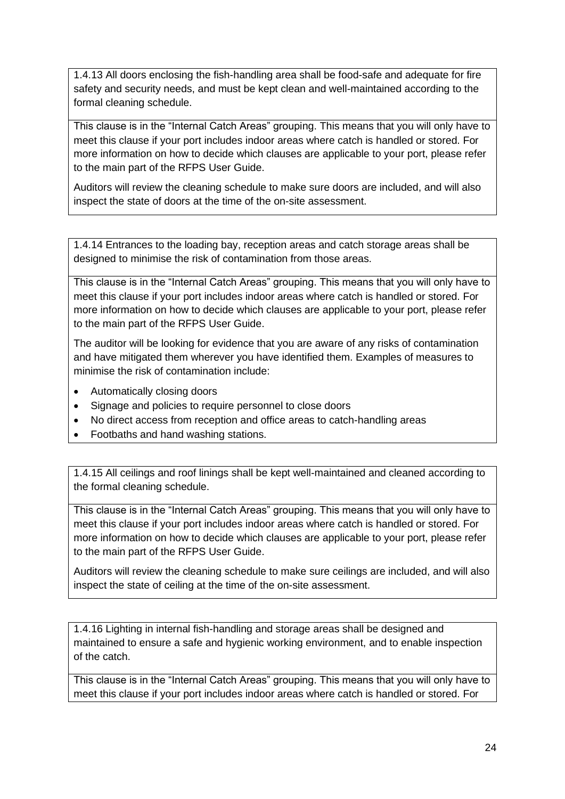1.4.13 All doors enclosing the fish-handling area shall be food-safe and adequate for fire safety and security needs, and must be kept clean and well-maintained according to the formal cleaning schedule.

This clause is in the "Internal Catch Areas" grouping. This means that you will only have to meet this clause if your port includes indoor areas where catch is handled or stored. For more information on how to decide which clauses are applicable to your port, please refer to the main part of the RFPS User Guide.

Auditors will review the cleaning schedule to make sure doors are included, and will also inspect the state of doors at the time of the on-site assessment.

1.4.14 Entrances to the loading bay, reception areas and catch storage areas shall be designed to minimise the risk of contamination from those areas.

This clause is in the "Internal Catch Areas" grouping. This means that you will only have to meet this clause if your port includes indoor areas where catch is handled or stored. For more information on how to decide which clauses are applicable to your port, please refer to the main part of the RFPS User Guide.

The auditor will be looking for evidence that you are aware of any risks of contamination and have mitigated them wherever you have identified them. Examples of measures to minimise the risk of contamination include:

- Automatically closing doors
- Signage and policies to require personnel to close doors
- No direct access from reception and office areas to catch-handling areas
- Footbaths and hand washing stations.

1.4.15 All ceilings and roof linings shall be kept well-maintained and cleaned according to the formal cleaning schedule.

This clause is in the "Internal Catch Areas" grouping. This means that you will only have to meet this clause if your port includes indoor areas where catch is handled or stored. For more information on how to decide which clauses are applicable to your port, please refer to the main part of the RFPS User Guide.

Auditors will review the cleaning schedule to make sure ceilings are included, and will also inspect the state of ceiling at the time of the on-site assessment.

1.4.16 Lighting in internal fish-handling and storage areas shall be designed and maintained to ensure a safe and hygienic working environment, and to enable inspection of the catch.

This clause is in the "Internal Catch Areas" grouping. This means that you will only have to meet this clause if your port includes indoor areas where catch is handled or stored. For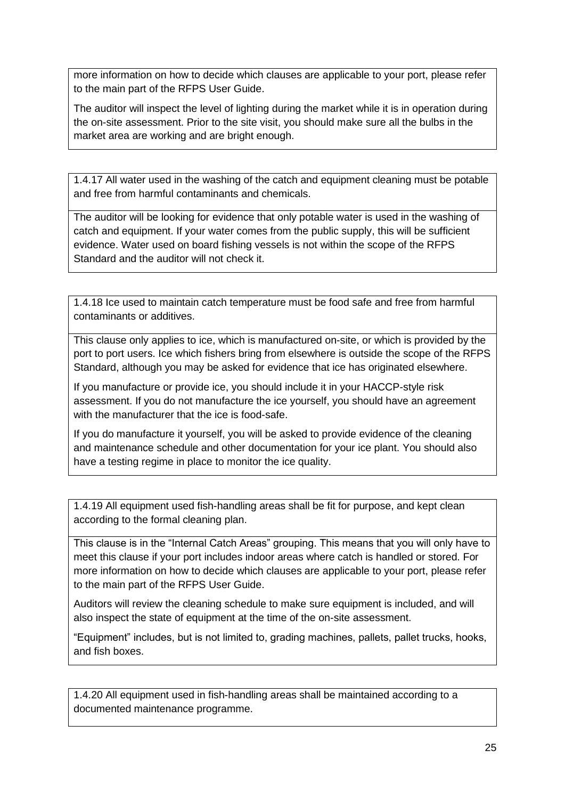more information on how to decide which clauses are applicable to your port, please refer to the main part of the RFPS User Guide.

The auditor will inspect the level of lighting during the market while it is in operation during the on-site assessment. Prior to the site visit, you should make sure all the bulbs in the market area are working and are bright enough.

1.4.17 All water used in the washing of the catch and equipment cleaning must be potable and free from harmful contaminants and chemicals.

The auditor will be looking for evidence that only potable water is used in the washing of catch and equipment. If your water comes from the public supply, this will be sufficient evidence. Water used on board fishing vessels is not within the scope of the RFPS Standard and the auditor will not check it.

1.4.18 Ice used to maintain catch temperature must be food safe and free from harmful contaminants or additives.

This clause only applies to ice, which is manufactured on-site, or which is provided by the port to port users. Ice which fishers bring from elsewhere is outside the scope of the RFPS Standard, although you may be asked for evidence that ice has originated elsewhere.

If you manufacture or provide ice, you should include it in your HACCP-style risk assessment. If you do not manufacture the ice yourself, you should have an agreement with the manufacturer that the ice is food-safe.

If you do manufacture it yourself, you will be asked to provide evidence of the cleaning and maintenance schedule and other documentation for your ice plant. You should also have a testing regime in place to monitor the ice quality.

1.4.19 All equipment used fish-handling areas shall be fit for purpose, and kept clean according to the formal cleaning plan.

This clause is in the "Internal Catch Areas" grouping. This means that you will only have to meet this clause if your port includes indoor areas where catch is handled or stored. For more information on how to decide which clauses are applicable to your port, please refer to the main part of the RFPS User Guide.

Auditors will review the cleaning schedule to make sure equipment is included, and will also inspect the state of equipment at the time of the on-site assessment.

"Equipment" includes, but is not limited to, grading machines, pallets, pallet trucks, hooks, and fish boxes.

1.4.20 All equipment used in fish-handling areas shall be maintained according to a documented maintenance programme.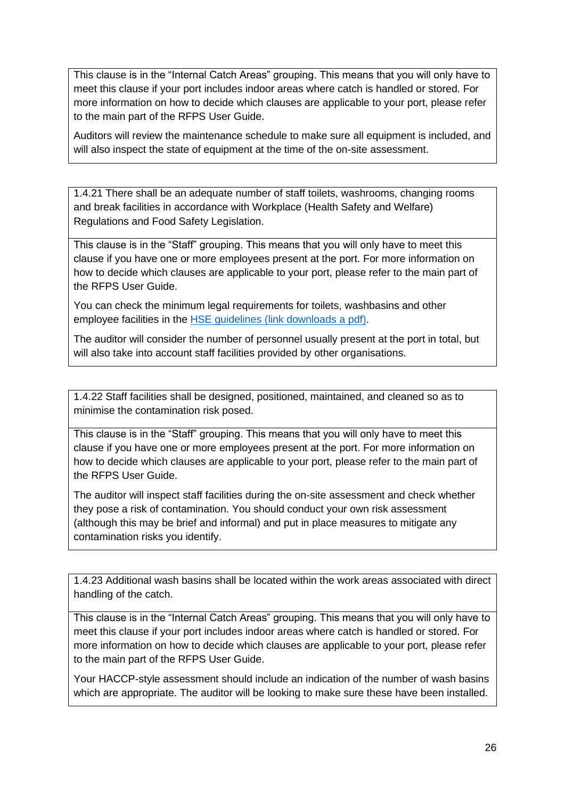This clause is in the "Internal Catch Areas" grouping. This means that you will only have to meet this clause if your port includes indoor areas where catch is handled or stored. For more information on how to decide which clauses are applicable to your port, please refer to the main part of the RFPS User Guide.

Auditors will review the maintenance schedule to make sure all equipment is included, and will also inspect the state of equipment at the time of the on-site assessment.

1.4.21 There shall be an adequate number of staff toilets, washrooms, changing rooms and break facilities in accordance with Workplace (Health Safety and Welfare) Regulations and Food Safety Legislation.

This clause is in the "Staff" grouping. This means that you will only have to meet this clause if you have one or more employees present at the port. For more information on how to decide which clauses are applicable to your port, please refer to the main part of the RFPS User Guide.

You can check the minimum legal requirements for toilets, washbasins and other employee facilities in the [HSE guidelines \(link downloads a](file:///C:/Users/l_bain/AppData/Local/Microsoft/Windows/INetCache/Content.Outlook/3XX8WUSE/HSE%20guidelines%20(link%20downloads%20a%20pdf)) pdf).

The auditor will consider the number of personnel usually present at the port in total, but will also take into account staff facilities provided by other organisations.

1.4.22 Staff facilities shall be designed, positioned, maintained, and cleaned so as to minimise the contamination risk posed.

This clause is in the "Staff" grouping. This means that you will only have to meet this clause if you have one or more employees present at the port. For more information on how to decide which clauses are applicable to your port, please refer to the main part of the RFPS User Guide.

The auditor will inspect staff facilities during the on-site assessment and check whether they pose a risk of contamination. You should conduct your own risk assessment (although this may be brief and informal) and put in place measures to mitigate any contamination risks you identify.

1.4.23 Additional wash basins shall be located within the work areas associated with direct handling of the catch.

This clause is in the "Internal Catch Areas" grouping. This means that you will only have to meet this clause if your port includes indoor areas where catch is handled or stored. For more information on how to decide which clauses are applicable to your port, please refer to the main part of the RFPS User Guide.

Your HACCP-style assessment should include an indication of the number of wash basins which are appropriate. The auditor will be looking to make sure these have been installed.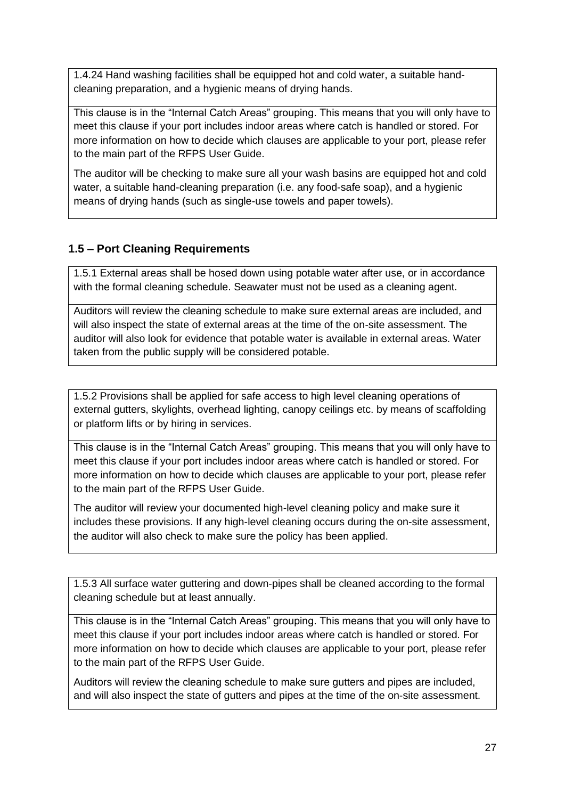1.4.24 Hand washing facilities shall be equipped hot and cold water, a suitable handcleaning preparation, and a hygienic means of drying hands.

This clause is in the "Internal Catch Areas" grouping. This means that you will only have to meet this clause if your port includes indoor areas where catch is handled or stored. For more information on how to decide which clauses are applicable to your port, please refer to the main part of the RFPS User Guide.

The auditor will be checking to make sure all your wash basins are equipped hot and cold water, a suitable hand-cleaning preparation (i.e. any food-safe soap), and a hygienic means of drying hands (such as single-use towels and paper towels).

## <span id="page-26-0"></span>**1.5 – Port Cleaning Requirements**

1.5.1 External areas shall be hosed down using potable water after use, or in accordance with the formal cleaning schedule. Seawater must not be used as a cleaning agent.

Auditors will review the cleaning schedule to make sure external areas are included, and will also inspect the state of external areas at the time of the on-site assessment. The auditor will also look for evidence that potable water is available in external areas. Water taken from the public supply will be considered potable.

1.5.2 Provisions shall be applied for safe access to high level cleaning operations of external gutters, skylights, overhead lighting, canopy ceilings etc. by means of scaffolding or platform lifts or by hiring in services.

This clause is in the "Internal Catch Areas" grouping. This means that you will only have to meet this clause if your port includes indoor areas where catch is handled or stored. For more information on how to decide which clauses are applicable to your port, please refer to the main part of the RFPS User Guide.

The auditor will review your documented high-level cleaning policy and make sure it includes these provisions. If any high-level cleaning occurs during the on-site assessment, the auditor will also check to make sure the policy has been applied.

1.5.3 All surface water guttering and down-pipes shall be cleaned according to the formal cleaning schedule but at least annually.

This clause is in the "Internal Catch Areas" grouping. This means that you will only have to meet this clause if your port includes indoor areas where catch is handled or stored. For more information on how to decide which clauses are applicable to your port, please refer to the main part of the RFPS User Guide.

Auditors will review the cleaning schedule to make sure gutters and pipes are included, and will also inspect the state of gutters and pipes at the time of the on-site assessment.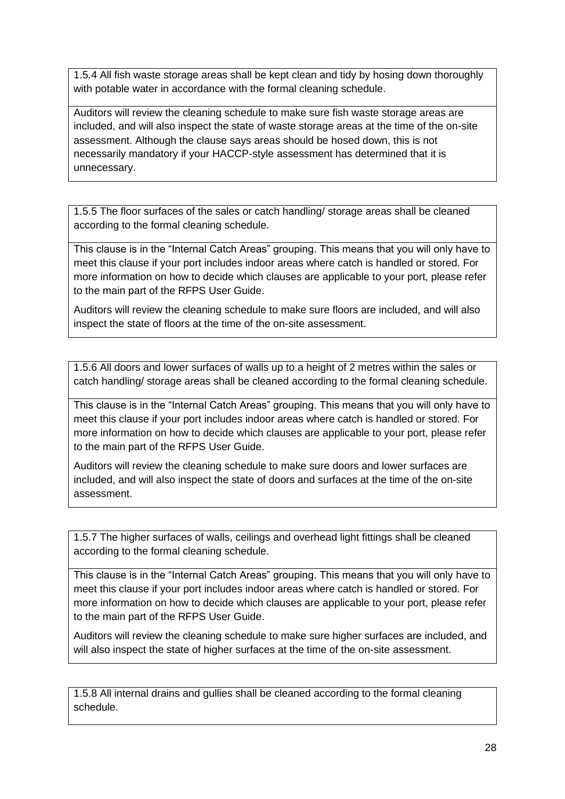1.5.4 All fish waste storage areas shall be kept clean and tidy by hosing down thoroughly with potable water in accordance with the formal cleaning schedule.

Auditors will review the cleaning schedule to make sure fish waste storage areas are included, and will also inspect the state of waste storage areas at the time of the on-site assessment. Although the clause says areas should be hosed down, this is not necessarily mandatory if your HACCP-style assessment has determined that it is unnecessary.

1.5.5 The floor surfaces of the sales or catch handling/ storage areas shall be cleaned according to the formal cleaning schedule.

This clause is in the "Internal Catch Areas" grouping. This means that you will only have to meet this clause if your port includes indoor areas where catch is handled or stored. For more information on how to decide which clauses are applicable to your port, please refer to the main part of the RFPS User Guide.

Auditors will review the cleaning schedule to make sure floors are included, and will also inspect the state of floors at the time of the on-site assessment.

1.5.6 All doors and lower surfaces of walls up to a height of 2 metres within the sales or catch handling/ storage areas shall be cleaned according to the formal cleaning schedule.

This clause is in the "Internal Catch Areas" grouping. This means that you will only have to meet this clause if your port includes indoor areas where catch is handled or stored. For more information on how to decide which clauses are applicable to your port, please refer to the main part of the RFPS User Guide.

Auditors will review the cleaning schedule to make sure doors and lower surfaces are included, and will also inspect the state of doors and surfaces at the time of the on-site assessment.

1.5.7 The higher surfaces of walls, ceilings and overhead light fittings shall be cleaned according to the formal cleaning schedule.

This clause is in the "Internal Catch Areas" grouping. This means that you will only have to meet this clause if your port includes indoor areas where catch is handled or stored. For more information on how to decide which clauses are applicable to your port, please refer to the main part of the RFPS User Guide.

Auditors will review the cleaning schedule to make sure higher surfaces are included, and will also inspect the state of higher surfaces at the time of the on-site assessment.

1.5.8 All internal drains and gullies shall be cleaned according to the formal cleaning schedule.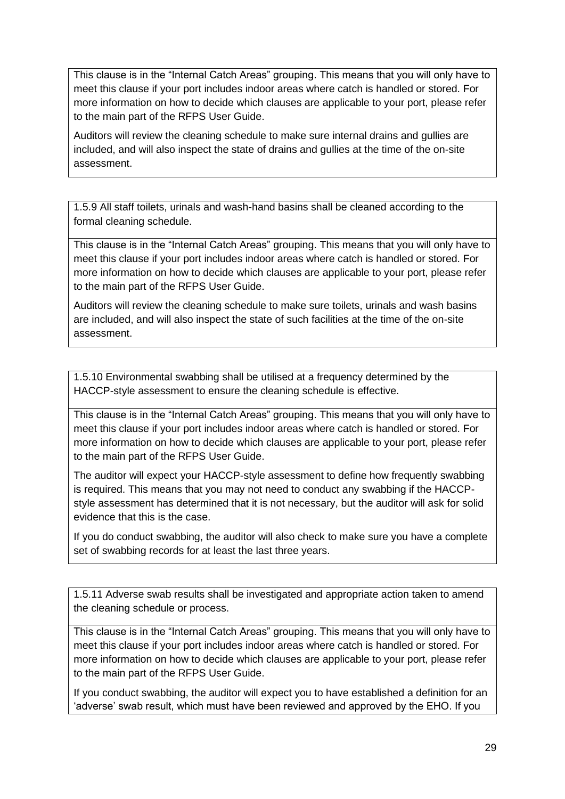This clause is in the "Internal Catch Areas" grouping. This means that you will only have to meet this clause if your port includes indoor areas where catch is handled or stored. For more information on how to decide which clauses are applicable to your port, please refer to the main part of the RFPS User Guide.

Auditors will review the cleaning schedule to make sure internal drains and gullies are included, and will also inspect the state of drains and gullies at the time of the on-site assessment.

1.5.9 All staff toilets, urinals and wash-hand basins shall be cleaned according to the formal cleaning schedule.

This clause is in the "Internal Catch Areas" grouping. This means that you will only have to meet this clause if your port includes indoor areas where catch is handled or stored. For more information on how to decide which clauses are applicable to your port, please refer to the main part of the RFPS User Guide.

Auditors will review the cleaning schedule to make sure toilets, urinals and wash basins are included, and will also inspect the state of such facilities at the time of the on-site assessment.

1.5.10 Environmental swabbing shall be utilised at a frequency determined by the HACCP-style assessment to ensure the cleaning schedule is effective.

This clause is in the "Internal Catch Areas" grouping. This means that you will only have to meet this clause if your port includes indoor areas where catch is handled or stored. For more information on how to decide which clauses are applicable to your port, please refer to the main part of the RFPS User Guide.

The auditor will expect your HACCP-style assessment to define how frequently swabbing is required. This means that you may not need to conduct any swabbing if the HACCPstyle assessment has determined that it is not necessary, but the auditor will ask for solid evidence that this is the case.

If you do conduct swabbing, the auditor will also check to make sure you have a complete set of swabbing records for at least the last three years.

1.5.11 Adverse swab results shall be investigated and appropriate action taken to amend the cleaning schedule or process.

This clause is in the "Internal Catch Areas" grouping. This means that you will only have to meet this clause if your port includes indoor areas where catch is handled or stored. For more information on how to decide which clauses are applicable to your port, please refer to the main part of the RFPS User Guide.

If you conduct swabbing, the auditor will expect you to have established a definition for an 'adverse' swab result, which must have been reviewed and approved by the EHO. If you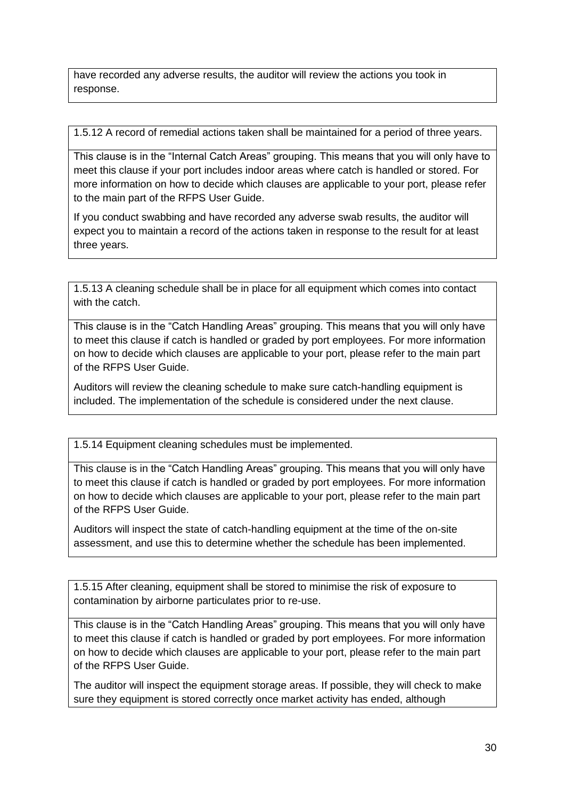have recorded any adverse results, the auditor will review the actions you took in response.

1.5.12 A record of remedial actions taken shall be maintained for a period of three years.

This clause is in the "Internal Catch Areas" grouping. This means that you will only have to meet this clause if your port includes indoor areas where catch is handled or stored. For more information on how to decide which clauses are applicable to your port, please refer to the main part of the RFPS User Guide.

If you conduct swabbing and have recorded any adverse swab results, the auditor will expect you to maintain a record of the actions taken in response to the result for at least three years.

1.5.13 A cleaning schedule shall be in place for all equipment which comes into contact with the catch.

This clause is in the "Catch Handling Areas" grouping. This means that you will only have to meet this clause if catch is handled or graded by port employees. For more information on how to decide which clauses are applicable to your port, please refer to the main part of the RFPS User Guide.

Auditors will review the cleaning schedule to make sure catch-handling equipment is included. The implementation of the schedule is considered under the next clause.

1.5.14 Equipment cleaning schedules must be implemented.

This clause is in the "Catch Handling Areas" grouping. This means that you will only have to meet this clause if catch is handled or graded by port employees. For more information on how to decide which clauses are applicable to your port, please refer to the main part of the RFPS User Guide.

Auditors will inspect the state of catch-handling equipment at the time of the on-site assessment, and use this to determine whether the schedule has been implemented.

1.5.15 After cleaning, equipment shall be stored to minimise the risk of exposure to contamination by airborne particulates prior to re-use.

This clause is in the "Catch Handling Areas" grouping. This means that you will only have to meet this clause if catch is handled or graded by port employees. For more information on how to decide which clauses are applicable to your port, please refer to the main part of the RFPS User Guide.

The auditor will inspect the equipment storage areas. If possible, they will check to make sure they equipment is stored correctly once market activity has ended, although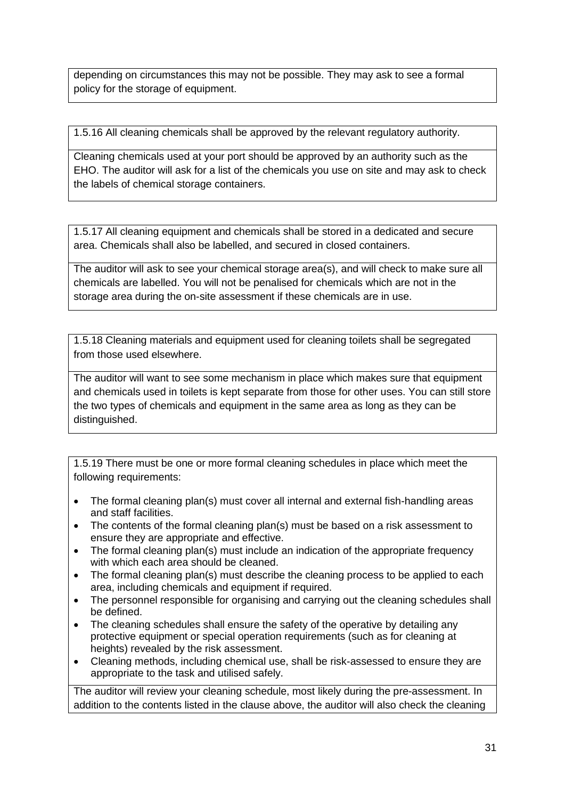depending on circumstances this may not be possible. They may ask to see a formal policy for the storage of equipment.

1.5.16 All cleaning chemicals shall be approved by the relevant regulatory authority.

Cleaning chemicals used at your port should be approved by an authority such as the EHO. The auditor will ask for a list of the chemicals you use on site and may ask to check the labels of chemical storage containers.

1.5.17 All cleaning equipment and chemicals shall be stored in a dedicated and secure area. Chemicals shall also be labelled, and secured in closed containers.

The auditor will ask to see your chemical storage area(s), and will check to make sure all chemicals are labelled. You will not be penalised for chemicals which are not in the storage area during the on-site assessment if these chemicals are in use.

1.5.18 Cleaning materials and equipment used for cleaning toilets shall be segregated from those used elsewhere.

The auditor will want to see some mechanism in place which makes sure that equipment and chemicals used in toilets is kept separate from those for other uses. You can still store the two types of chemicals and equipment in the same area as long as they can be distinguished.

1.5.19 There must be one or more formal cleaning schedules in place which meet the following requirements:

- The formal cleaning plan(s) must cover all internal and external fish-handling areas and staff facilities.
- The contents of the formal cleaning plan(s) must be based on a risk assessment to ensure they are appropriate and effective.
- The formal cleaning plan(s) must include an indication of the appropriate frequency with which each area should be cleaned.
- The formal cleaning plan(s) must describe the cleaning process to be applied to each area, including chemicals and equipment if required.
- The personnel responsible for organising and carrying out the cleaning schedules shall be defined.
- The cleaning schedules shall ensure the safety of the operative by detailing any protective equipment or special operation requirements (such as for cleaning at heights) revealed by the risk assessment.
- Cleaning methods, including chemical use, shall be risk-assessed to ensure they are appropriate to the task and utilised safely.

The auditor will review your cleaning schedule, most likely during the pre-assessment. In addition to the contents listed in the clause above, the auditor will also check the cleaning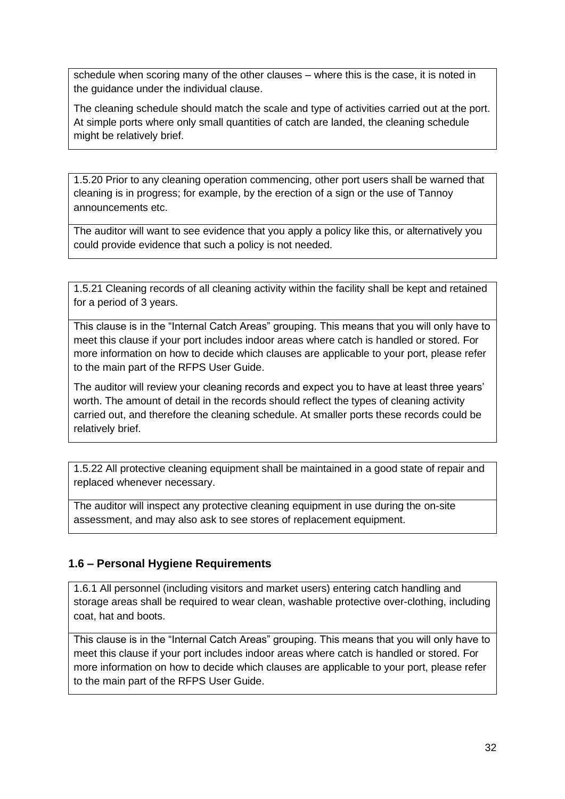schedule when scoring many of the other clauses – where this is the case, it is noted in the guidance under the individual clause.

The cleaning schedule should match the scale and type of activities carried out at the port. At simple ports where only small quantities of catch are landed, the cleaning schedule might be relatively brief.

1.5.20 Prior to any cleaning operation commencing, other port users shall be warned that cleaning is in progress; for example, by the erection of a sign or the use of Tannoy announcements etc.

The auditor will want to see evidence that you apply a policy like this, or alternatively you could provide evidence that such a policy is not needed.

1.5.21 Cleaning records of all cleaning activity within the facility shall be kept and retained for a period of 3 years.

This clause is in the "Internal Catch Areas" grouping. This means that you will only have to meet this clause if your port includes indoor areas where catch is handled or stored. For more information on how to decide which clauses are applicable to your port, please refer to the main part of the RFPS User Guide.

The auditor will review your cleaning records and expect you to have at least three years' worth. The amount of detail in the records should reflect the types of cleaning activity carried out, and therefore the cleaning schedule. At smaller ports these records could be relatively brief.

1.5.22 All protective cleaning equipment shall be maintained in a good state of repair and replaced whenever necessary.

The auditor will inspect any protective cleaning equipment in use during the on-site assessment, and may also ask to see stores of replacement equipment.

## <span id="page-31-0"></span>**1.6 – Personal Hygiene Requirements**

1.6.1 All personnel (including visitors and market users) entering catch handling and storage areas shall be required to wear clean, washable protective over-clothing, including coat, hat and boots.

This clause is in the "Internal Catch Areas" grouping. This means that you will only have to meet this clause if your port includes indoor areas where catch is handled or stored. For more information on how to decide which clauses are applicable to your port, please refer to the main part of the RFPS User Guide.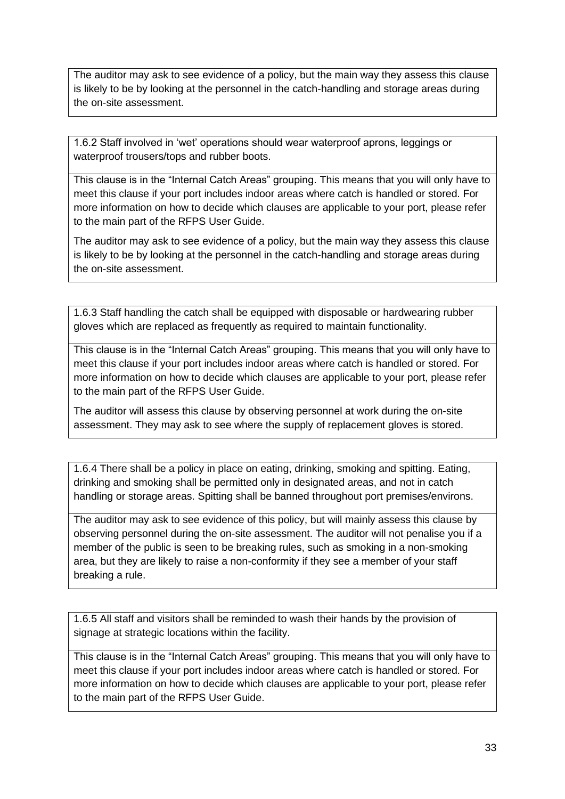The auditor may ask to see evidence of a policy, but the main way they assess this clause is likely to be by looking at the personnel in the catch-handling and storage areas during the on-site assessment.

1.6.2 Staff involved in 'wet' operations should wear waterproof aprons, leggings or waterproof trousers/tops and rubber boots.

This clause is in the "Internal Catch Areas" grouping. This means that you will only have to meet this clause if your port includes indoor areas where catch is handled or stored. For more information on how to decide which clauses are applicable to your port, please refer to the main part of the RFPS User Guide.

The auditor may ask to see evidence of a policy, but the main way they assess this clause is likely to be by looking at the personnel in the catch-handling and storage areas during the on-site assessment.

1.6.3 Staff handling the catch shall be equipped with disposable or hardwearing rubber gloves which are replaced as frequently as required to maintain functionality.

This clause is in the "Internal Catch Areas" grouping. This means that you will only have to meet this clause if your port includes indoor areas where catch is handled or stored. For more information on how to decide which clauses are applicable to your port, please refer to the main part of the RFPS User Guide.

The auditor will assess this clause by observing personnel at work during the on-site assessment. They may ask to see where the supply of replacement gloves is stored.

1.6.4 There shall be a policy in place on eating, drinking, smoking and spitting. Eating, drinking and smoking shall be permitted only in designated areas, and not in catch handling or storage areas. Spitting shall be banned throughout port premises/environs.

The auditor may ask to see evidence of this policy, but will mainly assess this clause by observing personnel during the on-site assessment. The auditor will not penalise you if a member of the public is seen to be breaking rules, such as smoking in a non-smoking area, but they are likely to raise a non-conformity if they see a member of your staff breaking a rule.

1.6.5 All staff and visitors shall be reminded to wash their hands by the provision of signage at strategic locations within the facility.

This clause is in the "Internal Catch Areas" grouping. This means that you will only have to meet this clause if your port includes indoor areas where catch is handled or stored. For more information on how to decide which clauses are applicable to your port, please refer to the main part of the RFPS User Guide.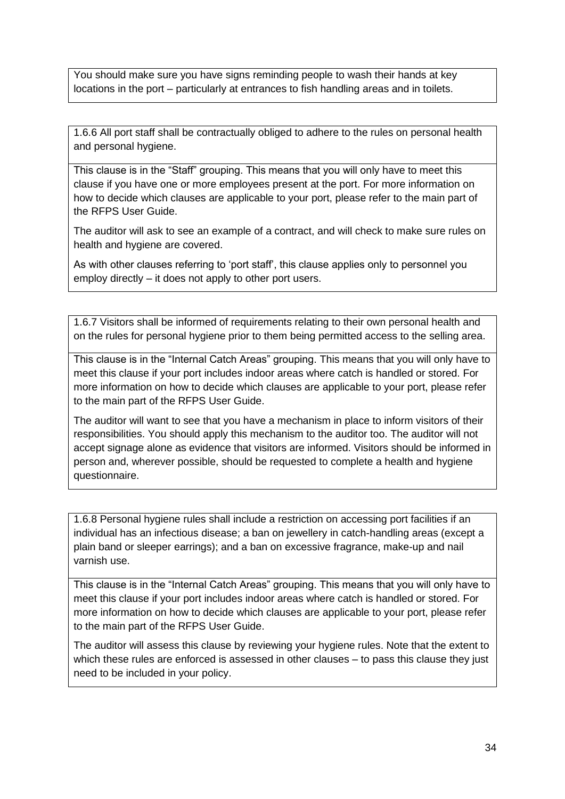You should make sure you have signs reminding people to wash their hands at key locations in the port – particularly at entrances to fish handling areas and in toilets.

1.6.6 All port staff shall be contractually obliged to adhere to the rules on personal health and personal hygiene.

This clause is in the "Staff" grouping. This means that you will only have to meet this clause if you have one or more employees present at the port. For more information on how to decide which clauses are applicable to your port, please refer to the main part of the RFPS User Guide.

The auditor will ask to see an example of a contract, and will check to make sure rules on health and hygiene are covered.

As with other clauses referring to 'port staff', this clause applies only to personnel you employ directly – it does not apply to other port users.

1.6.7 Visitors shall be informed of requirements relating to their own personal health and on the rules for personal hygiene prior to them being permitted access to the selling area.

This clause is in the "Internal Catch Areas" grouping. This means that you will only have to meet this clause if your port includes indoor areas where catch is handled or stored. For more information on how to decide which clauses are applicable to your port, please refer to the main part of the RFPS User Guide.

The auditor will want to see that you have a mechanism in place to inform visitors of their responsibilities. You should apply this mechanism to the auditor too. The auditor will not accept signage alone as evidence that visitors are informed. Visitors should be informed in person and, wherever possible, should be requested to complete a health and hygiene questionnaire.

1.6.8 Personal hygiene rules shall include a restriction on accessing port facilities if an individual has an infectious disease; a ban on jewellery in catch-handling areas (except a plain band or sleeper earrings); and a ban on excessive fragrance, make-up and nail varnish use.

This clause is in the "Internal Catch Areas" grouping. This means that you will only have to meet this clause if your port includes indoor areas where catch is handled or stored. For more information on how to decide which clauses are applicable to your port, please refer to the main part of the RFPS User Guide.

The auditor will assess this clause by reviewing your hygiene rules. Note that the extent to which these rules are enforced is assessed in other clauses – to pass this clause they just need to be included in your policy.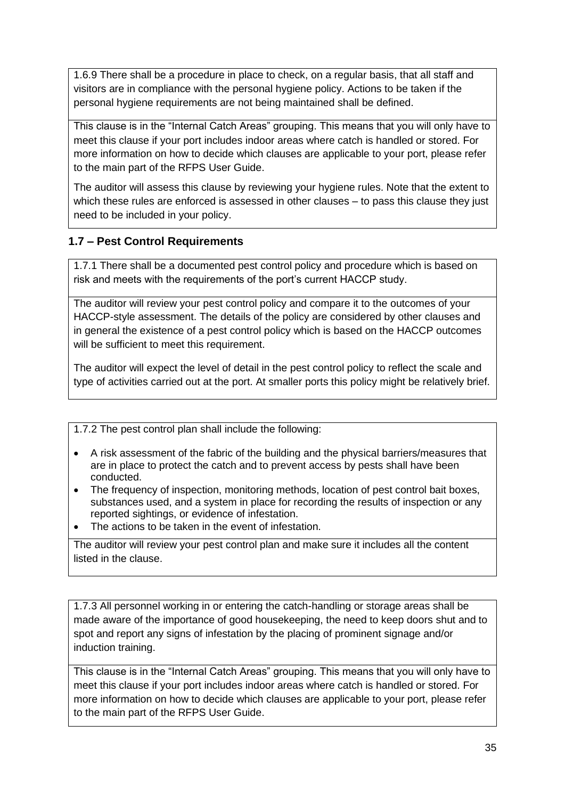1.6.9 There shall be a procedure in place to check, on a regular basis, that all staff and visitors are in compliance with the personal hygiene policy. Actions to be taken if the personal hygiene requirements are not being maintained shall be defined.

This clause is in the "Internal Catch Areas" grouping. This means that you will only have to meet this clause if your port includes indoor areas where catch is handled or stored. For more information on how to decide which clauses are applicable to your port, please refer to the main part of the RFPS User Guide.

The auditor will assess this clause by reviewing your hygiene rules. Note that the extent to which these rules are enforced is assessed in other clauses – to pass this clause they just need to be included in your policy.

## <span id="page-34-0"></span>**1.7 – Pest Control Requirements**

1.7.1 There shall be a documented pest control policy and procedure which is based on risk and meets with the requirements of the port's current HACCP study.

The auditor will review your pest control policy and compare it to the outcomes of your HACCP-style assessment. The details of the policy are considered by other clauses and in general the existence of a pest control policy which is based on the HACCP outcomes will be sufficient to meet this requirement.

The auditor will expect the level of detail in the pest control policy to reflect the scale and type of activities carried out at the port. At smaller ports this policy might be relatively brief.

1.7.2 The pest control plan shall include the following:

- A risk assessment of the fabric of the building and the physical barriers/measures that are in place to protect the catch and to prevent access by pests shall have been conducted.
- The frequency of inspection, monitoring methods, location of pest control bait boxes, substances used, and a system in place for recording the results of inspection or any reported sightings, or evidence of infestation.
- The actions to be taken in the event of infestation.

The auditor will review your pest control plan and make sure it includes all the content listed in the clause.

1.7.3 All personnel working in or entering the catch-handling or storage areas shall be made aware of the importance of good housekeeping, the need to keep doors shut and to spot and report any signs of infestation by the placing of prominent signage and/or induction training.

This clause is in the "Internal Catch Areas" grouping. This means that you will only have to meet this clause if your port includes indoor areas where catch is handled or stored. For more information on how to decide which clauses are applicable to your port, please refer to the main part of the RFPS User Guide.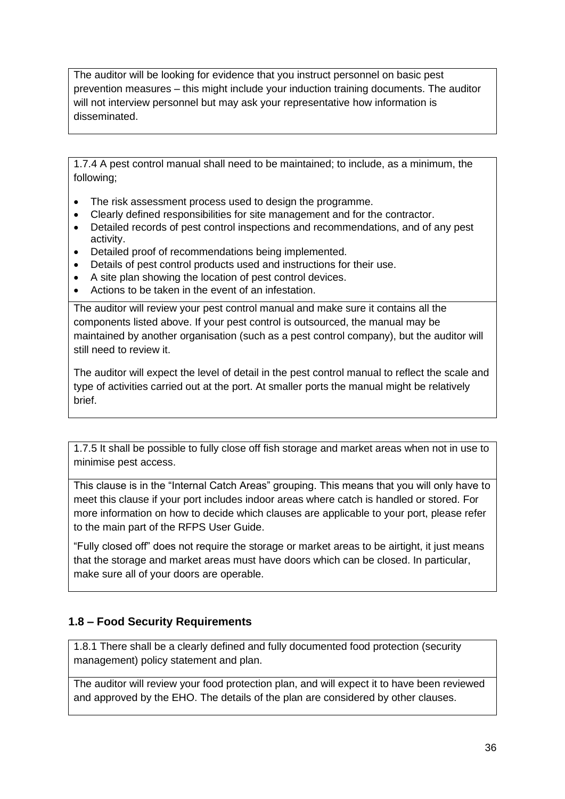The auditor will be looking for evidence that you instruct personnel on basic pest prevention measures – this might include your induction training documents. The auditor will not interview personnel but may ask your representative how information is disseminated.

1.7.4 A pest control manual shall need to be maintained; to include, as a minimum, the following;

- The risk assessment process used to design the programme.
- Clearly defined responsibilities for site management and for the contractor.
- Detailed records of pest control inspections and recommendations, and of any pest activity.
- Detailed proof of recommendations being implemented.
- Details of pest control products used and instructions for their use.
- A site plan showing the location of pest control devices.
- Actions to be taken in the event of an infestation.

The auditor will review your pest control manual and make sure it contains all the components listed above. If your pest control is outsourced, the manual may be maintained by another organisation (such as a pest control company), but the auditor will still need to review it.

The auditor will expect the level of detail in the pest control manual to reflect the scale and type of activities carried out at the port. At smaller ports the manual might be relatively brief.

1.7.5 It shall be possible to fully close off fish storage and market areas when not in use to minimise pest access.

This clause is in the "Internal Catch Areas" grouping. This means that you will only have to meet this clause if your port includes indoor areas where catch is handled or stored. For more information on how to decide which clauses are applicable to your port, please refer to the main part of the RFPS User Guide.

"Fully closed off" does not require the storage or market areas to be airtight, it just means that the storage and market areas must have doors which can be closed. In particular, make sure all of your doors are operable.

## <span id="page-35-0"></span>**1.8 – Food Security Requirements**

1.8.1 There shall be a clearly defined and fully documented food protection (security management) policy statement and plan.

The auditor will review your food protection plan, and will expect it to have been reviewed and approved by the EHO. The details of the plan are considered by other clauses.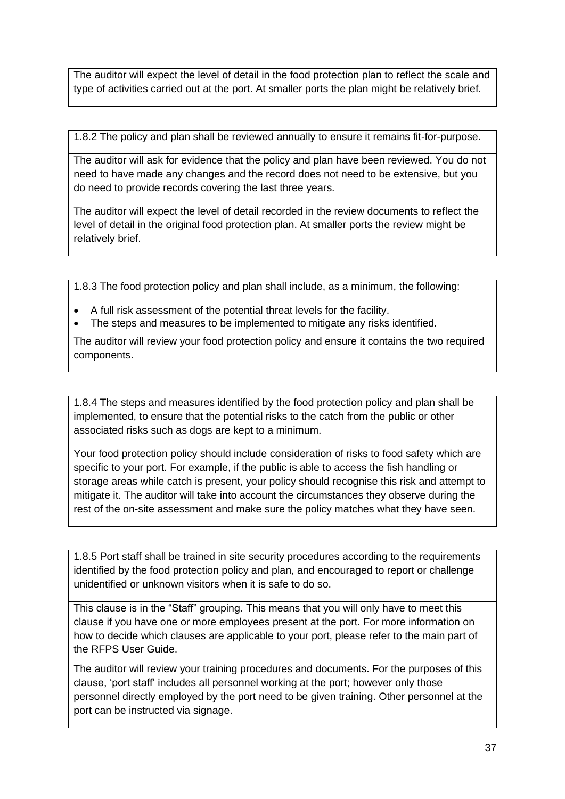The auditor will expect the level of detail in the food protection plan to reflect the scale and type of activities carried out at the port. At smaller ports the plan might be relatively brief.

1.8.2 The policy and plan shall be reviewed annually to ensure it remains fit-for-purpose.

The auditor will ask for evidence that the policy and plan have been reviewed. You do not need to have made any changes and the record does not need to be extensive, but you do need to provide records covering the last three years.

The auditor will expect the level of detail recorded in the review documents to reflect the level of detail in the original food protection plan. At smaller ports the review might be relatively brief.

1.8.3 The food protection policy and plan shall include, as a minimum, the following:

- A full risk assessment of the potential threat levels for the facility.
- The steps and measures to be implemented to mitigate any risks identified.

The auditor will review your food protection policy and ensure it contains the two required components.

1.8.4 The steps and measures identified by the food protection policy and plan shall be implemented, to ensure that the potential risks to the catch from the public or other associated risks such as dogs are kept to a minimum.

Your food protection policy should include consideration of risks to food safety which are specific to your port. For example, if the public is able to access the fish handling or storage areas while catch is present, your policy should recognise this risk and attempt to mitigate it. The auditor will take into account the circumstances they observe during the rest of the on-site assessment and make sure the policy matches what they have seen.

1.8.5 Port staff shall be trained in site security procedures according to the requirements identified by the food protection policy and plan, and encouraged to report or challenge unidentified or unknown visitors when it is safe to do so.

This clause is in the "Staff" grouping. This means that you will only have to meet this clause if you have one or more employees present at the port. For more information on how to decide which clauses are applicable to your port, please refer to the main part of the RFPS User Guide.

The auditor will review your training procedures and documents. For the purposes of this clause, 'port staff' includes all personnel working at the port; however only those personnel directly employed by the port need to be given training. Other personnel at the port can be instructed via signage.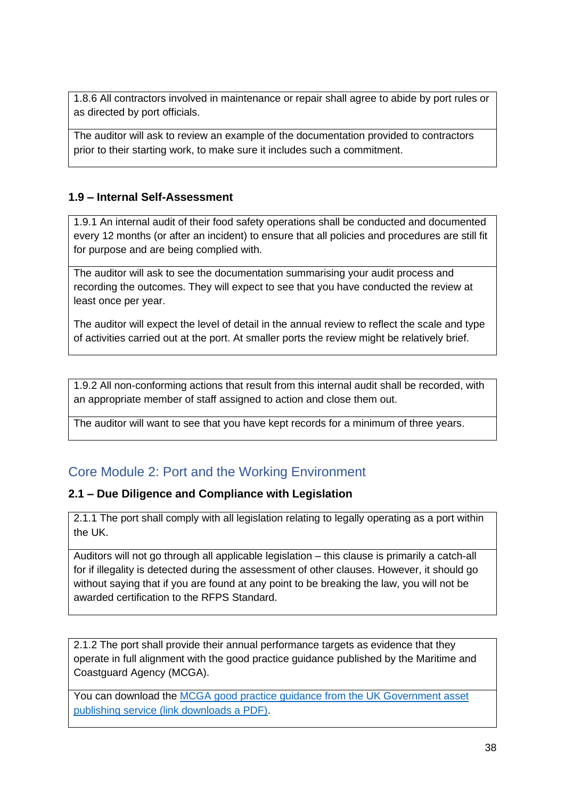1.8.6 All contractors involved in maintenance or repair shall agree to abide by port rules or as directed by port officials.

The auditor will ask to review an example of the documentation provided to contractors prior to their starting work, to make sure it includes such a commitment.

#### <span id="page-37-0"></span>**1.9 – Internal Self-Assessment**

1.9.1 An internal audit of their food safety operations shall be conducted and documented every 12 months (or after an incident) to ensure that all policies and procedures are still fit for purpose and are being complied with.

The auditor will ask to see the documentation summarising your audit process and recording the outcomes. They will expect to see that you have conducted the review at least once per year.

The auditor will expect the level of detail in the annual review to reflect the scale and type of activities carried out at the port. At smaller ports the review might be relatively brief.

1.9.2 All non-conforming actions that result from this internal audit shall be recorded, with an appropriate member of staff assigned to action and close them out.

The auditor will want to see that you have kept records for a minimum of three years.

## <span id="page-37-1"></span>Core Module 2: Port and the Working Environment

#### <span id="page-37-2"></span>**2.1 – Due Diligence and Compliance with Legislation**

2.1.1 The port shall comply with all legislation relating to legally operating as a port within the UK.

Auditors will not go through all applicable legislation – this clause is primarily a catch-all for if illegality is detected during the assessment of other clauses. However, it should go without saying that if you are found at any point to be breaking the law, you will not be awarded certification to the RFPS Standard.

2.1.2 The port shall provide their annual performance targets as evidence that they operate in full alignment with the good practice guidance published by the Maritime and Coastguard Agency (MCGA).

You can download the [MCGA good practice guidance from the UK Government asset](https://assets.publishing.service.gov.uk/government/uploads/system/uploads/attachment_data/file/697196/MCGA-Port_Marine_Guide_to_Good_Practice_NEW-links.pdf)  [publishing service \(link downloads a PDF\).](https://assets.publishing.service.gov.uk/government/uploads/system/uploads/attachment_data/file/697196/MCGA-Port_Marine_Guide_to_Good_Practice_NEW-links.pdf)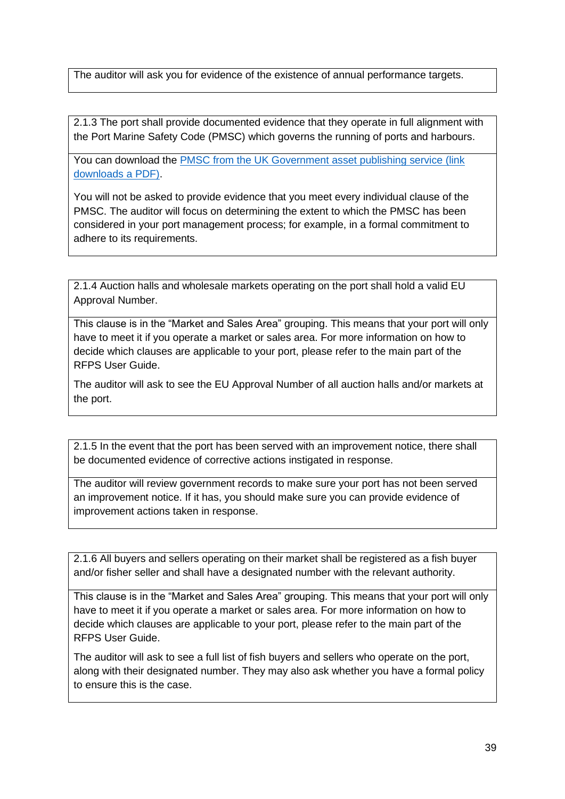The auditor will ask you for evidence of the existence of annual performance targets.

2.1.3 The port shall provide documented evidence that they operate in full alignment with the Port Marine Safety Code (PMSC) which governs the running of ports and harbours.

You can download the [PMSC from the UK Government asset publishing service \(link](https://www.gov.uk/government/uploads/system/uploads/attachment_data/file/564723/port-marine-safety-code.pdf)  [downloads a PDF\).](https://www.gov.uk/government/uploads/system/uploads/attachment_data/file/564723/port-marine-safety-code.pdf)

You will not be asked to provide evidence that you meet every individual clause of the PMSC. The auditor will focus on determining the extent to which the PMSC has been considered in your port management process; for example, in a formal commitment to adhere to its requirements.

2.1.4 Auction halls and wholesale markets operating on the port shall hold a valid EU Approval Number.

This clause is in the "Market and Sales Area" grouping. This means that your port will only have to meet it if you operate a market or sales area. For more information on how to decide which clauses are applicable to your port, please refer to the main part of the RFPS User Guide.

The auditor will ask to see the EU Approval Number of all auction halls and/or markets at the port.

2.1.5 In the event that the port has been served with an improvement notice, there shall be documented evidence of corrective actions instigated in response.

The auditor will review government records to make sure your port has not been served an improvement notice. If it has, you should make sure you can provide evidence of improvement actions taken in response.

2.1.6 All buyers and sellers operating on their market shall be registered as a fish buyer and/or fisher seller and shall have a designated number with the relevant authority.

This clause is in the "Market and Sales Area" grouping. This means that your port will only have to meet it if you operate a market or sales area. For more information on how to decide which clauses are applicable to your port, please refer to the main part of the RFPS User Guide.

The auditor will ask to see a full list of fish buyers and sellers who operate on the port, along with their designated number. They may also ask whether you have a formal policy to ensure this is the case.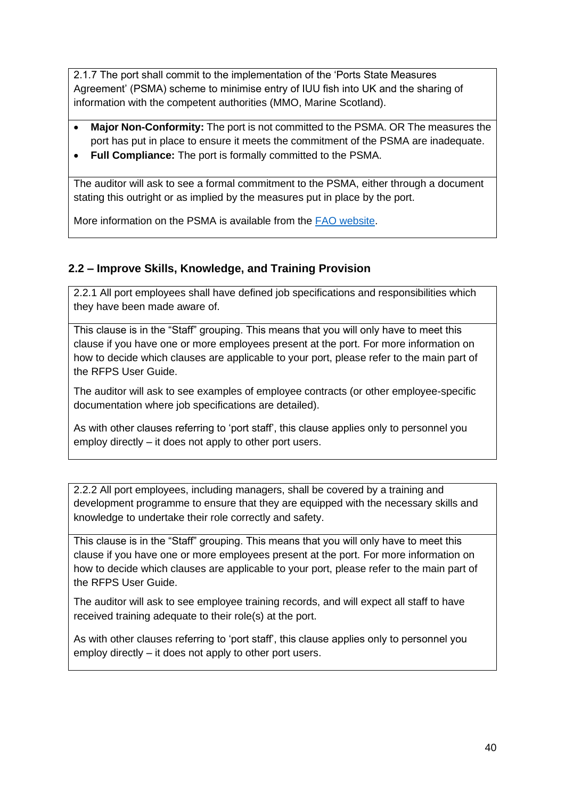2.1.7 The port shall commit to the implementation of the 'Ports State Measures Agreement' (PSMA) scheme to minimise entry of IUU fish into UK and the sharing of information with the competent authorities (MMO, Marine Scotland).

- **Major Non-Conformity:** The port is not committed to the PSMA. OR The measures the port has put in place to ensure it meets the commitment of the PSMA are inadequate.
- **Full Compliance:** The port is formally committed to the PSMA.

The auditor will ask to see a formal commitment to the PSMA, either through a document stating this outright or as implied by the measures put in place by the port.

More information on the PSMA is available from the [FAO website.](http://www.fao.org/port-state-measures/en/)

## <span id="page-39-0"></span>**2.2 – Improve Skills, Knowledge, and Training Provision**

2.2.1 All port employees shall have defined job specifications and responsibilities which they have been made aware of.

This clause is in the "Staff" grouping. This means that you will only have to meet this clause if you have one or more employees present at the port. For more information on how to decide which clauses are applicable to your port, please refer to the main part of the RFPS User Guide.

The auditor will ask to see examples of employee contracts (or other employee-specific documentation where job specifications are detailed).

As with other clauses referring to 'port staff', this clause applies only to personnel you employ directly – it does not apply to other port users.

2.2.2 All port employees, including managers, shall be covered by a training and development programme to ensure that they are equipped with the necessary skills and knowledge to undertake their role correctly and safety.

This clause is in the "Staff" grouping. This means that you will only have to meet this clause if you have one or more employees present at the port. For more information on how to decide which clauses are applicable to your port, please refer to the main part of the RFPS User Guide.

The auditor will ask to see employee training records, and will expect all staff to have received training adequate to their role(s) at the port.

As with other clauses referring to 'port staff', this clause applies only to personnel you employ directly – it does not apply to other port users.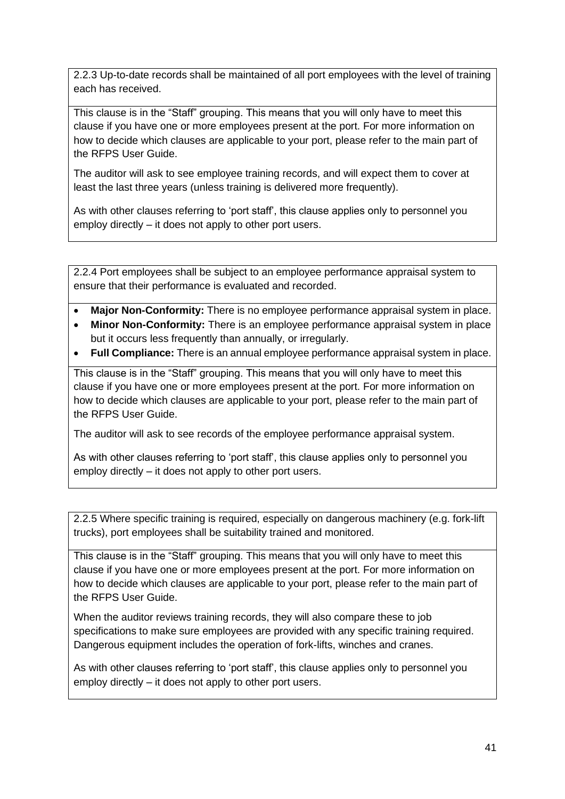2.2.3 Up-to-date records shall be maintained of all port employees with the level of training each has received.

This clause is in the "Staff" grouping. This means that you will only have to meet this clause if you have one or more employees present at the port. For more information on how to decide which clauses are applicable to your port, please refer to the main part of the RFPS User Guide.

The auditor will ask to see employee training records, and will expect them to cover at least the last three years (unless training is delivered more frequently).

As with other clauses referring to 'port staff', this clause applies only to personnel you employ directly – it does not apply to other port users.

2.2.4 Port employees shall be subject to an employee performance appraisal system to ensure that their performance is evaluated and recorded.

- **Major Non-Conformity:** There is no employee performance appraisal system in place.
- **Minor Non-Conformity:** There is an employee performance appraisal system in place but it occurs less frequently than annually, or irregularly.
- **Full Compliance:** There is an annual employee performance appraisal system in place.

This clause is in the "Staff" grouping. This means that you will only have to meet this clause if you have one or more employees present at the port. For more information on how to decide which clauses are applicable to your port, please refer to the main part of the RFPS User Guide.

The auditor will ask to see records of the employee performance appraisal system.

As with other clauses referring to 'port staff', this clause applies only to personnel you employ directly – it does not apply to other port users.

2.2.5 Where specific training is required, especially on dangerous machinery (e.g. fork-lift trucks), port employees shall be suitability trained and monitored.

This clause is in the "Staff" grouping. This means that you will only have to meet this clause if you have one or more employees present at the port. For more information on how to decide which clauses are applicable to your port, please refer to the main part of the RFPS User Guide.

When the auditor reviews training records, they will also compare these to job specifications to make sure employees are provided with any specific training required. Dangerous equipment includes the operation of fork-lifts, winches and cranes.

As with other clauses referring to 'port staff', this clause applies only to personnel you employ directly – it does not apply to other port users.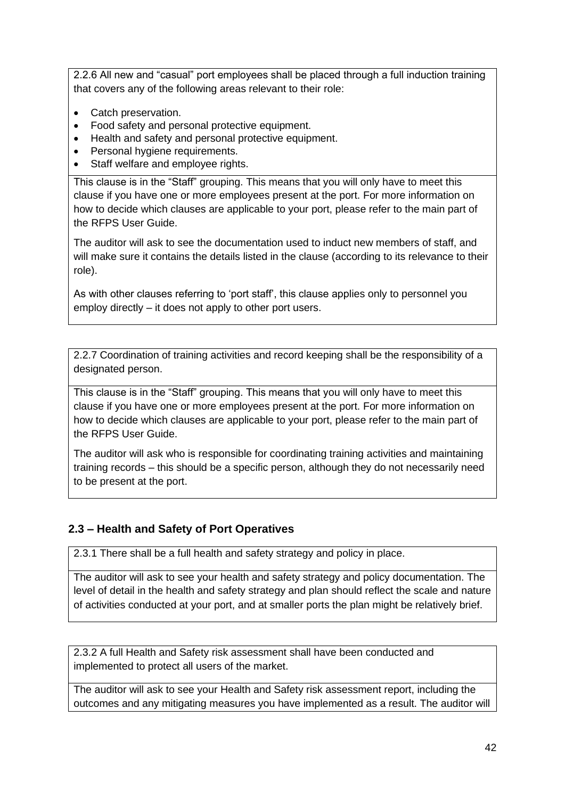2.2.6 All new and "casual" port employees shall be placed through a full induction training that covers any of the following areas relevant to their role:

- Catch preservation.
- Food safety and personal protective equipment.
- Health and safety and personal protective equipment.
- Personal hygiene requirements.
- Staff welfare and employee rights.

This clause is in the "Staff" grouping. This means that you will only have to meet this clause if you have one or more employees present at the port. For more information on how to decide which clauses are applicable to your port, please refer to the main part of the RFPS User Guide.

The auditor will ask to see the documentation used to induct new members of staff, and will make sure it contains the details listed in the clause (according to its relevance to their role).

As with other clauses referring to 'port staff', this clause applies only to personnel you employ directly – it does not apply to other port users.

2.2.7 Coordination of training activities and record keeping shall be the responsibility of a designated person.

This clause is in the "Staff" grouping. This means that you will only have to meet this clause if you have one or more employees present at the port. For more information on how to decide which clauses are applicable to your port, please refer to the main part of the RFPS User Guide.

The auditor will ask who is responsible for coordinating training activities and maintaining training records – this should be a specific person, although they do not necessarily need to be present at the port.

## <span id="page-41-0"></span>**2.3 – Health and Safety of Port Operatives**

2.3.1 There shall be a full health and safety strategy and policy in place.

The auditor will ask to see your health and safety strategy and policy documentation. The level of detail in the health and safety strategy and plan should reflect the scale and nature of activities conducted at your port, and at smaller ports the plan might be relatively brief.

2.3.2 A full Health and Safety risk assessment shall have been conducted and implemented to protect all users of the market.

The auditor will ask to see your Health and Safety risk assessment report, including the outcomes and any mitigating measures you have implemented as a result. The auditor will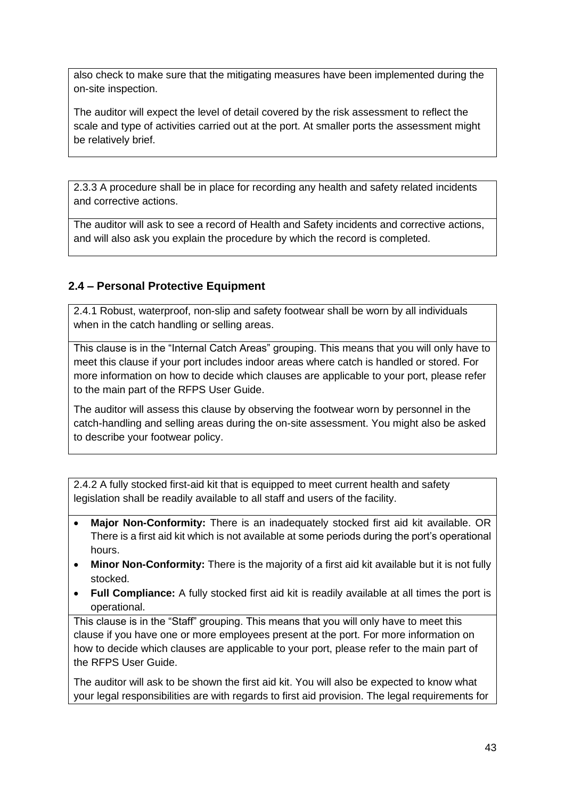also check to make sure that the mitigating measures have been implemented during the on-site inspection.

The auditor will expect the level of detail covered by the risk assessment to reflect the scale and type of activities carried out at the port. At smaller ports the assessment might be relatively brief.

2.3.3 A procedure shall be in place for recording any health and safety related incidents and corrective actions.

The auditor will ask to see a record of Health and Safety incidents and corrective actions, and will also ask you explain the procedure by which the record is completed.

## <span id="page-42-0"></span>**2.4 – Personal Protective Equipment**

2.4.1 Robust, waterproof, non-slip and safety footwear shall be worn by all individuals when in the catch handling or selling areas.

This clause is in the "Internal Catch Areas" grouping. This means that you will only have to meet this clause if your port includes indoor areas where catch is handled or stored. For more information on how to decide which clauses are applicable to your port, please refer to the main part of the RFPS User Guide.

The auditor will assess this clause by observing the footwear worn by personnel in the catch-handling and selling areas during the on-site assessment. You might also be asked to describe your footwear policy.

2.4.2 A fully stocked first-aid kit that is equipped to meet current health and safety legislation shall be readily available to all staff and users of the facility.

- **Major Non-Conformity:** There is an inadequately stocked first aid kit available. OR There is a first aid kit which is not available at some periods during the port's operational hours.
- **Minor Non-Conformity:** There is the majority of a first aid kit available but it is not fully stocked.
- **Full Compliance:** A fully stocked first aid kit is readily available at all times the port is operational.

This clause is in the "Staff" grouping. This means that you will only have to meet this clause if you have one or more employees present at the port. For more information on how to decide which clauses are applicable to your port, please refer to the main part of the RFPS User Guide.

The auditor will ask to be shown the first aid kit. You will also be expected to know what your legal responsibilities are with regards to first aid provision. The legal requirements for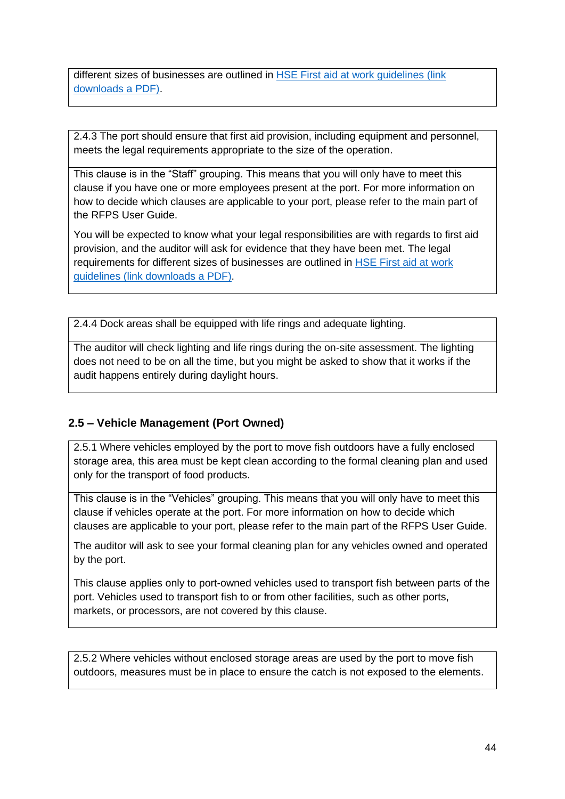different sizes of businesses are outlined in [HSE First aid at work guidelines \(link](http://www.hse.gov.uk/pubns/indg214.pdf)  [downloads a PDF\).](http://www.hse.gov.uk/pubns/indg214.pdf)

2.4.3 The port should ensure that first aid provision, including equipment and personnel, meets the legal requirements appropriate to the size of the operation.

This clause is in the "Staff" grouping. This means that you will only have to meet this clause if you have one or more employees present at the port. For more information on how to decide which clauses are applicable to your port, please refer to the main part of the RFPS User Guide.

You will be expected to know what your legal responsibilities are with regards to first aid provision, and the auditor will ask for evidence that they have been met. The legal requirements for different sizes of businesses are outlined in [HSE First aid at work](http://www.hse.gov.uk/pubns/indg214.pdf)  [guidelines \(link downloads a PDF\).](http://www.hse.gov.uk/pubns/indg214.pdf)

2.4.4 Dock areas shall be equipped with life rings and adequate lighting.

The auditor will check lighting and life rings during the on-site assessment. The lighting does not need to be on all the time, but you might be asked to show that it works if the audit happens entirely during daylight hours.

## <span id="page-43-0"></span>**2.5 – Vehicle Management (Port Owned)**

2.5.1 Where vehicles employed by the port to move fish outdoors have a fully enclosed storage area, this area must be kept clean according to the formal cleaning plan and used only for the transport of food products.

This clause is in the "Vehicles" grouping. This means that you will only have to meet this clause if vehicles operate at the port. For more information on how to decide which clauses are applicable to your port, please refer to the main part of the RFPS User Guide.

The auditor will ask to see your formal cleaning plan for any vehicles owned and operated by the port.

This clause applies only to port-owned vehicles used to transport fish between parts of the port. Vehicles used to transport fish to or from other facilities, such as other ports, markets, or processors, are not covered by this clause.

2.5.2 Where vehicles without enclosed storage areas are used by the port to move fish outdoors, measures must be in place to ensure the catch is not exposed to the elements.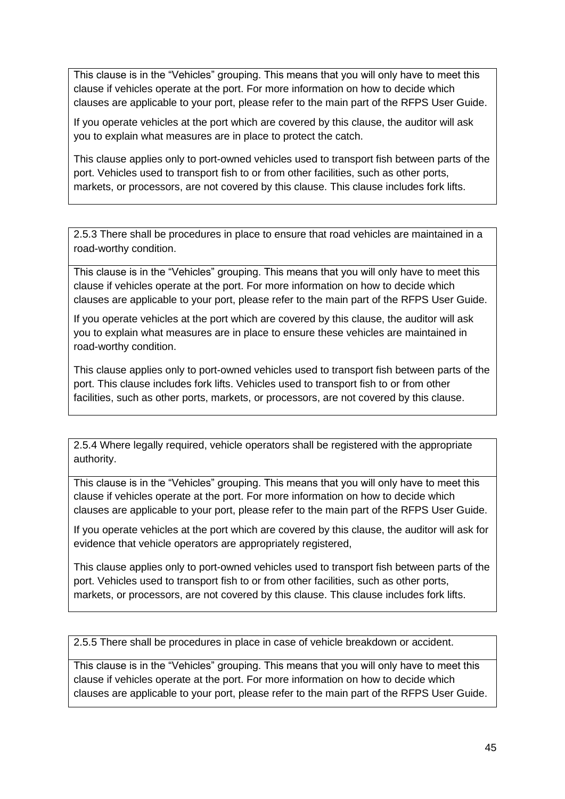This clause is in the "Vehicles" grouping. This means that you will only have to meet this clause if vehicles operate at the port. For more information on how to decide which clauses are applicable to your port, please refer to the main part of the RFPS User Guide.

If you operate vehicles at the port which are covered by this clause, the auditor will ask you to explain what measures are in place to protect the catch.

This clause applies only to port-owned vehicles used to transport fish between parts of the port. Vehicles used to transport fish to or from other facilities, such as other ports, markets, or processors, are not covered by this clause. This clause includes fork lifts.

2.5.3 There shall be procedures in place to ensure that road vehicles are maintained in a road-worthy condition.

This clause is in the "Vehicles" grouping. This means that you will only have to meet this clause if vehicles operate at the port. For more information on how to decide which clauses are applicable to your port, please refer to the main part of the RFPS User Guide.

If you operate vehicles at the port which are covered by this clause, the auditor will ask you to explain what measures are in place to ensure these vehicles are maintained in road-worthy condition.

This clause applies only to port-owned vehicles used to transport fish between parts of the port. This clause includes fork lifts. Vehicles used to transport fish to or from other facilities, such as other ports, markets, or processors, are not covered by this clause.

2.5.4 Where legally required, vehicle operators shall be registered with the appropriate authority.

This clause is in the "Vehicles" grouping. This means that you will only have to meet this clause if vehicles operate at the port. For more information on how to decide which clauses are applicable to your port, please refer to the main part of the RFPS User Guide.

If you operate vehicles at the port which are covered by this clause, the auditor will ask for evidence that vehicle operators are appropriately registered,

This clause applies only to port-owned vehicles used to transport fish between parts of the port. Vehicles used to transport fish to or from other facilities, such as other ports, markets, or processors, are not covered by this clause. This clause includes fork lifts.

2.5.5 There shall be procedures in place in case of vehicle breakdown or accident.

This clause is in the "Vehicles" grouping. This means that you will only have to meet this clause if vehicles operate at the port. For more information on how to decide which clauses are applicable to your port, please refer to the main part of the RFPS User Guide.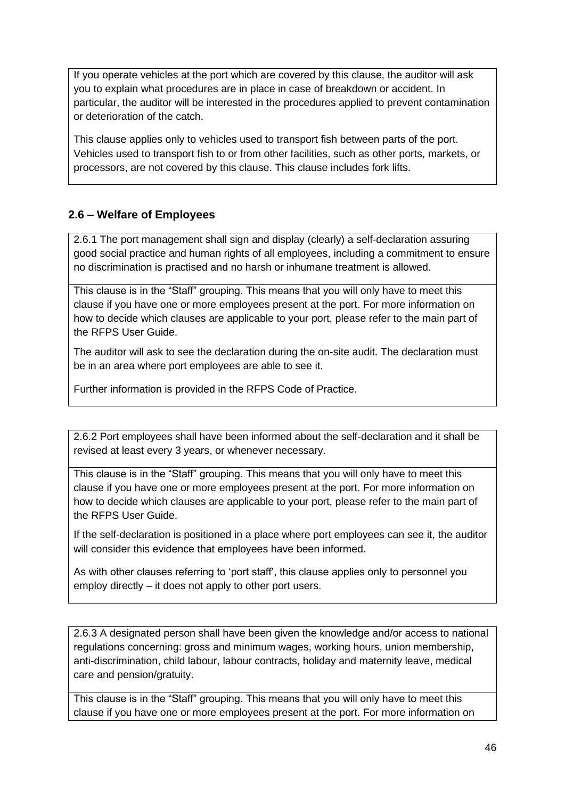If you operate vehicles at the port which are covered by this clause, the auditor will ask you to explain what procedures are in place in case of breakdown or accident. In particular, the auditor will be interested in the procedures applied to prevent contamination or deterioration of the catch.

This clause applies only to vehicles used to transport fish between parts of the port. Vehicles used to transport fish to or from other facilities, such as other ports, markets, or processors, are not covered by this clause. This clause includes fork lifts.

## <span id="page-45-0"></span>**2.6 – Welfare of Employees**

2.6.1 The port management shall sign and display (clearly) a self-declaration assuring good social practice and human rights of all employees, including a commitment to ensure no discrimination is practised and no harsh or inhumane treatment is allowed.

This clause is in the "Staff" grouping. This means that you will only have to meet this clause if you have one or more employees present at the port. For more information on how to decide which clauses are applicable to your port, please refer to the main part of the RFPS User Guide.

The auditor will ask to see the declaration during the on-site audit. The declaration must be in an area where port employees are able to see it.

Further information is provided in the RFPS Code of Practice.

2.6.2 Port employees shall have been informed about the self-declaration and it shall be revised at least every 3 years, or whenever necessary.

This clause is in the "Staff" grouping. This means that you will only have to meet this clause if you have one or more employees present at the port. For more information on how to decide which clauses are applicable to your port, please refer to the main part of the RFPS User Guide.

If the self-declaration is positioned in a place where port employees can see it, the auditor will consider this evidence that employees have been informed.

As with other clauses referring to 'port staff', this clause applies only to personnel you employ directly – it does not apply to other port users.

2.6.3 A designated person shall have been given the knowledge and/or access to national regulations concerning: gross and minimum wages, working hours, union membership, anti-discrimination, child labour, labour contracts, holiday and maternity leave, medical care and pension/gratuity.

This clause is in the "Staff" grouping. This means that you will only have to meet this clause if you have one or more employees present at the port. For more information on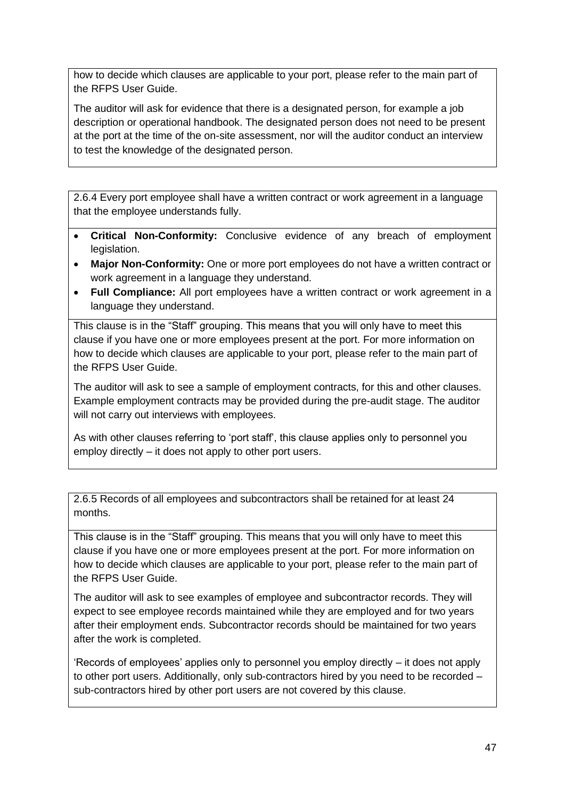how to decide which clauses are applicable to your port, please refer to the main part of the RFPS User Guide.

The auditor will ask for evidence that there is a designated person, for example a job description or operational handbook. The designated person does not need to be present at the port at the time of the on-site assessment, nor will the auditor conduct an interview to test the knowledge of the designated person.

2.6.4 Every port employee shall have a written contract or work agreement in a language that the employee understands fully.

- **Critical Non-Conformity:** Conclusive evidence of any breach of employment legislation.
- **Major Non-Conformity:** One or more port employees do not have a written contract or work agreement in a language they understand.
- **Full Compliance:** All port employees have a written contract or work agreement in a language they understand.

This clause is in the "Staff" grouping. This means that you will only have to meet this clause if you have one or more employees present at the port. For more information on how to decide which clauses are applicable to your port, please refer to the main part of the RFPS User Guide.

The auditor will ask to see a sample of employment contracts, for this and other clauses. Example employment contracts may be provided during the pre-audit stage. The auditor will not carry out interviews with employees.

As with other clauses referring to 'port staff', this clause applies only to personnel you employ directly – it does not apply to other port users.

2.6.5 Records of all employees and subcontractors shall be retained for at least 24 months.

This clause is in the "Staff" grouping. This means that you will only have to meet this clause if you have one or more employees present at the port. For more information on how to decide which clauses are applicable to your port, please refer to the main part of the RFPS User Guide.

The auditor will ask to see examples of employee and subcontractor records. They will expect to see employee records maintained while they are employed and for two years after their employment ends. Subcontractor records should be maintained for two years after the work is completed.

'Records of employees' applies only to personnel you employ directly – it does not apply to other port users. Additionally, only sub-contractors hired by you need to be recorded – sub-contractors hired by other port users are not covered by this clause.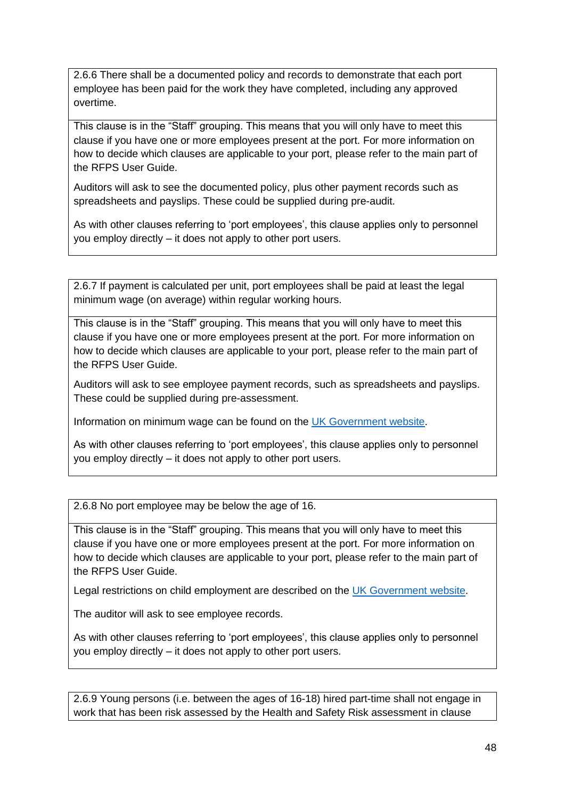2.6.6 There shall be a documented policy and records to demonstrate that each port employee has been paid for the work they have completed, including any approved overtime.

This clause is in the "Staff" grouping. This means that you will only have to meet this clause if you have one or more employees present at the port. For more information on how to decide which clauses are applicable to your port, please refer to the main part of the RFPS User Guide.

Auditors will ask to see the documented policy, plus other payment records such as spreadsheets and payslips. These could be supplied during pre-audit.

As with other clauses referring to 'port employees', this clause applies only to personnel you employ directly – it does not apply to other port users.

2.6.7 If payment is calculated per unit, port employees shall be paid at least the legal minimum wage (on average) within regular working hours.

This clause is in the "Staff" grouping. This means that you will only have to meet this clause if you have one or more employees present at the port. For more information on how to decide which clauses are applicable to your port, please refer to the main part of the RFPS User Guide.

Auditors will ask to see employee payment records, such as spreadsheets and payslips. These could be supplied during pre-assessment.

Information on minimum wage can be found on the [UK Government website.](https://www.gov.uk/national-minimum-wage-rates)

As with other clauses referring to 'port employees', this clause applies only to personnel you employ directly – it does not apply to other port users.

2.6.8 No port employee may be below the age of 16.

This clause is in the "Staff" grouping. This means that you will only have to meet this clause if you have one or more employees present at the port. For more information on how to decide which clauses are applicable to your port, please refer to the main part of the RFPS User Guide.

Legal restrictions on child employment are described on the [UK Government website.](https://www.gov.uk/child-employment)

The auditor will ask to see employee records.

As with other clauses referring to 'port employees', this clause applies only to personnel you employ directly – it does not apply to other port users.

2.6.9 Young persons (i.e. between the ages of 16-18) hired part-time shall not engage in work that has been risk assessed by the Health and Safety Risk assessment in clause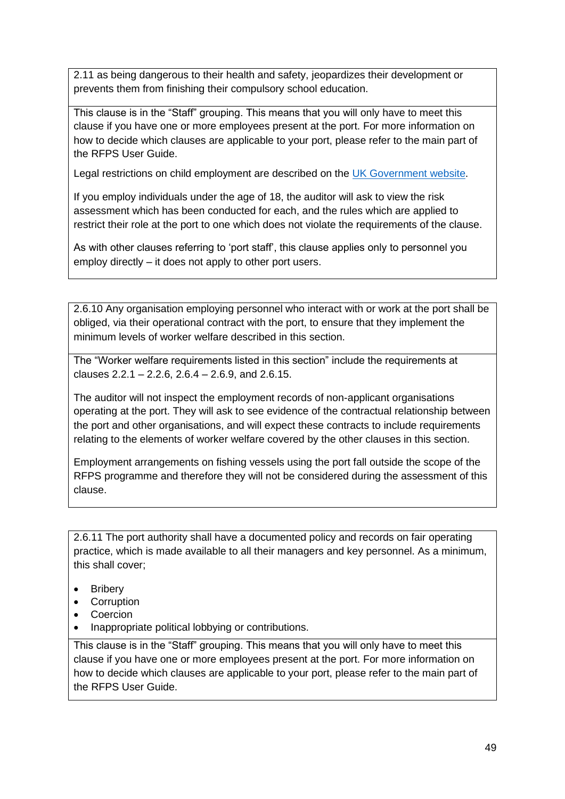2.11 as being dangerous to their health and safety, jeopardizes their development or prevents them from finishing their compulsory school education.

This clause is in the "Staff" grouping. This means that you will only have to meet this clause if you have one or more employees present at the port. For more information on how to decide which clauses are applicable to your port, please refer to the main part of the RFPS User Guide.

Legal restrictions on child employment are described on the [UK Government website.](https://www.gov.uk/child-employment)

If you employ individuals under the age of 18, the auditor will ask to view the risk assessment which has been conducted for each, and the rules which are applied to restrict their role at the port to one which does not violate the requirements of the clause.

As with other clauses referring to 'port staff', this clause applies only to personnel you employ directly – it does not apply to other port users.

2.6.10 Any organisation employing personnel who interact with or work at the port shall be obliged, via their operational contract with the port, to ensure that they implement the minimum levels of worker welfare described in this section.

The "Worker welfare requirements listed in this section" include the requirements at clauses  $2.2.1 - 2.2.6$ ,  $2.6.4 - 2.6.9$ , and  $2.6.15$ .

The auditor will not inspect the employment records of non-applicant organisations operating at the port. They will ask to see evidence of the contractual relationship between the port and other organisations, and will expect these contracts to include requirements relating to the elements of worker welfare covered by the other clauses in this section.

Employment arrangements on fishing vessels using the port fall outside the scope of the RFPS programme and therefore they will not be considered during the assessment of this clause.

2.6.11 The port authority shall have a documented policy and records on fair operating practice, which is made available to all their managers and key personnel. As a minimum, this shall cover;

- Bribery
- Corruption
- Coercion
- Inappropriate political lobbying or contributions.

This clause is in the "Staff" grouping. This means that you will only have to meet this clause if you have one or more employees present at the port. For more information on how to decide which clauses are applicable to your port, please refer to the main part of the RFPS User Guide.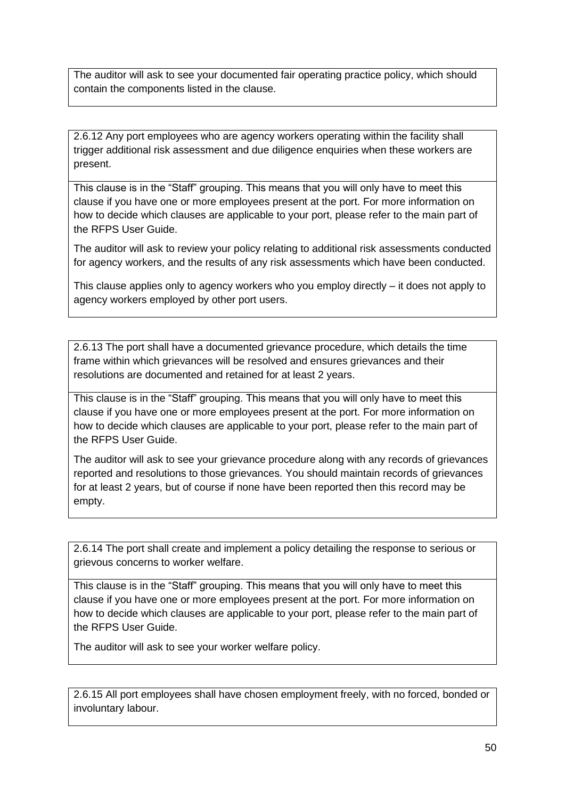The auditor will ask to see your documented fair operating practice policy, which should contain the components listed in the clause.

2.6.12 Any port employees who are agency workers operating within the facility shall trigger additional risk assessment and due diligence enquiries when these workers are present.

This clause is in the "Staff" grouping. This means that you will only have to meet this clause if you have one or more employees present at the port. For more information on how to decide which clauses are applicable to your port, please refer to the main part of the RFPS User Guide.

The auditor will ask to review your policy relating to additional risk assessments conducted for agency workers, and the results of any risk assessments which have been conducted.

This clause applies only to agency workers who you employ directly – it does not apply to agency workers employed by other port users.

2.6.13 The port shall have a documented grievance procedure, which details the time frame within which grievances will be resolved and ensures grievances and their resolutions are documented and retained for at least 2 years.

This clause is in the "Staff" grouping. This means that you will only have to meet this clause if you have one or more employees present at the port. For more information on how to decide which clauses are applicable to your port, please refer to the main part of the RFPS User Guide.

The auditor will ask to see your grievance procedure along with any records of grievances reported and resolutions to those grievances. You should maintain records of grievances for at least 2 years, but of course if none have been reported then this record may be empty.

2.6.14 The port shall create and implement a policy detailing the response to serious or grievous concerns to worker welfare.

This clause is in the "Staff" grouping. This means that you will only have to meet this clause if you have one or more employees present at the port. For more information on how to decide which clauses are applicable to your port, please refer to the main part of the RFPS User Guide.

The auditor will ask to see your worker welfare policy.

2.6.15 All port employees shall have chosen employment freely, with no forced, bonded or involuntary labour.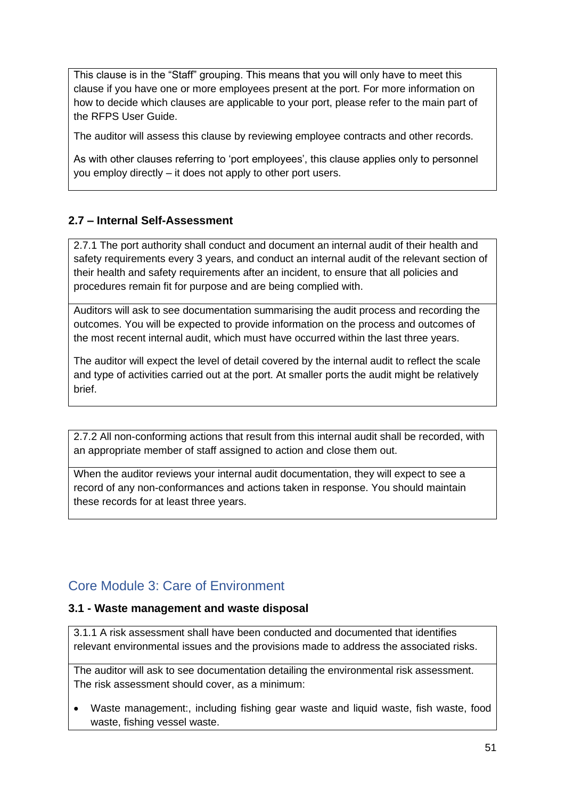This clause is in the "Staff" grouping. This means that you will only have to meet this clause if you have one or more employees present at the port. For more information on how to decide which clauses are applicable to your port, please refer to the main part of the RFPS User Guide.

The auditor will assess this clause by reviewing employee contracts and other records.

As with other clauses referring to 'port employees', this clause applies only to personnel you employ directly – it does not apply to other port users.

#### <span id="page-50-0"></span>**2.7 – Internal Self-Assessment**

2.7.1 The port authority shall conduct and document an internal audit of their health and safety requirements every 3 years, and conduct an internal audit of the relevant section of their health and safety requirements after an incident, to ensure that all policies and procedures remain fit for purpose and are being complied with.

Auditors will ask to see documentation summarising the audit process and recording the outcomes. You will be expected to provide information on the process and outcomes of the most recent internal audit, which must have occurred within the last three years.

The auditor will expect the level of detail covered by the internal audit to reflect the scale and type of activities carried out at the port. At smaller ports the audit might be relatively brief.

2.7.2 All non-conforming actions that result from this internal audit shall be recorded, with an appropriate member of staff assigned to action and close them out.

When the auditor reviews your internal audit documentation, they will expect to see a record of any non-conformances and actions taken in response. You should maintain these records for at least three years.

# <span id="page-50-1"></span>Core Module 3: Care of Environment

#### <span id="page-50-2"></span>**3.1 - Waste management and waste disposal**

3.1.1 A risk assessment shall have been conducted and documented that identifies relevant environmental issues and the provisions made to address the associated risks.

The auditor will ask to see documentation detailing the environmental risk assessment. The risk assessment should cover, as a minimum:

• Waste management:, including fishing gear waste and liquid waste, fish waste, food waste, fishing vessel waste.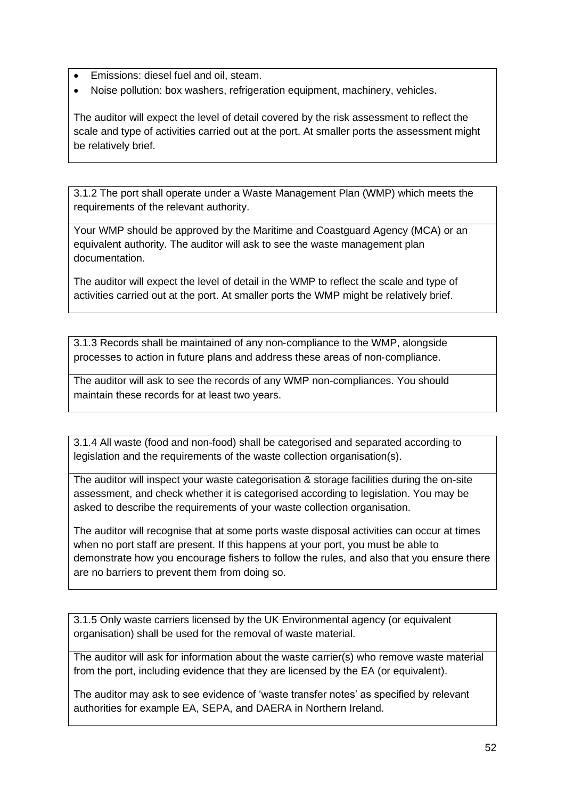- Emissions: diesel fuel and oil, steam.
- Noise pollution: box washers, refrigeration equipment, machinery, vehicles.

The auditor will expect the level of detail covered by the risk assessment to reflect the scale and type of activities carried out at the port. At smaller ports the assessment might be relatively brief.

3.1.2 The port shall operate under a Waste Management Plan (WMP) which meets the requirements of the relevant authority.

Your WMP should be approved by the Maritime and Coastguard Agency (MCA) or an equivalent authority. The auditor will ask to see the waste management plan documentation.

The auditor will expect the level of detail in the WMP to reflect the scale and type of activities carried out at the port. At smaller ports the WMP might be relatively brief.

3.1.3 Records shall be maintained of any non‐compliance to the WMP, alongside processes to action in future plans and address these areas of non‐compliance.

The auditor will ask to see the records of any WMP non-compliances. You should maintain these records for at least two years.

3.1.4 All waste (food and non-food) shall be categorised and separated according to legislation and the requirements of the waste collection organisation(s).

The auditor will inspect your waste categorisation & storage facilities during the on-site assessment, and check whether it is categorised according to legislation. You may be asked to describe the requirements of your waste collection organisation.

The auditor will recognise that at some ports waste disposal activities can occur at times when no port staff are present. If this happens at your port, you must be able to demonstrate how you encourage fishers to follow the rules, and also that you ensure there are no barriers to prevent them from doing so.

3.1.5 Only waste carriers licensed by the UK Environmental agency (or equivalent organisation) shall be used for the removal of waste material.

The auditor will ask for information about the waste carrier(s) who remove waste material from the port, including evidence that they are licensed by the EA (or equivalent).

The auditor may ask to see evidence of 'waste transfer notes' as specified by relevant authorities for example EA, SEPA, and DAERA in Northern Ireland.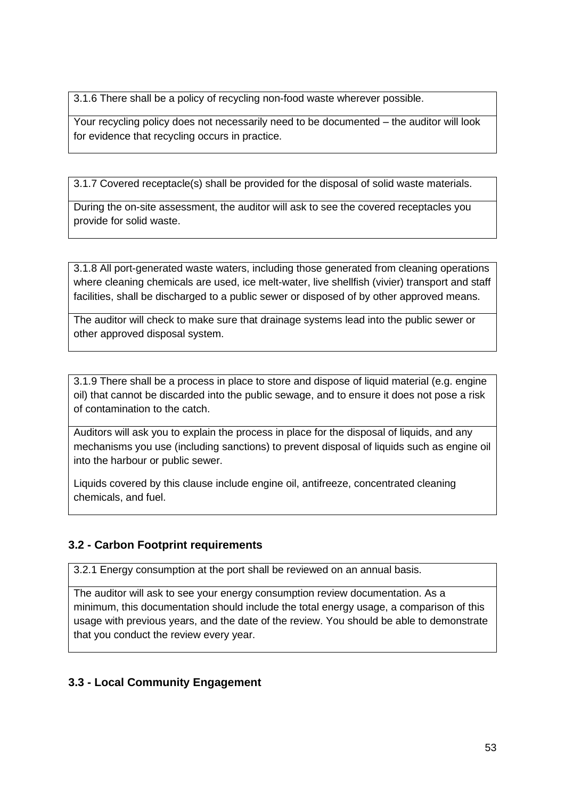3.1.6 There shall be a policy of recycling non-food waste wherever possible.

Your recycling policy does not necessarily need to be documented – the auditor will look for evidence that recycling occurs in practice.

3.1.7 Covered receptacle(s) shall be provided for the disposal of solid waste materials.

During the on-site assessment, the auditor will ask to see the covered receptacles you provide for solid waste.

3.1.8 All port-generated waste waters, including those generated from cleaning operations where cleaning chemicals are used, ice melt-water, live shellfish (vivier) transport and staff facilities, shall be discharged to a public sewer or disposed of by other approved means.

The auditor will check to make sure that drainage systems lead into the public sewer or other approved disposal system.

3.1.9 There shall be a process in place to store and dispose of liquid material (e.g. engine oil) that cannot be discarded into the public sewage, and to ensure it does not pose a risk of contamination to the catch.

Auditors will ask you to explain the process in place for the disposal of liquids, and any mechanisms you use (including sanctions) to prevent disposal of liquids such as engine oil into the harbour or public sewer.

Liquids covered by this clause include engine oil, antifreeze, concentrated cleaning chemicals, and fuel.

## <span id="page-52-0"></span>**3.2 - Carbon Footprint requirements**

3.2.1 Energy consumption at the port shall be reviewed on an annual basis.

The auditor will ask to see your energy consumption review documentation. As a minimum, this documentation should include the total energy usage, a comparison of this usage with previous years, and the date of the review. You should be able to demonstrate that you conduct the review every year.

## <span id="page-52-1"></span>**3.3 - Local Community Engagement**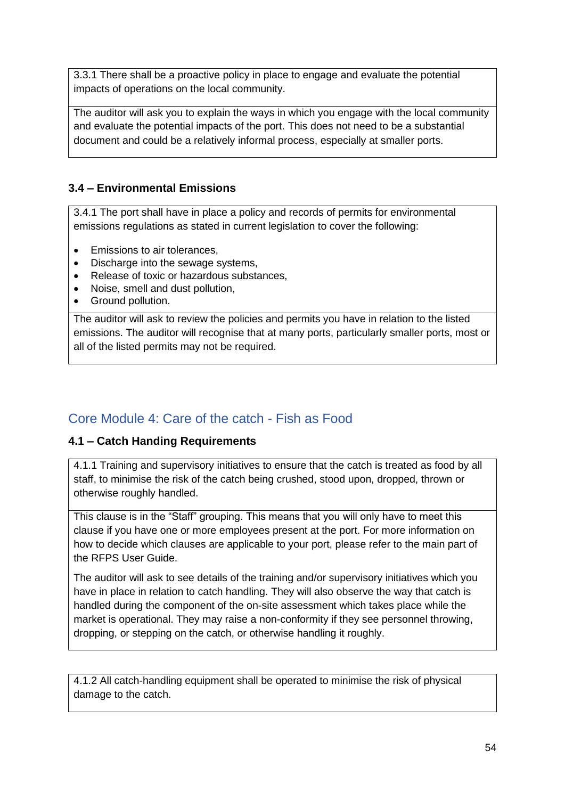3.3.1 There shall be a proactive policy in place to engage and evaluate the potential impacts of operations on the local community.

The auditor will ask you to explain the ways in which you engage with the local community and evaluate the potential impacts of the port. This does not need to be a substantial document and could be a relatively informal process, especially at smaller ports.

## <span id="page-53-0"></span>**3.4 – Environmental Emissions**

3.4.1 The port shall have in place a policy and records of permits for environmental emissions regulations as stated in current legislation to cover the following:

- Emissions to air tolerances,
- Discharge into the sewage systems,
- Release of toxic or hazardous substances.
- Noise, smell and dust pollution,
- Ground pollution.

The auditor will ask to review the policies and permits you have in relation to the listed emissions. The auditor will recognise that at many ports, particularly smaller ports, most or all of the listed permits may not be required.

## <span id="page-53-1"></span>Core Module 4: Care of the catch - Fish as Food

## <span id="page-53-2"></span>**4.1 – Catch Handing Requirements**

4.1.1 Training and supervisory initiatives to ensure that the catch is treated as food by all staff, to minimise the risk of the catch being crushed, stood upon, dropped, thrown or otherwise roughly handled.

This clause is in the "Staff" grouping. This means that you will only have to meet this clause if you have one or more employees present at the port. For more information on how to decide which clauses are applicable to your port, please refer to the main part of the RFPS User Guide.

The auditor will ask to see details of the training and/or supervisory initiatives which you have in place in relation to catch handling. They will also observe the way that catch is handled during the component of the on-site assessment which takes place while the market is operational. They may raise a non-conformity if they see personnel throwing, dropping, or stepping on the catch, or otherwise handling it roughly.

4.1.2 All catch-handling equipment shall be operated to minimise the risk of physical damage to the catch.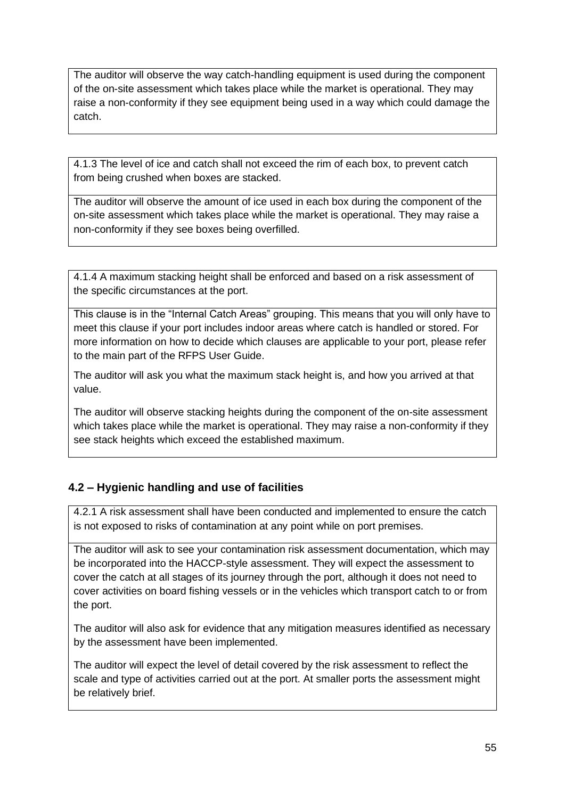The auditor will observe the way catch-handling equipment is used during the component of the on-site assessment which takes place while the market is operational. They may raise a non-conformity if they see equipment being used in a way which could damage the catch.

4.1.3 The level of ice and catch shall not exceed the rim of each box, to prevent catch from being crushed when boxes are stacked.

The auditor will observe the amount of ice used in each box during the component of the on-site assessment which takes place while the market is operational. They may raise a non-conformity if they see boxes being overfilled.

4.1.4 A maximum stacking height shall be enforced and based on a risk assessment of the specific circumstances at the port.

This clause is in the "Internal Catch Areas" grouping. This means that you will only have to meet this clause if your port includes indoor areas where catch is handled or stored. For more information on how to decide which clauses are applicable to your port, please refer to the main part of the RFPS User Guide.

The auditor will ask you what the maximum stack height is, and how you arrived at that value.

The auditor will observe stacking heights during the component of the on-site assessment which takes place while the market is operational. They may raise a non-conformity if they see stack heights which exceed the established maximum.

## <span id="page-54-0"></span>**4.2 – Hygienic handling and use of facilities**

4.2.1 A risk assessment shall have been conducted and implemented to ensure the catch is not exposed to risks of contamination at any point while on port premises.

The auditor will ask to see your contamination risk assessment documentation, which may be incorporated into the HACCP-style assessment. They will expect the assessment to cover the catch at all stages of its journey through the port, although it does not need to cover activities on board fishing vessels or in the vehicles which transport catch to or from the port.

The auditor will also ask for evidence that any mitigation measures identified as necessary by the assessment have been implemented.

The auditor will expect the level of detail covered by the risk assessment to reflect the scale and type of activities carried out at the port. At smaller ports the assessment might be relatively brief.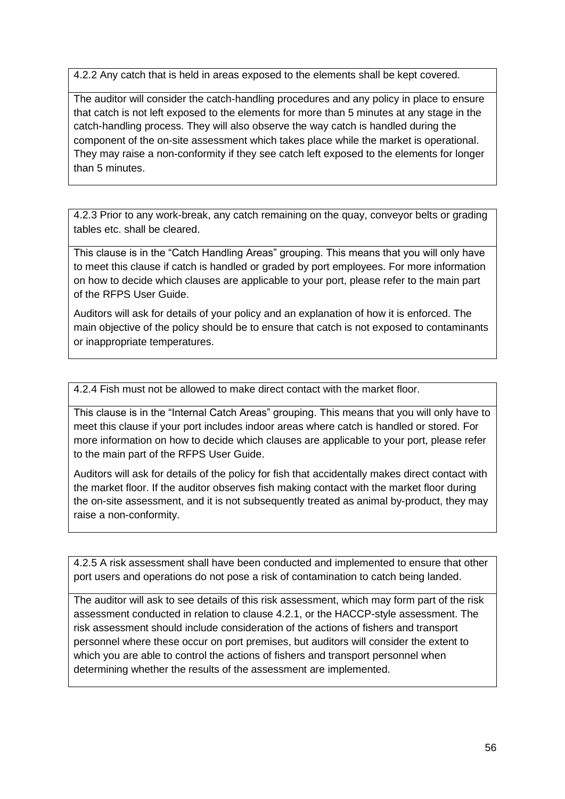4.2.2 Any catch that is held in areas exposed to the elements shall be kept covered.

The auditor will consider the catch-handling procedures and any policy in place to ensure that catch is not left exposed to the elements for more than 5 minutes at any stage in the catch-handling process. They will also observe the way catch is handled during the component of the on-site assessment which takes place while the market is operational. They may raise a non-conformity if they see catch left exposed to the elements for longer than 5 minutes.

4.2.3 Prior to any work-break, any catch remaining on the quay, conveyor belts or grading tables etc. shall be cleared.

This clause is in the "Catch Handling Areas" grouping. This means that you will only have to meet this clause if catch is handled or graded by port employees. For more information on how to decide which clauses are applicable to your port, please refer to the main part of the RFPS User Guide.

Auditors will ask for details of your policy and an explanation of how it is enforced. The main objective of the policy should be to ensure that catch is not exposed to contaminants or inappropriate temperatures.

4.2.4 Fish must not be allowed to make direct contact with the market floor.

This clause is in the "Internal Catch Areas" grouping. This means that you will only have to meet this clause if your port includes indoor areas where catch is handled or stored. For more information on how to decide which clauses are applicable to your port, please refer to the main part of the RFPS User Guide.

Auditors will ask for details of the policy for fish that accidentally makes direct contact with the market floor. If the auditor observes fish making contact with the market floor during the on-site assessment, and it is not subsequently treated as animal by-product, they may raise a non-conformity.

4.2.5 A risk assessment shall have been conducted and implemented to ensure that other port users and operations do not pose a risk of contamination to catch being landed.

The auditor will ask to see details of this risk assessment, which may form part of the risk assessment conducted in relation to clause 4.2.1, or the HACCP-style assessment. The risk assessment should include consideration of the actions of fishers and transport personnel where these occur on port premises, but auditors will consider the extent to which you are able to control the actions of fishers and transport personnel when determining whether the results of the assessment are implemented.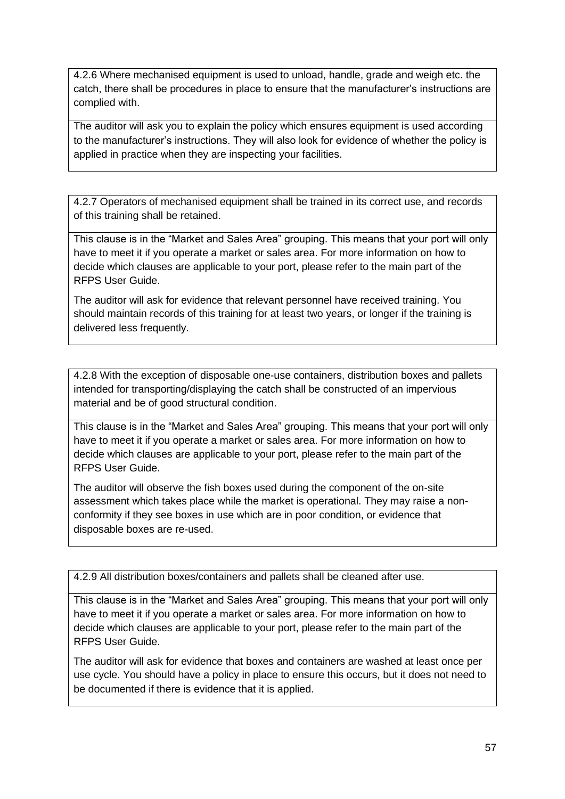4.2.6 Where mechanised equipment is used to unload, handle, grade and weigh etc. the catch, there shall be procedures in place to ensure that the manufacturer's instructions are complied with.

The auditor will ask you to explain the policy which ensures equipment is used according to the manufacturer's instructions. They will also look for evidence of whether the policy is applied in practice when they are inspecting your facilities.

4.2.7 Operators of mechanised equipment shall be trained in its correct use, and records of this training shall be retained.

This clause is in the "Market and Sales Area" grouping. This means that your port will only have to meet it if you operate a market or sales area. For more information on how to decide which clauses are applicable to your port, please refer to the main part of the RFPS User Guide.

The auditor will ask for evidence that relevant personnel have received training. You should maintain records of this training for at least two years, or longer if the training is delivered less frequently.

4.2.8 With the exception of disposable one-use containers, distribution boxes and pallets intended for transporting/displaying the catch shall be constructed of an impervious material and be of good structural condition.

This clause is in the "Market and Sales Area" grouping. This means that your port will only have to meet it if you operate a market or sales area. For more information on how to decide which clauses are applicable to your port, please refer to the main part of the RFPS User Guide.

The auditor will observe the fish boxes used during the component of the on-site assessment which takes place while the market is operational. They may raise a nonconformity if they see boxes in use which are in poor condition, or evidence that disposable boxes are re-used.

4.2.9 All distribution boxes/containers and pallets shall be cleaned after use.

This clause is in the "Market and Sales Area" grouping. This means that your port will only have to meet it if you operate a market or sales area. For more information on how to decide which clauses are applicable to your port, please refer to the main part of the RFPS User Guide.

The auditor will ask for evidence that boxes and containers are washed at least once per use cycle. You should have a policy in place to ensure this occurs, but it does not need to be documented if there is evidence that it is applied.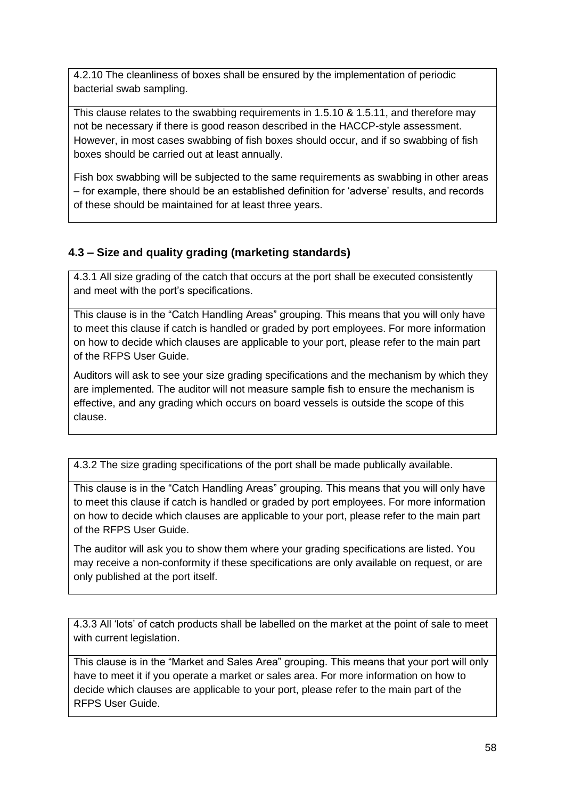4.2.10 The cleanliness of boxes shall be ensured by the implementation of periodic bacterial swab sampling.

This clause relates to the swabbing requirements in 1.5.10 & 1.5.11, and therefore may not be necessary if there is good reason described in the HACCP-style assessment. However, in most cases swabbing of fish boxes should occur, and if so swabbing of fish boxes should be carried out at least annually.

Fish box swabbing will be subjected to the same requirements as swabbing in other areas – for example, there should be an established definition for 'adverse' results, and records of these should be maintained for at least three years.

## <span id="page-57-0"></span>**4.3 – Size and quality grading (marketing standards)**

4.3.1 All size grading of the catch that occurs at the port shall be executed consistently and meet with the port's specifications.

This clause is in the "Catch Handling Areas" grouping. This means that you will only have to meet this clause if catch is handled or graded by port employees. For more information on how to decide which clauses are applicable to your port, please refer to the main part of the RFPS User Guide.

Auditors will ask to see your size grading specifications and the mechanism by which they are implemented. The auditor will not measure sample fish to ensure the mechanism is effective, and any grading which occurs on board vessels is outside the scope of this clause.

4.3.2 The size grading specifications of the port shall be made publically available.

This clause is in the "Catch Handling Areas" grouping. This means that you will only have to meet this clause if catch is handled or graded by port employees. For more information on how to decide which clauses are applicable to your port, please refer to the main part of the RFPS User Guide.

The auditor will ask you to show them where your grading specifications are listed. You may receive a non-conformity if these specifications are only available on request, or are only published at the port itself.

4.3.3 All 'lots' of catch products shall be labelled on the market at the point of sale to meet with current legislation.

This clause is in the "Market and Sales Area" grouping. This means that your port will only have to meet it if you operate a market or sales area. For more information on how to decide which clauses are applicable to your port, please refer to the main part of the RFPS User Guide.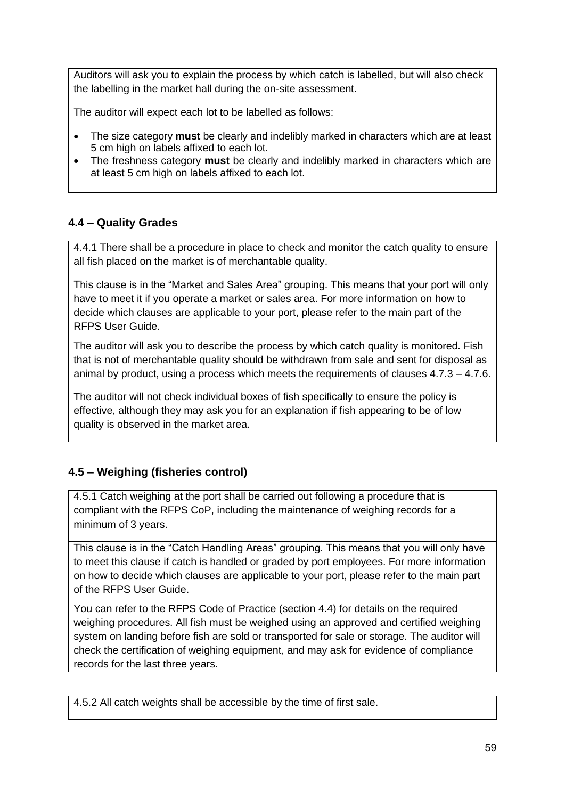Auditors will ask you to explain the process by which catch is labelled, but will also check the labelling in the market hall during the on-site assessment.

The auditor will expect each lot to be labelled as follows:

- The size category **must** be clearly and indelibly marked in characters which are at least 5 cm high on labels affixed to each lot.
- The freshness category **must** be clearly and indelibly marked in characters which are at least 5 cm high on labels affixed to each lot.

## <span id="page-58-0"></span>**4.4 – Quality Grades**

4.4.1 There shall be a procedure in place to check and monitor the catch quality to ensure all fish placed on the market is of merchantable quality.

This clause is in the "Market and Sales Area" grouping. This means that your port will only have to meet it if you operate a market or sales area. For more information on how to decide which clauses are applicable to your port, please refer to the main part of the RFPS User Guide.

The auditor will ask you to describe the process by which catch quality is monitored. Fish that is not of merchantable quality should be withdrawn from sale and sent for disposal as animal by product, using a process which meets the requirements of clauses  $4.7.3 - 4.7.6$ .

The auditor will not check individual boxes of fish specifically to ensure the policy is effective, although they may ask you for an explanation if fish appearing to be of low quality is observed in the market area.

## <span id="page-58-1"></span>**4.5 – Weighing (fisheries control)**

4.5.1 Catch weighing at the port shall be carried out following a procedure that is compliant with the RFPS CoP, including the maintenance of weighing records for a minimum of 3 years.

This clause is in the "Catch Handling Areas" grouping. This means that you will only have to meet this clause if catch is handled or graded by port employees. For more information on how to decide which clauses are applicable to your port, please refer to the main part of the RFPS User Guide.

You can refer to the RFPS Code of Practice (section 4.4) for details on the required weighing procedures. All fish must be weighed using an approved and certified weighing system on landing before fish are sold or transported for sale or storage. The auditor will check the certification of weighing equipment, and may ask for evidence of compliance records for the last three years.

4.5.2 All catch weights shall be accessible by the time of first sale.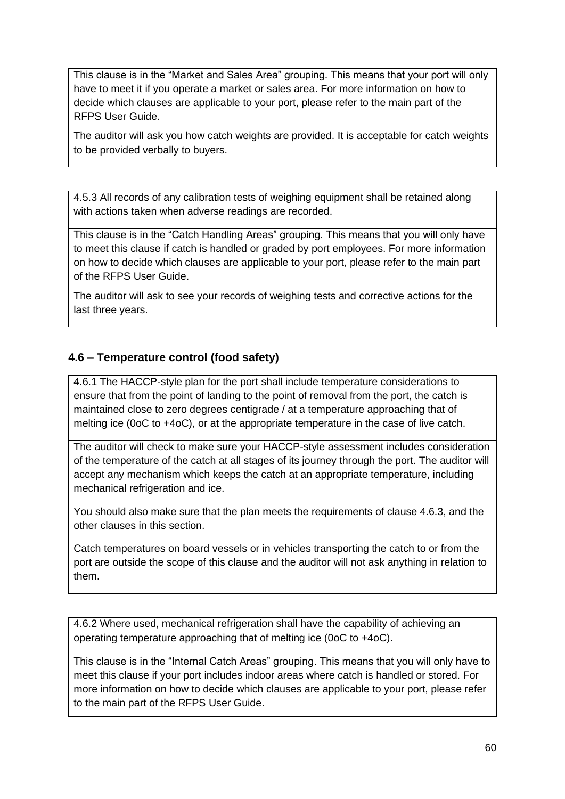This clause is in the "Market and Sales Area" grouping. This means that your port will only have to meet it if you operate a market or sales area. For more information on how to decide which clauses are applicable to your port, please refer to the main part of the RFPS User Guide.

The auditor will ask you how catch weights are provided. It is acceptable for catch weights to be provided verbally to buyers.

4.5.3 All records of any calibration tests of weighing equipment shall be retained along with actions taken when adverse readings are recorded.

This clause is in the "Catch Handling Areas" grouping. This means that you will only have to meet this clause if catch is handled or graded by port employees. For more information on how to decide which clauses are applicable to your port, please refer to the main part of the RFPS User Guide.

The auditor will ask to see your records of weighing tests and corrective actions for the last three years.

#### <span id="page-59-0"></span>**4.6 – Temperature control (food safety)**

4.6.1 The HACCP-style plan for the port shall include temperature considerations to ensure that from the point of landing to the point of removal from the port, the catch is maintained close to zero degrees centigrade / at a temperature approaching that of melting ice (0oC to +4oC), or at the appropriate temperature in the case of live catch.

The auditor will check to make sure your HACCP-style assessment includes consideration of the temperature of the catch at all stages of its journey through the port. The auditor will accept any mechanism which keeps the catch at an appropriate temperature, including mechanical refrigeration and ice.

You should also make sure that the plan meets the requirements of clause 4.6.3, and the other clauses in this section.

Catch temperatures on board vessels or in vehicles transporting the catch to or from the port are outside the scope of this clause and the auditor will not ask anything in relation to them.

4.6.2 Where used, mechanical refrigeration shall have the capability of achieving an operating temperature approaching that of melting ice (0oC to +4oC).

This clause is in the "Internal Catch Areas" grouping. This means that you will only have to meet this clause if your port includes indoor areas where catch is handled or stored. For more information on how to decide which clauses are applicable to your port, please refer to the main part of the RFPS User Guide.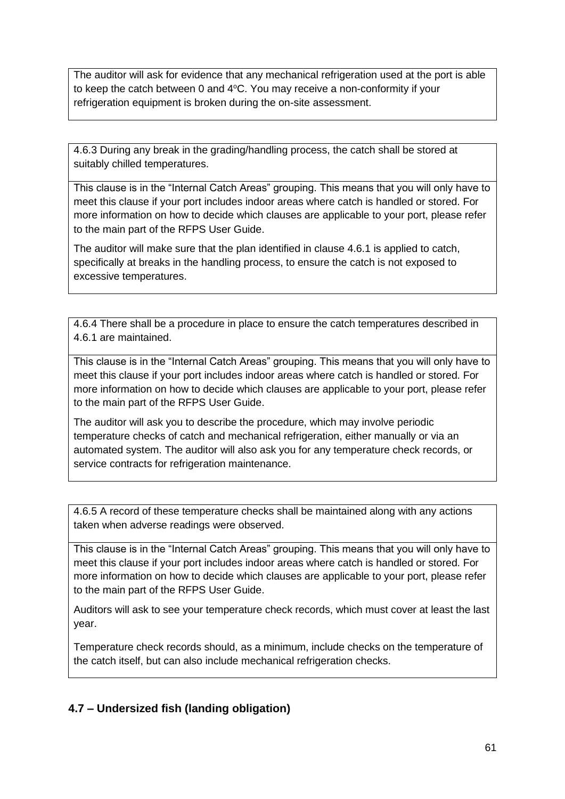The auditor will ask for evidence that any mechanical refrigeration used at the port is able to keep the catch between 0 and  $4^{\circ}$ C. You may receive a non-conformity if your refrigeration equipment is broken during the on-site assessment.

4.6.3 During any break in the grading/handling process, the catch shall be stored at suitably chilled temperatures.

This clause is in the "Internal Catch Areas" grouping. This means that you will only have to meet this clause if your port includes indoor areas where catch is handled or stored. For more information on how to decide which clauses are applicable to your port, please refer to the main part of the RFPS User Guide.

The auditor will make sure that the plan identified in clause 4.6.1 is applied to catch, specifically at breaks in the handling process, to ensure the catch is not exposed to excessive temperatures.

4.6.4 There shall be a procedure in place to ensure the catch temperatures described in 4.6.1 are maintained.

This clause is in the "Internal Catch Areas" grouping. This means that you will only have to meet this clause if your port includes indoor areas where catch is handled or stored. For more information on how to decide which clauses are applicable to your port, please refer to the main part of the RFPS User Guide.

The auditor will ask you to describe the procedure, which may involve periodic temperature checks of catch and mechanical refrigeration, either manually or via an automated system. The auditor will also ask you for any temperature check records, or service contracts for refrigeration maintenance.

4.6.5 A record of these temperature checks shall be maintained along with any actions taken when adverse readings were observed.

This clause is in the "Internal Catch Areas" grouping. This means that you will only have to meet this clause if your port includes indoor areas where catch is handled or stored. For more information on how to decide which clauses are applicable to your port, please refer to the main part of the RFPS User Guide.

Auditors will ask to see your temperature check records, which must cover at least the last year.

Temperature check records should, as a minimum, include checks on the temperature of the catch itself, but can also include mechanical refrigeration checks.

## <span id="page-60-0"></span>**4.7 – Undersized fish (landing obligation)**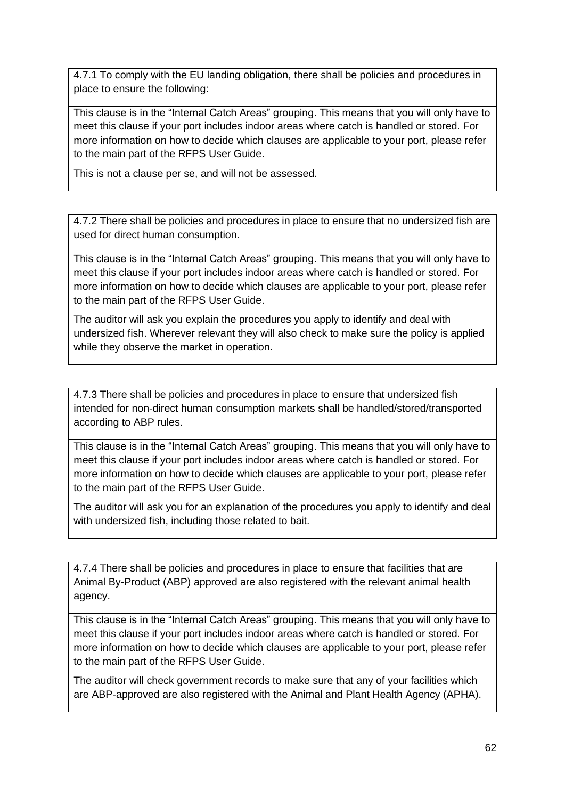4.7.1 To comply with the EU landing obligation, there shall be policies and procedures in place to ensure the following:

This clause is in the "Internal Catch Areas" grouping. This means that you will only have to meet this clause if your port includes indoor areas where catch is handled or stored. For more information on how to decide which clauses are applicable to your port, please refer to the main part of the RFPS User Guide.

This is not a clause per se, and will not be assessed.

4.7.2 There shall be policies and procedures in place to ensure that no undersized fish are used for direct human consumption.

This clause is in the "Internal Catch Areas" grouping. This means that you will only have to meet this clause if your port includes indoor areas where catch is handled or stored. For more information on how to decide which clauses are applicable to your port, please refer to the main part of the RFPS User Guide.

The auditor will ask you explain the procedures you apply to identify and deal with undersized fish. Wherever relevant they will also check to make sure the policy is applied while they observe the market in operation.

4.7.3 There shall be policies and procedures in place to ensure that undersized fish intended for non-direct human consumption markets shall be handled/stored/transported according to ABP rules.

This clause is in the "Internal Catch Areas" grouping. This means that you will only have to meet this clause if your port includes indoor areas where catch is handled or stored. For more information on how to decide which clauses are applicable to your port, please refer to the main part of the RFPS User Guide.

The auditor will ask you for an explanation of the procedures you apply to identify and deal with undersized fish, including those related to bait.

4.7.4 There shall be policies and procedures in place to ensure that facilities that are Animal By-Product (ABP) approved are also registered with the relevant animal health agency.

This clause is in the "Internal Catch Areas" grouping. This means that you will only have to meet this clause if your port includes indoor areas where catch is handled or stored. For more information on how to decide which clauses are applicable to your port, please refer to the main part of the RFPS User Guide.

The auditor will check government records to make sure that any of your facilities which are ABP-approved are also registered with the Animal and Plant Health Agency (APHA).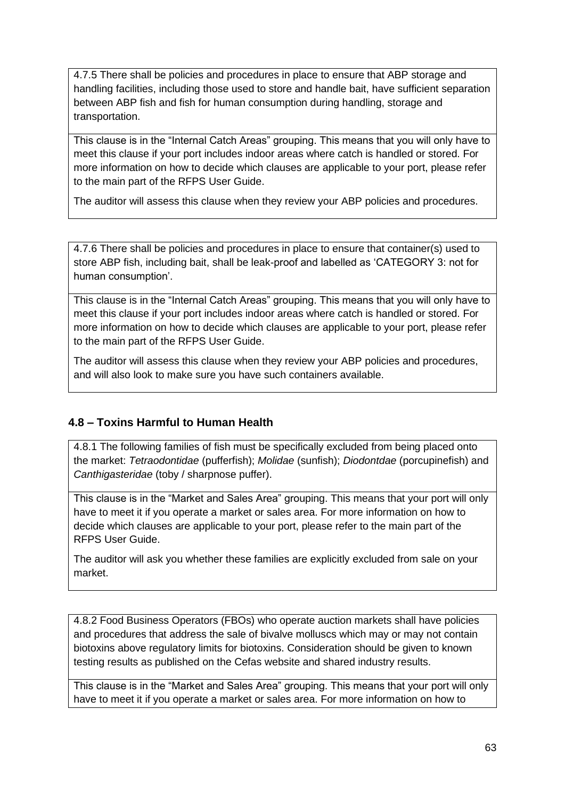4.7.5 There shall be policies and procedures in place to ensure that ABP storage and handling facilities, including those used to store and handle bait, have sufficient separation between ABP fish and fish for human consumption during handling, storage and transportation.

This clause is in the "Internal Catch Areas" grouping. This means that you will only have to meet this clause if your port includes indoor areas where catch is handled or stored. For more information on how to decide which clauses are applicable to your port, please refer to the main part of the RFPS User Guide.

The auditor will assess this clause when they review your ABP policies and procedures.

4.7.6 There shall be policies and procedures in place to ensure that container(s) used to store ABP fish, including bait, shall be leak-proof and labelled as 'CATEGORY 3: not for human consumption'.

This clause is in the "Internal Catch Areas" grouping. This means that you will only have to meet this clause if your port includes indoor areas where catch is handled or stored. For more information on how to decide which clauses are applicable to your port, please refer to the main part of the RFPS User Guide.

The auditor will assess this clause when they review your ABP policies and procedures, and will also look to make sure you have such containers available.

## <span id="page-62-0"></span>**4.8 – Toxins Harmful to Human Health**

4.8.1 The following families of fish must be specifically excluded from being placed onto the market: *Tetraodontidae* (pufferfish); *Molidae* (sunfish); *Diodontdae* (porcupinefish) and *Canthigasteridae* (toby / sharpnose puffer).

This clause is in the "Market and Sales Area" grouping. This means that your port will only have to meet it if you operate a market or sales area. For more information on how to decide which clauses are applicable to your port, please refer to the main part of the RFPS User Guide.

The auditor will ask you whether these families are explicitly excluded from sale on your market.

4.8.2 Food Business Operators (FBOs) who operate auction markets shall have policies and procedures that address the sale of bivalve molluscs which may or may not contain biotoxins above regulatory limits for biotoxins. Consideration should be given to known testing results as published on the Cefas website and shared industry results.

This clause is in the "Market and Sales Area" grouping. This means that your port will only have to meet it if you operate a market or sales area. For more information on how to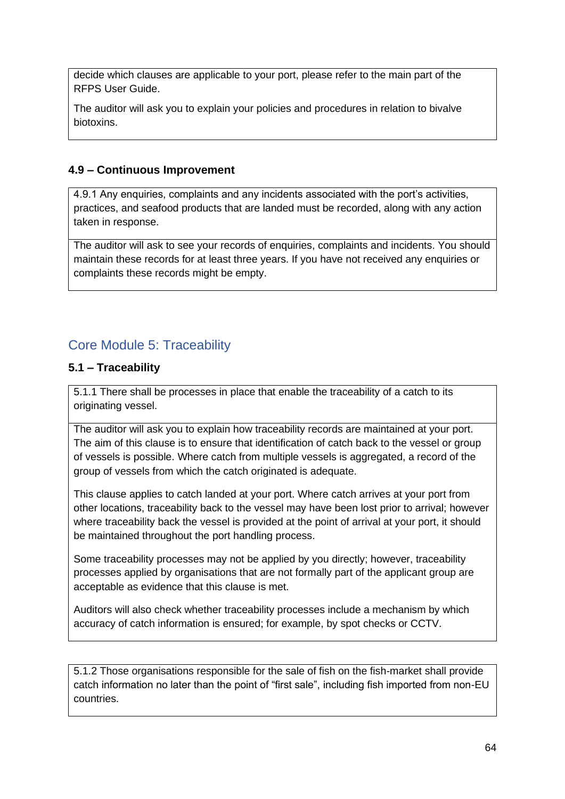decide which clauses are applicable to your port, please refer to the main part of the RFPS User Guide.

The auditor will ask you to explain your policies and procedures in relation to bivalve biotoxins.

## <span id="page-63-0"></span>**4.9 – Continuous Improvement**

4.9.1 Any enquiries, complaints and any incidents associated with the port's activities, practices, and seafood products that are landed must be recorded, along with any action taken in response.

The auditor will ask to see your records of enquiries, complaints and incidents. You should maintain these records for at least three years. If you have not received any enquiries or complaints these records might be empty.

# <span id="page-63-1"></span>Core Module 5: Traceability

## <span id="page-63-2"></span>**5.1 – Traceability**

5.1.1 There shall be processes in place that enable the traceability of a catch to its originating vessel.

The auditor will ask you to explain how traceability records are maintained at your port. The aim of this clause is to ensure that identification of catch back to the vessel or group of vessels is possible. Where catch from multiple vessels is aggregated, a record of the group of vessels from which the catch originated is adequate.

This clause applies to catch landed at your port. Where catch arrives at your port from other locations, traceability back to the vessel may have been lost prior to arrival; however where traceability back the vessel is provided at the point of arrival at your port, it should be maintained throughout the port handling process.

Some traceability processes may not be applied by you directly; however, traceability processes applied by organisations that are not formally part of the applicant group are acceptable as evidence that this clause is met.

Auditors will also check whether traceability processes include a mechanism by which accuracy of catch information is ensured; for example, by spot checks or CCTV.

5.1.2 Those organisations responsible for the sale of fish on the fish-market shall provide catch information no later than the point of "first sale", including fish imported from non-EU countries.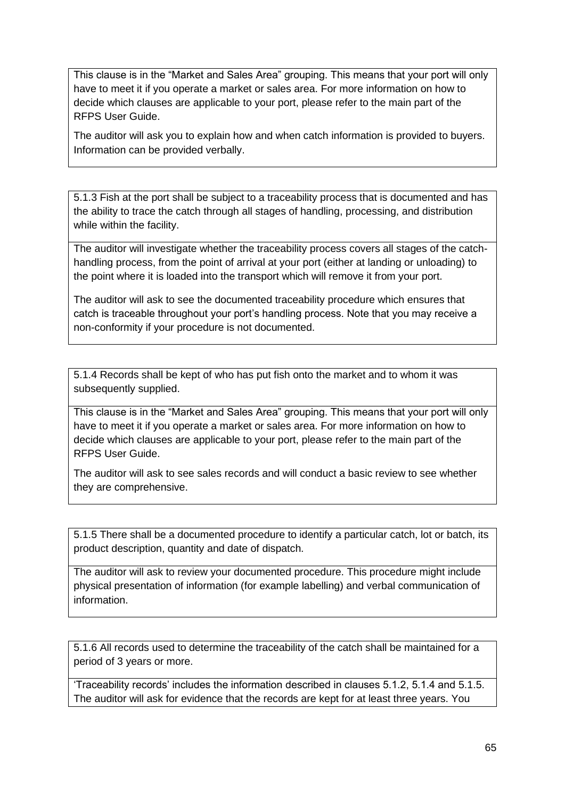This clause is in the "Market and Sales Area" grouping. This means that your port will only have to meet it if you operate a market or sales area. For more information on how to decide which clauses are applicable to your port, please refer to the main part of the RFPS User Guide.

The auditor will ask you to explain how and when catch information is provided to buyers. Information can be provided verbally.

5.1.3 Fish at the port shall be subject to a traceability process that is documented and has the ability to trace the catch through all stages of handling, processing, and distribution while within the facility.

The auditor will investigate whether the traceability process covers all stages of the catchhandling process, from the point of arrival at your port (either at landing or unloading) to the point where it is loaded into the transport which will remove it from your port.

The auditor will ask to see the documented traceability procedure which ensures that catch is traceable throughout your port's handling process. Note that you may receive a non-conformity if your procedure is not documented.

5.1.4 Records shall be kept of who has put fish onto the market and to whom it was subsequently supplied.

This clause is in the "Market and Sales Area" grouping. This means that your port will only have to meet it if you operate a market or sales area. For more information on how to decide which clauses are applicable to your port, please refer to the main part of the RFPS User Guide.

The auditor will ask to see sales records and will conduct a basic review to see whether they are comprehensive.

5.1.5 There shall be a documented procedure to identify a particular catch, lot or batch, its product description, quantity and date of dispatch.

The auditor will ask to review your documented procedure. This procedure might include physical presentation of information (for example labelling) and verbal communication of information.

5.1.6 All records used to determine the traceability of the catch shall be maintained for a period of 3 years or more.

'Traceability records' includes the information described in clauses 5.1.2, 5.1.4 and 5.1.5. The auditor will ask for evidence that the records are kept for at least three years. You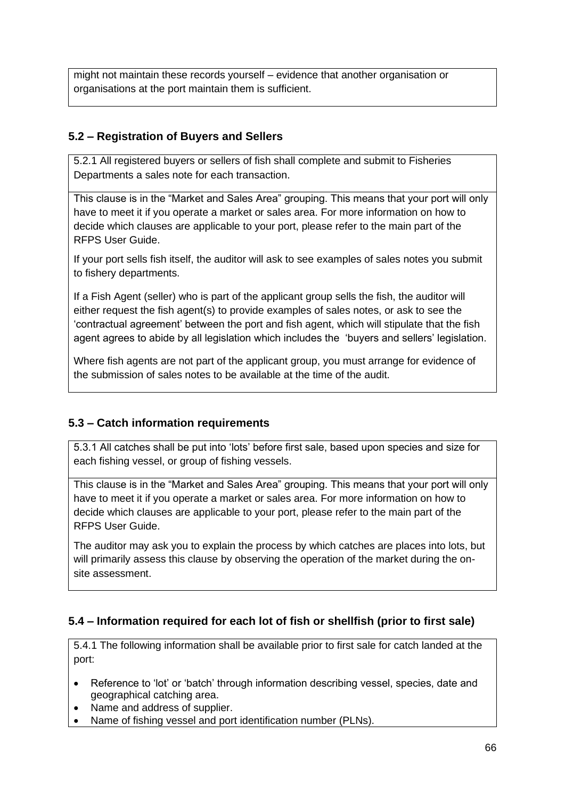might not maintain these records yourself – evidence that another organisation or organisations at the port maintain them is sufficient.

## <span id="page-65-0"></span>**5.2 – Registration of Buyers and Sellers**

5.2.1 All registered buyers or sellers of fish shall complete and submit to Fisheries Departments a sales note for each transaction.

This clause is in the "Market and Sales Area" grouping. This means that your port will only have to meet it if you operate a market or sales area. For more information on how to decide which clauses are applicable to your port, please refer to the main part of the RFPS User Guide.

If your port sells fish itself, the auditor will ask to see examples of sales notes you submit to fishery departments.

If a Fish Agent (seller) who is part of the applicant group sells the fish, the auditor will either request the fish agent(s) to provide examples of sales notes, or ask to see the 'contractual agreement' between the port and fish agent, which will stipulate that the fish agent agrees to abide by all legislation which includes the 'buyers and sellers' legislation.

Where fish agents are not part of the applicant group, you must arrange for evidence of the submission of sales notes to be available at the time of the audit.

## <span id="page-65-1"></span>**5.3 – Catch information requirements**

5.3.1 All catches shall be put into 'lots' before first sale, based upon species and size for each fishing vessel, or group of fishing vessels.

This clause is in the "Market and Sales Area" grouping. This means that your port will only have to meet it if you operate a market or sales area. For more information on how to decide which clauses are applicable to your port, please refer to the main part of the RFPS User Guide.

The auditor may ask you to explain the process by which catches are places into lots, but will primarily assess this clause by observing the operation of the market during the onsite assessment.

## <span id="page-65-2"></span>**5.4 – Information required for each lot of fish or shellfish (prior to first sale)**

5.4.1 The following information shall be available prior to first sale for catch landed at the port:

- Reference to 'lot' or 'batch' through information describing vessel, species, date and geographical catching area.
- Name and address of supplier.
- Name of fishing vessel and port identification number (PLNs).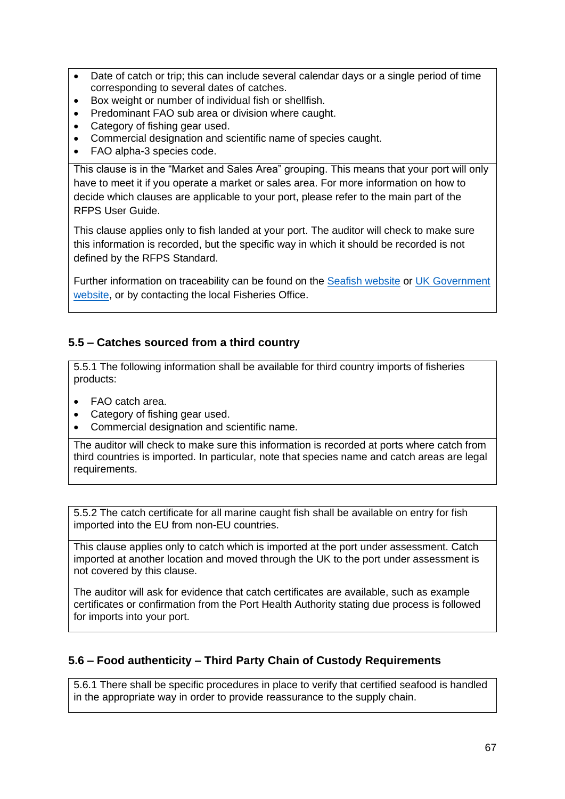- Date of catch or trip; this can include several calendar days or a single period of time corresponding to several dates of catches.
- Box weight or number of individual fish or shellfish.
- Predominant FAO sub area or division where caught.
- Category of fishing gear used.
- Commercial designation and scientific name of species caught.
- FAO alpha-3 species code.

This clause is in the "Market and Sales Area" grouping. This means that your port will only have to meet it if you operate a market or sales area. For more information on how to decide which clauses are applicable to your port, please refer to the main part of the RFPS User Guide.

This clause applies only to fish landed at your port. The auditor will check to make sure this information is recorded, but the specific way in which it should be recorded is not defined by the RFPS Standard.

Further information on traceability can be found on the [Seafish website](https://www.seafish.org/trade-and-regulation/seafood-traceability-and-labelling-regulations/) or UK Government [website,](https://www.gov.uk/guidance/how-to-trace-weigh-and-distribute-fish-products) or by contacting the local Fisheries Office.

#### <span id="page-66-0"></span>**5.5 – Catches sourced from a third country**

5.5.1 The following information shall be available for third country imports of fisheries products:

- FAO catch area.
- Category of fishing gear used.
- Commercial designation and scientific name.

The auditor will check to make sure this information is recorded at ports where catch from third countries is imported. In particular, note that species name and catch areas are legal requirements.

5.5.2 The catch certificate for all marine caught fish shall be available on entry for fish imported into the EU from non-EU countries.

This clause applies only to catch which is imported at the port under assessment. Catch imported at another location and moved through the UK to the port under assessment is not covered by this clause.

The auditor will ask for evidence that catch certificates are available, such as example certificates or confirmation from the Port Health Authority stating due process is followed for imports into your port.

## <span id="page-66-1"></span>**5.6 – Food authenticity – Third Party Chain of Custody Requirements**

5.6.1 There shall be specific procedures in place to verify that certified seafood is handled in the appropriate way in order to provide reassurance to the supply chain.